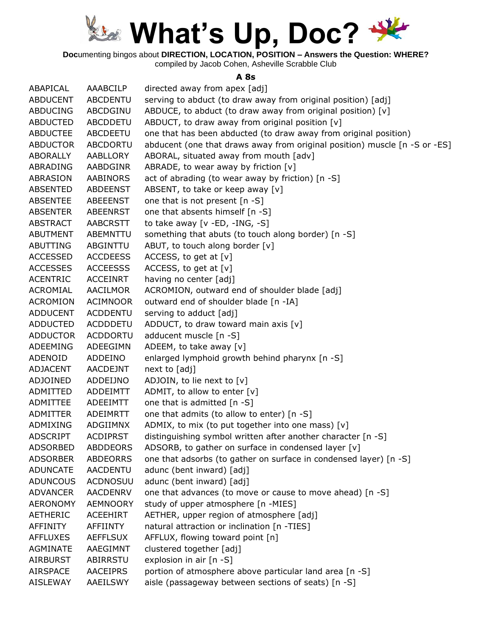

**Doc**umenting bingos about **DIRECTION, LOCATION, POSITION – Answers the Question: WHERE?**

compiled by Jacob Cohen, Asheville Scrabble Club

#### **A 8s**

| ABAPICAL        | AAABCILP        | directed away from apex [adj]                                              |
|-----------------|-----------------|----------------------------------------------------------------------------|
| <b>ABDUCENT</b> | <b>ABCDENTU</b> | serving to abduct (to draw away from original position) [adj]              |
| <b>ABDUCING</b> | ABCDGINU        | ABDUCE, to abduct (to draw away from original position) $[v]$              |
| <b>ABDUCTED</b> | ABCDDETU        | ABDUCT, to draw away from original position [v]                            |
| <b>ABDUCTEE</b> | <b>ABCDEETU</b> | one that has been abducted (to draw away from original position)           |
| <b>ABDUCTOR</b> | <b>ABCDORTU</b> | abducent (one that draws away from original position) muscle [n -S or -ES] |
| ABORALLY        | AABLLORY        | ABORAL, situated away from mouth [adv]                                     |
| ABRADING        | AABDGINR        | ABRADE, to wear away by friction [v]                                       |
| ABRASION        | <b>AABINORS</b> | act of abrading (to wear away by friction) [n -S]                          |
| <b>ABSENTED</b> | <b>ABDEENST</b> | ABSENT, to take or keep away [v]                                           |
| ABSENTEE        | ABEEENST        | one that is not present [n -S]                                             |
| <b>ABSENTER</b> | ABEENRST        | one that absents himself [n -S]                                            |
| <b>ABSTRACT</b> | AABCRSTT        | to take away $[v - ED, -ING, -S]$                                          |
| <b>ABUTMENT</b> | ABEMNTTU        | something that abuts (to touch along border) [n -S]                        |
| ABUTTING        | ABGINTTU        | ABUT, to touch along border [v]                                            |
| <b>ACCESSED</b> | <b>ACCDEESS</b> | ACCESS, to get at $[v]$                                                    |
| <b>ACCESSES</b> | <b>ACCEESSS</b> | ACCESS, to get at $[v]$                                                    |
| <b>ACENTRIC</b> | <b>ACCEINRT</b> | having no center [adj]                                                     |
| ACROMIAL        | AACILMOR        | ACROMION, outward end of shoulder blade [adj]                              |
| <b>ACROMION</b> | <b>ACIMNOOR</b> | outward end of shoulder blade [n -IA]                                      |
| <b>ADDUCENT</b> | <b>ACDDENTU</b> | serving to adduct [adj]                                                    |
| <b>ADDUCTED</b> | <b>ACDDDETU</b> | ADDUCT, to draw toward main axis $[v]$                                     |
| <b>ADDUCTOR</b> | <b>ACDDORTU</b> | adducent muscle [n -S]                                                     |
| ADEEMING        | ADEEGIMN        | ADEEM, to take away [v]                                                    |
| ADENOID         | ADDEINO         | enlarged lymphoid growth behind pharynx [n -S]                             |
| <b>ADJACENT</b> | AACDEJNT        | next to [adj]                                                              |
| ADJOINED        | ADDEIJNO        | ADJOIN, to lie next to [v]                                                 |
| ADMITTED        | ADDEIMTT        | ADMIT, to allow to enter [v]                                               |
| ADMITTEE        | ADEEIMTT        | one that is admitted [n -S]                                                |
| <b>ADMITTER</b> | ADEIMRTT        | one that admits (to allow to enter) [n -S]                                 |
| ADMIXING        | ADGIIMNX        | ADMIX, to mix (to put together into one mass) [v]                          |
| <b>ADSCRIPT</b> | <b>ACDIPRST</b> | distinguishing symbol written after another character [n -S]               |
| ADSORBED        | <b>ABDDEORS</b> | ADSORB, to gather on surface in condensed layer [v]                        |
| <b>ADSORBER</b> | <b>ABDEORRS</b> | one that adsorbs (to gather on surface in condensed layer) [n -S]          |
| <b>ADUNCATE</b> | AACDENTU        | adunc (bent inward) [adj]                                                  |
| <b>ADUNCOUS</b> | <b>ACDNOSUU</b> | adunc (bent inward) [adj]                                                  |
| <b>ADVANCER</b> | <b>AACDENRV</b> | one that advances (to move or cause to move ahead) [n -S]                  |
| <b>AERONOMY</b> | <b>AEMNOORY</b> | study of upper atmosphere [n -MIES]                                        |
| <b>AETHERIC</b> | ACEEHIRT        | AETHER, upper region of atmosphere [adj]                                   |
| AFFINITY        | AFFIINTY        | natural attraction or inclination [n -TIES]                                |
| <b>AFFLUXES</b> | <b>AEFFLSUX</b> | AFFLUX, flowing toward point [n]                                           |
| <b>AGMINATE</b> | AAEGIMNT        | clustered together [adj]                                                   |
| <b>AIRBURST</b> | ABIRRSTU        | explosion in air [n -S]                                                    |
| <b>AIRSPACE</b> | <b>AACEIPRS</b> | portion of atmosphere above particular land area [n -S]                    |
| <b>AISLEWAY</b> | AAEILSWY        | aisle (passageway between sections of seats) [n -S]                        |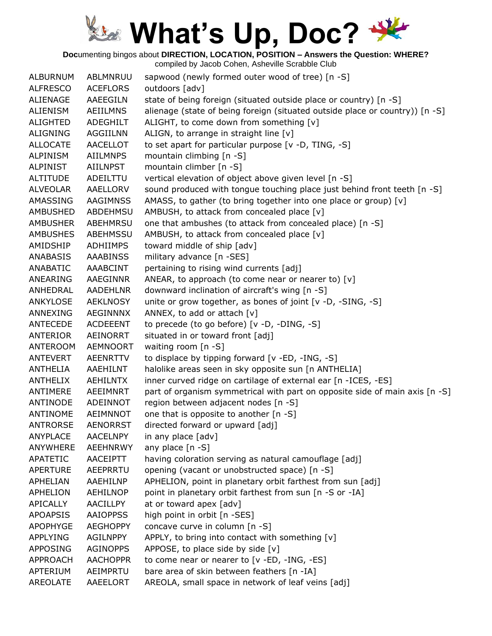**Doc**umenting bingos about **DIRECTION, LOCATION, POSITION – Answers the Question: WHERE?**

| <b>ALBURNUM</b> | ABLMNRUU        | sapwood (newly formed outer wood of tree) [n -S]                             |
|-----------------|-----------------|------------------------------------------------------------------------------|
| <b>ALFRESCO</b> | <b>ACEFLORS</b> | outdoors [adv]                                                               |
| ALIENAGE        | <b>AAEEGILN</b> | state of being foreign (situated outside place or country) [n -S]            |
| <b>ALIENISM</b> | <b>AEIILMNS</b> | alienage (state of being foreign (situated outside place or country)) [n -S] |
| <b>ALIGHTED</b> | ADEGHILT        | ALIGHT, to come down from something [v]                                      |
| <b>ALIGNING</b> | <b>AGGIILNN</b> | ALIGN, to arrange in straight line [v]                                       |
| <b>ALLOCATE</b> | <b>AACELLOT</b> | to set apart for particular purpose [v -D, TING, -S]                         |
| <b>ALPINISM</b> | <b>AIILMNPS</b> | mountain climbing $[n - S]$                                                  |
| <b>ALPINIST</b> | AIILNPST        | mountain climber [n -S]                                                      |
| <b>ALTITUDE</b> | ADEILTTU        | vertical elevation of object above given level [n -S]                        |
| <b>ALVEOLAR</b> | AAELLORV        | sound produced with tongue touching place just behind front teeth [n -S]     |
| AMASSING        | <b>AAGIMNSS</b> | AMASS, to gather (to bring together into one place or group) [v]             |
| <b>AMBUSHED</b> | <b>ABDEHMSU</b> | AMBUSH, to attack from concealed place [v]                                   |
| <b>AMBUSHER</b> | ABEHMRSU        | one that ambushes (to attack from concealed place) [n -S]                    |
| <b>AMBUSHES</b> | ABEHMSSU        | AMBUSH, to attack from concealed place [v]                                   |
| AMIDSHIP        | <b>ADHIIMPS</b> | toward middle of ship [adv]                                                  |
| <b>ANABASIS</b> | <b>AAABINSS</b> | military advance [n -SES]                                                    |
| ANABATIC        | AAABCINT        | pertaining to rising wind currents [adj]                                     |
| ANEARING        | AAEGINNR        | ANEAR, to approach (to come near or nearer to) $[v]$                         |
| ANHEDRAL        | <b>AADEHLNR</b> | downward inclination of aircraft's wing [n -S]                               |
| ANKYLOSE        | <b>AEKLNOSY</b> | unite or grow together, as bones of joint $[v -D, -SING, -S]$                |
| ANNEXING        | AEGINNNX        | ANNEX, to add or attach [v]                                                  |
| ANTECEDE        | <b>ACDEEENT</b> | to precede (to go before) [v -D, -DING, -S]                                  |
| ANTERIOR        | AEINORRT        | situated in or toward front [adj]                                            |
| <b>ANTEROOM</b> | <b>AEMNOORT</b> | waiting room [n -S]                                                          |
| ANTEVERT        | AEENRTTV        | to displace by tipping forward [v -ED, -ING, -S]                             |
| <b>ANTHELIA</b> | AAEHILNT        | halolike areas seen in sky opposite sun [n ANTHELIA]                         |
| <b>ANTHELIX</b> | <b>AEHILNTX</b> | inner curved ridge on cartilage of external ear [n -ICES, -ES]               |
| ANTIMERE        | AEEIMNRT        | part of organism symmetrical with part on opposite side of main axis [n -S]  |
| ANTINODE        | ADEINNOT        | region between adjacent nodes [n -S]                                         |
| ANTINOME        | AEIMNNOT        | one that is opposite to another [n -S]                                       |
| <b>ANTRORSE</b> | <b>AENORRST</b> | directed forward or upward [adj]                                             |
| <b>ANYPLACE</b> | <b>AACELNPY</b> | in any place [adv]                                                           |
| ANYWHERE        | <b>AEEHNRWY</b> | any place $[n -S]$                                                           |
| <b>APATETIC</b> | AACEIPTT        | having coloration serving as natural camouflage [adj]                        |
| <b>APERTURE</b> | AEEPRRTU        | opening (vacant or unobstructed space) [n -S]                                |
| <b>APHELIAN</b> | AAEHILNP        | APHELION, point in planetary orbit farthest from sun [adj]                   |
| <b>APHELION</b> | <b>AEHILNOP</b> | point in planetary orbit farthest from sun [n -S or -IA]                     |
| APICALLY        | <b>AACILLPY</b> | at or toward apex [adv]                                                      |
| <b>APOAPSIS</b> | <b>AAIOPPSS</b> | high point in orbit [n -SES]                                                 |
| <b>APOPHYGE</b> | <b>AEGHOPPY</b> | concave curve in column [n -S]                                               |
| <b>APPLYING</b> | AGILNPPY        | APPLY, to bring into contact with something [v]                              |
| <b>APPOSING</b> | <b>AGINOPPS</b> | APPOSE, to place side by side [v]                                            |
| APPROACH        | <b>AACHOPPR</b> | to come near or nearer to [v -ED, -ING, -ES]                                 |
|                 |                 |                                                                              |
| APTERIUM        | AEIMPRTU        | bare area of skin between feathers [n -IA]                                   |
| AREOLATE        | AAEELORT        | AREOLA, small space in network of leaf veins [adj]                           |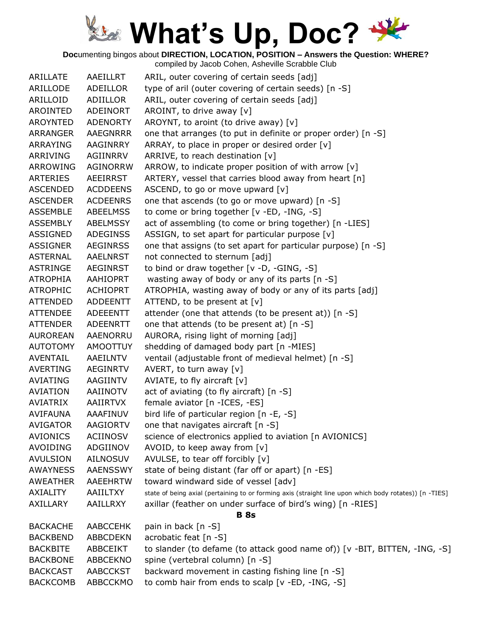**Doc**umenting bingos about **DIRECTION, LOCATION, POSITION – Answers the Question: WHERE?**

| ARILLATE        | AAEILLRT        | ARIL, outer covering of certain seeds [adj]                                                            |
|-----------------|-----------------|--------------------------------------------------------------------------------------------------------|
| ARILLODE        | ADEILLOR        | type of aril (outer covering of certain seeds) [n -S]                                                  |
| ARILLOID        | ADIILLOR        | ARIL, outer covering of certain seeds [adj]                                                            |
| AROINTED        | ADEINORT        | AROINT, to drive away [v]                                                                              |
| AROYNTED        | <b>ADENORTY</b> | AROYNT, to aroint (to drive away) [v]                                                                  |
| ARRANGER        | <b>AAEGNRRR</b> | one that arranges (to put in definite or proper order) [n -S]                                          |
| ARRAYING        | AAGINRRY        | ARRAY, to place in proper or desired order [v]                                                         |
| ARRIVING        | AGIINRRV        | ARRIVE, to reach destination [v]                                                                       |
| ARROWING        | <b>AGINORRW</b> | ARROW, to indicate proper position of with arrow $[v]$                                                 |
| <b>ARTERIES</b> | AEEIRRST        | ARTERY, vessel that carries blood away from heart [n]                                                  |
| <b>ASCENDED</b> | <b>ACDDEENS</b> | ASCEND, to go or move upward [v]                                                                       |
| <b>ASCENDER</b> | <b>ACDEENRS</b> | one that ascends (to go or move upward) [n -S]                                                         |
| <b>ASSEMBLE</b> | <b>ABEELMSS</b> | to come or bring together [v -ED, -ING, -S]                                                            |
| ASSEMBLY        | ABELMSSY        | act of assembling (to come or bring together) [n -LIES]                                                |
| <b>ASSIGNED</b> | <b>ADEGINSS</b> | ASSIGN, to set apart for particular purpose [v]                                                        |
| <b>ASSIGNER</b> | <b>AEGINRSS</b> | one that assigns (to set apart for particular purpose) [n -S]                                          |
| <b>ASTERNAL</b> | AAELNRST        | not connected to sternum [adj]                                                                         |
| <b>ASTRINGE</b> | AEGINRST        | to bind or draw together [v -D, -GING, -S]                                                             |
| <b>ATROPHIA</b> | AAHIOPRT        | wasting away of body or any of its parts [n -S]                                                        |
| <b>ATROPHIC</b> | ACHIOPRT        | ATROPHIA, wasting away of body or any of its parts [adj]                                               |
|                 |                 |                                                                                                        |
| <b>ATTENDED</b> | <b>ADDEENTT</b> | ATTEND, to be present at $[v]$                                                                         |
| <b>ATTENDEE</b> | ADEEENTT        | attender (one that attends (to be present at)) [n -S]                                                  |
| <b>ATTENDER</b> | ADEENRTT        | one that attends (to be present at) [n -S]                                                             |
| <b>AUROREAN</b> | <b>AAENORRU</b> | AURORA, rising light of morning [adj]                                                                  |
| <b>AUTOTOMY</b> | AMOOTTUY        | shedding of damaged body part [n -MIES]                                                                |
| AVENTAIL        | AAEILNTV        | ventail (adjustable front of medieval helmet) [n -S]                                                   |
| <b>AVERTING</b> | <b>AEGINRTV</b> | AVERT, to turn away [v]                                                                                |
| <b>AVIATING</b> | AAGIINTV        | AVIATE, to fly aircraft $[v]$                                                                          |
| <b>AVIATION</b> | AAIINOTV        | act of aviating (to fly aircraft) [n -S]                                                               |
| AVIATRIX        | AAIIRTVX        | female aviator [n - ICES, -ES]                                                                         |
| <b>AVIFAUNA</b> | AAAFINUV        | bird life of particular region [n -E, -S]                                                              |
| <b>AVIGATOR</b> | <b>AAGIORTV</b> | one that navigates aircraft [n -S]                                                                     |
| <b>AVIONICS</b> | <b>ACIINOSV</b> | science of electronics applied to aviation [n AVIONICS]                                                |
| AVOIDING        | ADGIINOV        | AVOID, to keep away from [v]                                                                           |
| <b>AVULSION</b> | <b>AILNOSUV</b> | AVULSE, to tear off forcibly [v]                                                                       |
| <b>AWAYNESS</b> | <b>AAENSSWY</b> | state of being distant (far off or apart) [n -ES]                                                      |
| <b>AWEATHER</b> | <b>AAEEHRTW</b> | toward windward side of vessel [adv]                                                                   |
| <b>AXIALITY</b> | AAIILTXY        | state of being axial (pertaining to or forming axis (straight line upon which body rotates)) [n -TIES] |
| <b>AXILLARY</b> | AAILLRXY        | axillar (feather on under surface of bird's wing) [n -RIES]                                            |
|                 |                 | <b>B</b> 8s                                                                                            |
| <b>BACKACHE</b> | <b>AABCCEHK</b> | pain in back [n -S]                                                                                    |
| <b>BACKBEND</b> | <b>ABBCDEKN</b> | acrobatic feat [n -S]                                                                                  |
| <b>BACKBITE</b> | ABBCEIKT        | to slander (to defame (to attack good name of)) [v -BIT, BITTEN, -ING, -S]                             |
| <b>BACKBONE</b> | ABBCEKNO        | spine (vertebral column) [n -S]                                                                        |
| <b>BACKCAST</b> | <b>AABCCKST</b> | backward movement in casting fishing line [n -S]                                                       |
| <b>BACKCOMB</b> | ABBCCKMO        | to comb hair from ends to scalp [v -ED, -ING, -S]                                                      |
|                 |                 |                                                                                                        |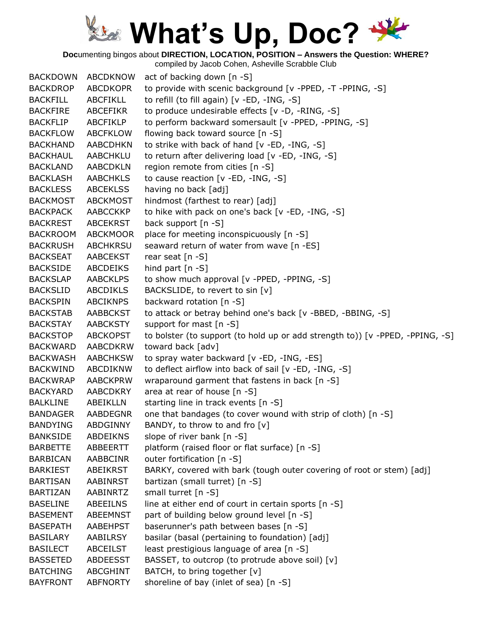**Doc**umenting bingos about **DIRECTION, LOCATION, POSITION – Answers the Question: WHERE?**

compiled by Jacob Cohen, Asheville Scrabble Club BACKDOWN ABCDKNOW act of backing down [n -S] BACKDROP ABCDKOPR to provide with scenic background [v -PPED, -T -PPING, -S] BACKFILL ABCFIKLL to refill (to fill again) [v -ED, -ING, -S] BACKFIRE ABCEFIKR to produce undesirable effects [v -D, -RING, -S] BACKFLIP ABCFIKLP to perform backward somersault [v -PPED, -PPING, -S] BACKFLOW ABCFKLOW flowing back toward source [n -S] BACKHAND AABCDHKN to strike with back of hand [v -ED, -ING, -S] BACKHAUL AABCHKLU to return after delivering load [v -ED, -ING, -S] BACKLAND AABCDKLN region remote from cities [n -S] BACKLASH AABCHKLS to cause reaction [v -ED, -ING, -S] BACKLESS ABCEKLSS having no back [adj] BACKMOST ABCKMOST hindmost (farthest to rear) [adj] BACKPACK AABCCKKP to hike with pack on one's back [v -ED, -ING, -S] BACKREST ABCEKRST back support [n -S] BACKROOM ABCKMOOR place for meeting inconspicuously [n -S] BACKRUSH ABCHKRSU seaward return of water from wave [n -ES] BACKSEAT AABCEKST rear seat [n -S] BACKSIDE ABCDEIKS hind part [n -S] BACKSLAP AABCKLPS to show much approval [v -PPED, -PPING, -S] BACKSLID ABCDIKLS BACKSLIDE, to revert to sin [v] BACKSPIN ABCIKNPS backward rotation [n -S] BACKSTAB AABBCKST to attack or betray behind one's back [v -BBED, -BBING, -S] BACKSTAY AABCKSTY support for mast [n -S] BACKSTOP ABCKOPST to bolster (to support (to hold up or add strength to)) [v -PPED, -PPING, -S] BACKWARD AABCDKRW toward back [adv] BACKWASH AABCHKSW to spray water backward [v -ED, -ING, -ES] BACKWIND ABCDIKNW to deflect airflow into back of sail [v -ED, -ING, -S] BACKWRAP AABCKPRW wraparound garment that fastens in back [n -S] BACKYARD AABCDKRY area at rear of house [n -S] BALKLINE ABEIKLLN starting line in track events [n -S] BANDAGER AABDEGNR one that bandages (to cover wound with strip of cloth) [n -S] BANDYING ABDGINNY BANDY, to throw to and fro [v] BANKSIDE ABDEIKNS slope of river bank [n -S] BARBETTE ABBEERTT platform (raised floor or flat surface) [n -S] BARBICAN AABBCINR outer fortification [n -S] BARKIEST ABEIKRST BARKY, covered with bark (tough outer covering of root or stem) [adj] BARTISAN AABINRST bartizan (small turret) [n -S] BARTIZAN AABINRTZ small turret [n -S] BASELINE ABEEILNS line at either end of court in certain sports [n -S] BASEMENT ABEEMNST part of building below ground level [n -S] BASEPATH AABEHPST baserunner's path between bases [n -S] BASILARY AABILRSY basilar (basal (pertaining to foundation) [adj] BASILECT ABCEILST least prestigious language of area [n -S] BASSETED ABDEESST BASSET, to outcrop (to protrude above soil) [v] BATCHING ABCGHINT BATCH, to bring together [v] BAYFRONT ABFNORTY shoreline of bay (inlet of sea) [n -S]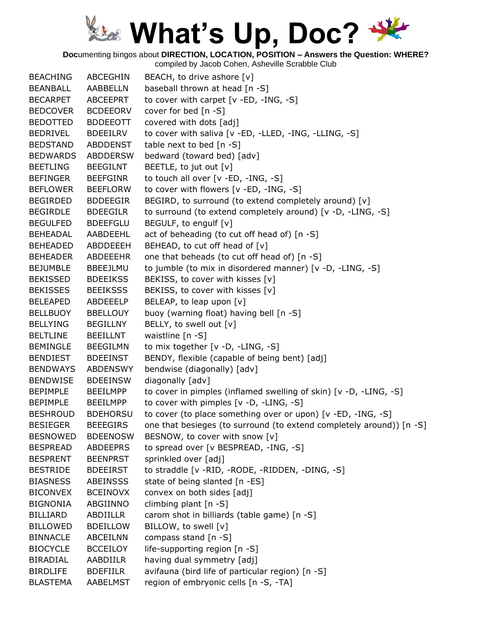**Doc**umenting bingos about **DIRECTION, LOCATION, POSITION – Answers the Question: WHERE?**

| <b>BEACHING</b> | ABCEGHIN        | BEACH, to drive ashore [v]                                           |
|-----------------|-----------------|----------------------------------------------------------------------|
| BEANBALL        | AABBELLN        | baseball thrown at head [n -S]                                       |
| <b>BECARPET</b> | ABCEEPRT        | to cover with carpet [v -ED, -ING, -S]                               |
| <b>BEDCOVER</b> | <b>BCDEEORV</b> | cover for bed $[n - S]$                                              |
| <b>BEDOTTED</b> | <b>BDDEEOTT</b> | covered with dots [adj]                                              |
| <b>BEDRIVEL</b> | <b>BDEEILRV</b> | to cover with saliva [v -ED, -LLED, -ING, -LLING, -S]                |
| <b>BEDSTAND</b> | <b>ABDDENST</b> | table next to bed $[n - S]$                                          |
| <b>BEDWARDS</b> | <b>ABDDERSW</b> | bedward (toward bed) [adv]                                           |
| <b>BEETLING</b> | <b>BEEGILNT</b> | BEETLE, to jut out [v]                                               |
| <b>BEFINGER</b> | <b>BEEFGINR</b> | to touch all over [v -ED, -ING, -S]                                  |
| <b>BEFLOWER</b> | <b>BEEFLORW</b> | to cover with flowers [v -ED, -ING, -S]                              |
| <b>BEGIRDED</b> | <b>BDDEEGIR</b> | BEGIRD, to surround (to extend completely around) [v]                |
| <b>BEGIRDLE</b> | <b>BDEEGILR</b> | to surround (to extend completely around) [v -D, -LING, -S]          |
| <b>BEGULFED</b> | <b>BDEEFGLU</b> | BEGULF, to engulf [v]                                                |
| BEHEADAL        | AABDEEHL        | act of beheading (to cut off head of) [n -S]                         |
| <b>BEHEADED</b> | ABDDEEEH        | BEHEAD, to cut off head of [v]                                       |
| <b>BEHEADER</b> | <b>ABDEEEHR</b> | one that beheads (to cut off head of) [n -S]                         |
| <b>BEJUMBLE</b> | <b>BBEEJLMU</b> | to jumble (to mix in disordered manner) [v -D, -LING, -S]            |
| BEKISSED        | <b>BDEEIKSS</b> | BEKISS, to cover with kisses [v]                                     |
| <b>BEKISSES</b> | <b>BEEIKSSS</b> | BEKISS, to cover with kisses [v]                                     |
| <b>BELEAPED</b> | ABDEEELP        | BELEAP, to leap upon [v]                                             |
| BELLBUOY        | <b>BBELLOUY</b> | buoy (warning float) having bell [n -S]                              |
| <b>BELLYING</b> | <b>BEGILLNY</b> | BELLY, to swell out [v]                                              |
| <b>BELTLINE</b> | <b>BEEILLNT</b> | waistline [n -S]                                                     |
| <b>BEMINGLE</b> | <b>BEEGILMN</b> | to mix together [v -D, -LING, -S]                                    |
| <b>BENDIEST</b> | <b>BDEEINST</b> | BENDY, flexible (capable of being bent) [adj]                        |
| <b>BENDWAYS</b> | <b>ABDENSWY</b> | bendwise (diagonally) [adv]                                          |
| <b>BENDWISE</b> | <b>BDEEINSW</b> | diagonally [adv]                                                     |
| <b>BEPIMPLE</b> | <b>BEEILMPP</b> | to cover in pimples (inflamed swelling of skin) [v -D, -LING, -S]    |
| <b>BEPIMPLE</b> | <b>BEEILMPP</b> | to cover with pimples [v -D, -LING, -S]                              |
| <b>BESHROUD</b> | <b>BDEHORSU</b> | to cover (to place something over or upon) [v -ED, -ING, -S]         |
| <b>BESIEGER</b> | <b>BEEEGIRS</b> | one that besieges (to surround (to extend completely around)) [n -S] |
| <b>BESNOWED</b> | <b>BDEENOSW</b> | BESNOW, to cover with snow [v]                                       |
| <b>BESPREAD</b> | <b>ABDEEPRS</b> | to spread over [v BESPREAD, -ING, -S]                                |
| <b>BESPRENT</b> | <b>BEENPRST</b> | sprinkled over [adj]                                                 |
| <b>BESTRIDE</b> | <b>BDEEIRST</b> | to straddle [v -RID, -RODE, -RIDDEN, -DING, -S]                      |
| <b>BIASNESS</b> | <b>ABEINSSS</b> | state of being slanted [n -ES]                                       |
| <b>BICONVEX</b> | <b>BCEINOVX</b> | convex on both sides [adj]                                           |
| <b>BIGNONIA</b> | ABGIINNO        | climbing plant $[n -S]$                                              |
| <b>BILLIARD</b> | ABDIILLR        | carom shot in billiards (table game) [n -S]                          |
| <b>BILLOWED</b> | <b>BDEILLOW</b> | BILLOW, to swell [v]                                                 |
| <b>BINNACLE</b> | <b>ABCEILNN</b> | compass stand [n -S]                                                 |
| <b>BIOCYCLE</b> | <b>BCCEILOY</b> | life-supporting region [n -S]                                        |
| BIRADIAL        | AABDIILR        | having dual symmetry [adj]                                           |
| <b>BIRDLIFE</b> | <b>BDEFIILR</b> | avifauna (bird life of particular region) [n -S]                     |
| <b>BLASTEMA</b> | AABELMST        | region of embryonic cells [n -S, -TA]                                |
|                 |                 |                                                                      |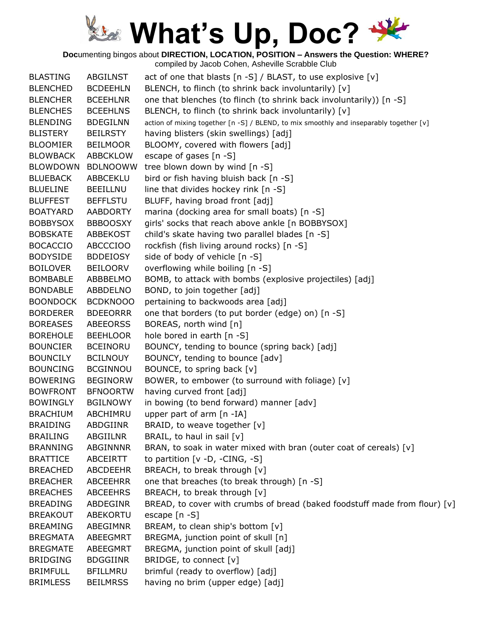**Doc**umenting bingos about **DIRECTION, LOCATION, POSITION – Answers the Question: WHERE?**

compiled by Jacob Cohen, Asheville Scrabble Club

BLASTING ABGILNST act of one that blasts [n -S] / BLAST, to use explosive [v] BLENCHED BCDEEHLN BLENCH, to flinch (to shrink back involuntarily) [v] BLENCHER BCEEHLNR one that blenches (to flinch (to shrink back involuntarily)) [n -S] BLENCHES BCEEHLNS BLENCH, to flinch (to shrink back involuntarily) [v] BLENDING BDEGILNN action of mixing together [n -S] / BLEND, to mix smoothly and inseparably together [v] BLISTERY BEILRSTY having blisters (skin swellings) [adj] BLOOMIER BEILMOOR BLOOMY, covered with flowers [adj] BLOWBACK ABBCKLOW escape of gases [n -S] BLOWDOWN BDLNOOWW tree blown down by wind [n -S] BLUEBACK ABBCEKLU bird or fish having bluish back [n -S] BLUELINE BEEILLNU line that divides hockey rink [n -S] BLUFFEST BEFFLSTU BLUFF, having broad front [adj] BOATYARD AABDORTY marina (docking area for small boats) [n -S] BOBBYSOX BBBOOSXY girls' socks that reach above ankle [n BOBBYSOX] BOBSKATE ABBEKOST child's skate having two parallel blades [n -S] BOCACCIO ABCCCIOO rockfish (fish living around rocks) [n -S] BODYSIDE BDDEIOSY side of body of vehicle [n -S] BOILOVER BEILOORV overflowing while boiling [n -S] BOMBABLE ABBBELMO BOMB, to attack with bombs (explosive projectiles) [adj] BONDABLE ABBDELNO BOND, to join together [adj] BOONDOCK BCDKNOOO pertaining to backwoods area [adj] BORDERER BDEEORRR one that borders (to put border (edge) on) [n -S] BOREASES ABEEORSS BOREAS, north wind [n] BOREHOLE BEEHLOOR hole bored in earth [n -S] BOUNCIER BCEINORU BOUNCY, tending to bounce (spring back) [adj] BOUNCILY BCILNOUY BOUNCY, tending to bounce [adv] BOUNCING BCGINNOU BOUNCE, to spring back [v] BOWERING BEGINORW BOWER, to embower (to surround with foliage) [v] BOWFRONT BFNOORTW having curved front [adj] BOWINGLY BGILNOWY in bowing (to bend forward) manner [adv] BRACHIUM ABCHIMRU upper part of arm [n -IA] BRAIDING ABDGIINR BRAID, to weave together [v] BRAILING ABGIILNR BRAIL, to haul in sail [v] BRANNING ABGINNNR BRAN, to soak in water mixed with bran (outer coat of cereals) [v] BRATTICE ABCEIRTT to partition [v -D, -CING, -S] BREACHED ABCDEEHR BREACH, to break through [v] BREACHER ABCEEHRR one that breaches (to break through) [n -S] BREACHES ABCEEHRS BREACH, to break through [v] BREADING ABDEGINR BREAD, to cover with crumbs of bread (baked foodstuff made from flour)  $[v]$ BREAKOUT ABEKORTU escape [n -S] BREAMING ABEGIMNR BREAM, to clean ship's bottom [v] BREGMATA ABEEGMRT BREGMA, junction point of skull [n] BREGMATE ABEEGMRT BREGMA, junction point of skull [adj] BRIDGING BDGGIINR BRIDGE, to connect [v] BRIMFULL BFILLMRU brimful (ready to overflow) [adj] BRIMLESS BEILMRSS having no brim (upper edge) [adj]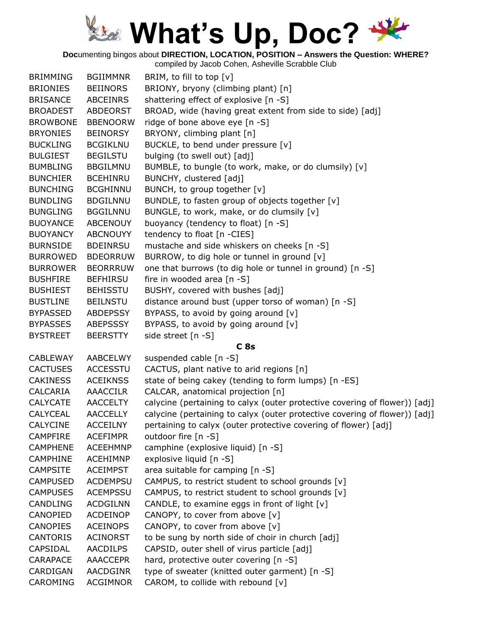**Doc**umenting bingos about **DIRECTION, LOCATION, POSITION – Answers the Question: WHERE?**

| <b>BRIMMING</b> | <b>BGIIMMNR</b> | BRIM, to fill to top [v]                                                   |
|-----------------|-----------------|----------------------------------------------------------------------------|
| <b>BRIONIES</b> | <b>BEIINORS</b> | BRIONY, bryony (climbing plant) [n]                                        |
| <b>BRISANCE</b> | <b>ABCEINRS</b> | shattering effect of explosive [n -S]                                      |
| <b>BROADEST</b> | <b>ABDEORST</b> | BROAD, wide (having great extent from side to side) [adj]                  |
| <b>BROWBONE</b> | <b>BBENOORW</b> | ridge of bone above eye [n -S]                                             |
| <b>BRYONIES</b> | <b>BEINORSY</b> | BRYONY, climbing plant [n]                                                 |
| <b>BUCKLING</b> | <b>BCGIKLNU</b> | BUCKLE, to bend under pressure [v]                                         |
| <b>BULGIEST</b> | <b>BEGILSTU</b> | bulging (to swell out) [adj]                                               |
| <b>BUMBLING</b> | <b>BBGILMNU</b> | BUMBLE, to bungle (to work, make, or do clumsily) [v]                      |
| <b>BUNCHIER</b> | <b>BCEHINRU</b> | BUNCHY, clustered [adj]                                                    |
| <b>BUNCHING</b> | <b>BCGHINNU</b> | BUNCH, to group together [v]                                               |
| <b>BUNDLING</b> | <b>BDGILNNU</b> | BUNDLE, to fasten group of objects together [v]                            |
| <b>BUNGLING</b> | <b>BGGILNNU</b> | BUNGLE, to work, make, or do clumsily [v]                                  |
| <b>BUOYANCE</b> | <b>ABCENOUY</b> | buoyancy (tendency to float) [n -S]                                        |
| <b>BUOYANCY</b> | <b>ABCNOUYY</b> | tendency to float [n -CIES]                                                |
| <b>BURNSIDE</b> | <b>BDEINRSU</b> | mustache and side whiskers on cheeks [n -S]                                |
| <b>BURROWED</b> | <b>BDEORRUW</b> | BURROW, to dig hole or tunnel in ground [v]                                |
| <b>BURROWER</b> | <b>BEORRRUW</b> | one that burrows (to dig hole or tunnel in ground) [n -S]                  |
| <b>BUSHFIRE</b> | <b>BEFHIRSU</b> | fire in wooded area [n -S]                                                 |
| <b>BUSHIEST</b> | <b>BEHISSTU</b> | BUSHY, covered with bushes [adj]                                           |
| <b>BUSTLINE</b> | <b>BEILNSTU</b> | distance around bust (upper torso of woman) [n -S]                         |
| <b>BYPASSED</b> | <b>ABDEPSSY</b> | BYPASS, to avoid by going around [v]                                       |
| <b>BYPASSES</b> | ABEPSSSY        | BYPASS, to avoid by going around [v]                                       |
| <b>BYSTREET</b> | <b>BEERSTTY</b> | side street [n -S]                                                         |
|                 |                 | C <sub>8s</sub>                                                            |
| <b>CABLEWAY</b> | AABCELWY        | suspended cable [n -S]                                                     |
| <b>CACTUSES</b> | <b>ACCESSTU</b> | CACTUS, plant native to arid regions [n]                                   |
| <b>CAKINESS</b> | <b>ACEIKNSS</b> | state of being cakey (tending to form lumps) [n -ES]                       |
| CALCARIA        | AAACCILR        | CALCAR, anatomical projection [n]                                          |
| <b>CALYCATE</b> | <b>AACCELTY</b> | calycine (pertaining to calyx (outer protective covering of flower)) [adj] |
| CALYCEAL        | <b>AACCELLY</b> | calycine (pertaining to calyx (outer protective covering of flower)) [adj] |
| <b>CALYCINE</b> | <b>ACCEILNY</b> | pertaining to calyx (outer protective covering of flower) [adj]            |
| <b>CAMPFIRE</b> | <b>ACEFIMPR</b> | outdoor fire [n -S]                                                        |
| <b>CAMPHENE</b> | <b>ACEEHMNP</b> | camphine (explosive liquid) [n -S]                                         |
| <b>CAMPHINE</b> | <b>ACEHIMNP</b> | explosive liquid [n -S]                                                    |
| <b>CAMPSITE</b> | <b>ACEIMPST</b> | area suitable for camping [n -S]                                           |
| <b>CAMPUSED</b> | <b>ACDEMPSU</b> | CAMPUS, to restrict student to school grounds [v]                          |
| <b>CAMPUSES</b> | <b>ACEMPSSU</b> | CAMPUS, to restrict student to school grounds [v]                          |
| <b>CANDLING</b> | <b>ACDGILNN</b> | CANDLE, to examine eggs in front of light [v]                              |
| CANOPIED        | ACDEINOP        | CANOPY, to cover from above [v]                                            |
| <b>CANOPIES</b> | <b>ACEINOPS</b> | CANOPY, to cover from above [v]                                            |
| <b>CANTORIS</b> | <b>ACINORST</b> | to be sung by north side of choir in church [adj]                          |
| CAPSIDAL        | <b>AACDILPS</b> | CAPSID, outer shell of virus particle [adj]                                |
| <b>CARAPACE</b> | <b>AAACCEPR</b> | hard, protective outer covering [n -S]                                     |
| CARDIGAN        | <b>AACDGINR</b> | type of sweater (knitted outer garment) [n -S]                             |
| CAROMING        | <b>ACGIMNOR</b> | CAROM, to collide with rebound [v]                                         |
|                 |                 |                                                                            |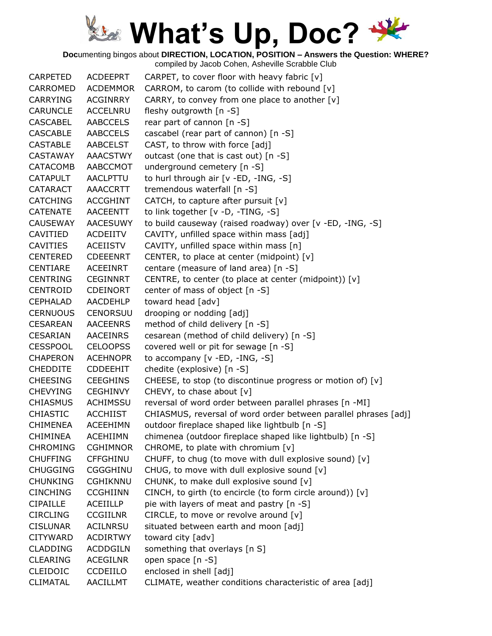**Doc**umenting bingos about **DIRECTION, LOCATION, POSITION – Answers the Question: WHERE?**

| <b>CARPETED</b> | <b>ACDEEPRT</b> | CARPET, to cover floor with heavy fabric [v]                    |
|-----------------|-----------------|-----------------------------------------------------------------|
| CARROMED        | <b>ACDEMMOR</b> | CARROM, to carom (to collide with rebound [v]                   |
| <b>CARRYING</b> | <b>ACGINRRY</b> | CARRY, to convey from one place to another [v]                  |
| <b>CARUNCLE</b> | <b>ACCELNRU</b> | fleshy outgrowth [n -S]                                         |
| <b>CASCABEL</b> | <b>AABCCELS</b> | rear part of cannon [n -S]                                      |
| <b>CASCABLE</b> | <b>AABCCELS</b> | cascabel (rear part of cannon) [n -S]                           |
| <b>CASTABLE</b> | <b>AABCELST</b> | CAST, to throw with force [adj]                                 |
| <b>CASTAWAY</b> | <b>AAACSTWY</b> | outcast (one that is cast out) [n -S]                           |
| <b>CATACOMB</b> | AABCCMOT        | underground cemetery [n -S]                                     |
| <b>CATAPULT</b> | AACLPTTU        | to hurl through air [v -ED, -ING, -S]                           |
| <b>CATARACT</b> | AAACCRTT        | tremendous waterfall [n -S]                                     |
| <b>CATCHING</b> | <b>ACCGHINT</b> | CATCH, to capture after pursuit $[v]$                           |
| <b>CATENATE</b> | <b>AACEENTT</b> | to link together [v -D, -TING, -S]                              |
| <b>CAUSEWAY</b> | <b>AACESUWY</b> | to build causeway (raised roadway) over [v -ED, -ING, -S]       |
| CAVITIED        | <b>ACDEIITV</b> | CAVITY, unfilled space within mass [adj]                        |
| <b>CAVITIES</b> | <b>ACEIISTV</b> | CAVITY, unfilled space within mass [n]                          |
| <b>CENTERED</b> | <b>CDEEENRT</b> | CENTER, to place at center (midpoint) [v]                       |
| <b>CENTIARE</b> | <b>ACEEINRT</b> | centare (measure of land area) [n -S]                           |
| <b>CENTRING</b> | <b>CEGINNRT</b> | CENTRE, to center (to place at center (midpoint)) [v]           |
| <b>CENTROID</b> | <b>CDEINORT</b> | center of mass of object [n -S]                                 |
| <b>CEPHALAD</b> | AACDEHLP        | toward head [adv]                                               |
| <b>CERNUOUS</b> | <b>CENORSUU</b> | drooping or nodding [adj]                                       |
| <b>CESAREAN</b> | <b>AACEENRS</b> | method of child delivery [n -S]                                 |
| <b>CESARIAN</b> | <b>AACEINRS</b> | cesarean (method of child delivery) [n -S]                      |
| <b>CESSPOOL</b> | <b>CELOOPSS</b> | covered well or pit for sewage [n -S]                           |
| <b>CHAPERON</b> | <b>ACEHNOPR</b> | to accompany [v - ED, - ING, - S]                               |
| <b>CHEDDITE</b> | <b>CDDEEHIT</b> | chedite (explosive) [n -S]                                      |
| <b>CHEESING</b> | <b>CEEGHINS</b> | CHEESE, to stop (to discontinue progress or motion of) [v]      |
| <b>CHEVYING</b> | <b>CEGHINVY</b> | CHEVY, to chase about [v]                                       |
| <b>CHIASMUS</b> | ACHIMSSU        | reversal of word order between parallel phrases [n -MI]         |
| <b>CHIASTIC</b> | <b>ACCHIIST</b> | CHIASMUS, reversal of word order between parallel phrases [adj] |
| <b>CHIMENEA</b> | <b>ACEEHIMN</b> | outdoor fireplace shaped like lightbulb [n -S]                  |
| <b>CHIMINEA</b> | <b>ACEHIIMN</b> | chimenea (outdoor fireplace shaped like lightbulb) [n -S]       |
| <b>CHROMING</b> | <b>CGHIMNOR</b> | CHROME, to plate with chromium [v]                              |
| <b>CHUFFING</b> | <b>CFFGHINU</b> | CHUFF, to chug (to move with dull explosive sound) [v]          |
| <b>CHUGGING</b> | <b>CGGGHINU</b> | CHUG, to move with dull explosive sound [v]                     |
| <b>CHUNKING</b> | <b>CGHIKNNU</b> | CHUNK, to make dull explosive sound [v]                         |
| <b>CINCHING</b> | <b>CCGHIINN</b> | CINCH, to girth (to encircle (to form circle around)) [v]       |
| <b>CIPAILLE</b> | <b>ACEIILLP</b> | pie with layers of meat and pastry [n -S]                       |
| <b>CIRCLING</b> | <b>CCGIILNR</b> | CIRCLE, to move or revolve around [v]                           |
| <b>CISLUNAR</b> | <b>ACILNRSU</b> | situated between earth and moon [adj]                           |
| <b>CITYWARD</b> | <b>ACDIRTWY</b> | toward city [adv]                                               |
| <b>CLADDING</b> | <b>ACDDGILN</b> | something that overlays [n S]                                   |
| <b>CLEARING</b> | <b>ACEGILNR</b> | open space [n -S]                                               |
| <b>CLEIDOIC</b> | CCDEIILO        | enclosed in shell [adj]                                         |
| <b>CLIMATAL</b> | AACILLMT        | CLIMATE, weather conditions characteristic of area [adj]        |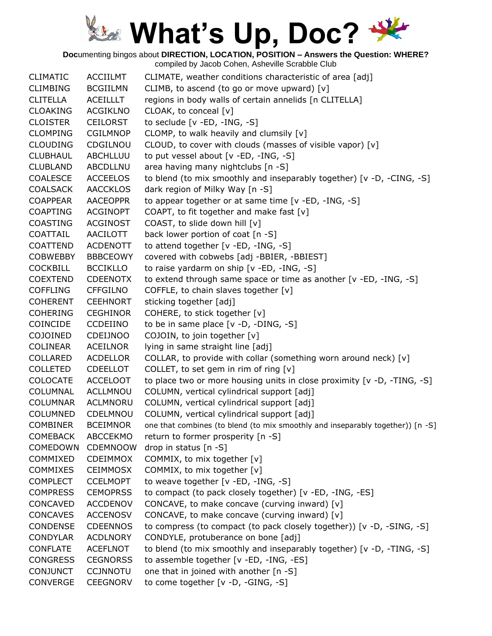**Doc**umenting bingos about **DIRECTION, LOCATION, POSITION – Answers the Question: WHERE?**

| <b>CLIMATIC</b> | <b>ACCIILMT</b> | CLIMATE, weather conditions characteristic of area [adj]                       |
|-----------------|-----------------|--------------------------------------------------------------------------------|
| <b>CLIMBING</b> | <b>BCGIILMN</b> | CLIMB, to ascend (to go or move upward) [v]                                    |
| <b>CLITELLA</b> | ACEILLLT        | regions in body walls of certain annelids [n CLITELLA]                         |
| <b>CLOAKING</b> | <b>ACGIKLNO</b> | CLOAK, to conceal [v]                                                          |
| <b>CLOISTER</b> | <b>CEILORST</b> | to seclude $[v - ED, -ING, -S]$                                                |
| <b>CLOMPING</b> | <b>CGILMNOP</b> | CLOMP, to walk heavily and clumsily [v]                                        |
| <b>CLOUDING</b> | CDGILNOU        | CLOUD, to cover with clouds (masses of visible vapor) [v]                      |
| <b>CLUBHAUL</b> | ABCHLLUU        | to put vessel about [v -ED, -ING, -S]                                          |
| <b>CLUBLAND</b> | ABCDLLNU        | area having many nightclubs [n -S]                                             |
| <b>COALESCE</b> | <b>ACCEELOS</b> | to blend (to mix smoothly and inseparably together) [v -D, -CING, -S]          |
| <b>COALSACK</b> | <b>AACCKLOS</b> | dark region of Milky Way [n -S]                                                |
| <b>COAPPEAR</b> | <b>AACEOPPR</b> | to appear together or at same time [v -ED, -ING, -S]                           |
| <b>COAPTING</b> | <b>ACGINOPT</b> | COAPT, to fit together and make fast [v]                                       |
| <b>COASTING</b> | <b>ACGINOST</b> | COAST, to slide down hill [v]                                                  |
| COATTAIL        | AACILOTT        | back lower portion of coat [n -S]                                              |
| <b>COATTEND</b> | <b>ACDENOTT</b> | to attend together [v -ED, -ING, -S]                                           |
| <b>COBWEBBY</b> | <b>BBBCEOWY</b> | covered with cobwebs [adj -BBIER, -BBIEST]                                     |
| <b>COCKBILL</b> | <b>BCCIKLLO</b> | to raise yardarm on ship [v -ED, -ING, -S]                                     |
| <b>COEXTEND</b> | <b>CDEENOTX</b> | to extend through same space or time as another [v -ED, -ING, -S]              |
| <b>COFFLING</b> | <b>CFFGILNO</b> | COFFLE, to chain slaves together [v]                                           |
| <b>COHERENT</b> | <b>CEEHNORT</b> | sticking together [adj]                                                        |
| <b>COHERING</b> | <b>CEGHINOR</b> | COHERE, to stick together [v]                                                  |
| <b>COINCIDE</b> | <b>CCDEIINO</b> | to be in same place [v -D, -DING, -S]                                          |
| <b>COJOINED</b> | <b>CDEIJNOO</b> | COJOIN, to join together [v]                                                   |
| <b>COLINEAR</b> | <b>ACEILNOR</b> | lying in same straight line [adj]                                              |
| COLLARED        | <b>ACDELLOR</b> | COLLAR, to provide with collar (something worn around neck) [v]                |
| <b>COLLETED</b> | <b>CDEELLOT</b> | COLLET, to set gem in rim of ring [v]                                          |
| <b>COLOCATE</b> | <b>ACCELOOT</b> | to place two or more housing units in close proximity [v -D, -TING, -S]        |
| COLUMNAL        | ACLLMNOU        | COLUMN, vertical cylindrical support [adj]                                     |
| <b>COLUMNAR</b> | <b>ACLMNORU</b> | COLUMN, vertical cylindrical support [adj]                                     |
| COLUMNED        | CDELMNOU        | COLUMN, vertical cylindrical support [adj]                                     |
| <b>COMBINER</b> | <b>BCEIMNOR</b> | one that combines (to blend (to mix smoothly and inseparably together)) [n -S] |
| <b>COMEBACK</b> | <b>ABCCEKMO</b> | return to former prosperity [n -S]                                             |
| COMEDOWN        | <b>CDEMNOOW</b> | drop in status [n -S]                                                          |
| COMMIXED        | <b>CDEIMMOX</b> | COMMIX, to mix together [v]                                                    |
| <b>COMMIXES</b> | <b>CEIMMOSX</b> | COMMIX, to mix together [v]                                                    |
| <b>COMPLECT</b> | <b>CCELMOPT</b> | to weave together [v -ED, -ING, -S]                                            |
| <b>COMPRESS</b> | <b>CEMOPRSS</b> | to compact (to pack closely together) [v -ED, -ING, -ES]                       |
| CONCAVED        | <b>ACCDENOV</b> | CONCAVE, to make concave (curving inward) [v]                                  |
| <b>CONCAVES</b> | <b>ACCENOSV</b> | CONCAVE, to make concave (curving inward) [v]                                  |
| <b>CONDENSE</b> | <b>CDEENNOS</b> | to compress (to compact (to pack closely together)) [v -D, -SING, -S]          |
| <b>CONDYLAR</b> | <b>ACDLNORY</b> | CONDYLE, protuberance on bone [adj]                                            |
| <b>CONFLATE</b> | <b>ACEFLNOT</b> | to blend (to mix smoothly and inseparably together) [v -D, -TING, -S]          |
| <b>CONGRESS</b> | <b>CEGNORSS</b> | to assemble together [v -ED, -ING, -ES]                                        |
| <b>CONJUNCT</b> | <b>CCJNNOTU</b> | one that in joined with another [n -S]                                         |
| <b>CONVERGE</b> | <b>CEEGNORV</b> | to come together [v -D, -GING, -S]                                             |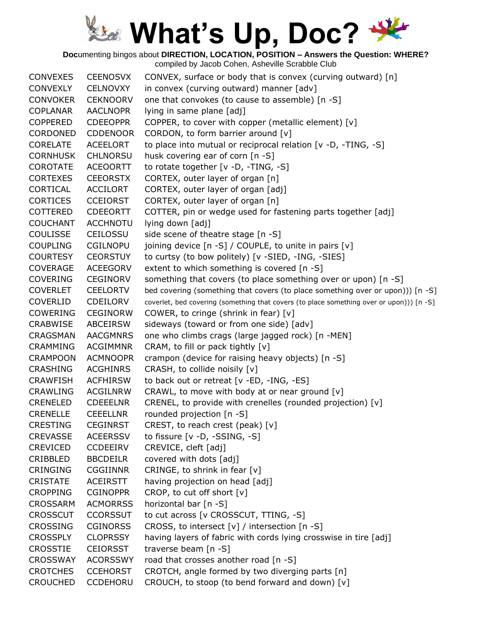**Doc**umenting bingos about **DIRECTION, LOCATION, POSITION – Answers the Question: WHERE?**

| in convex (curving outward) manner [adv]<br>CONVEXLY<br><b>CELNOVXY</b><br>one that convokes (to cause to assemble) [n -S]<br><b>CONVOKER</b><br><b>CEKNOORV</b><br><b>COPLANAR</b><br><b>AACLNOPR</b><br>lying in same plane [adj]<br>COPPER, to cover with copper (metallic element) [v]<br><b>COPPERED</b><br><b>CDEEOPPR</b><br>CORDONED<br><b>CDDENOOR</b><br>CORDON, to form barrier around [v]<br>to place into mutual or reciprocal relation [v -D, -TING, -S]<br><b>CORELATE</b><br><b>ACEELORT</b><br>husk covering ear of corn [n -S]<br><b>CORNHUSK</b><br><b>CHLNORSU</b><br>COROTATE<br>to rotate together [v -D, -TING, -S]<br><b>ACEOORTT</b><br><b>CORTEXES</b><br><b>CEEORSTX</b><br>CORTEX, outer layer of organ [n]<br>CORTICAL<br><b>ACCILORT</b><br>CORTEX, outer layer of organ [adj]<br><b>CORTICES</b><br><b>CCEIORST</b><br>CORTEX, outer layer of organ [n]<br><b>COTTERED</b><br><b>CDEEORTT</b><br>COTTER, pin or wedge used for fastening parts together [adj]<br><b>ACCHNOTU</b><br>lying down [adj]<br><b>COUCHANT</b><br><b>COULISSE</b><br>CEILOSSU<br>side scene of theatre stage [n -S]<br><b>COUPLING</b><br><b>CGILNOPU</b><br>joining device [n -S] / COUPLE, to unite in pairs [v]<br>to curtsy (to bow politely) [v -SIED, -ING, -SIES]<br><b>COURTESY</b><br><b>CEORSTUY</b><br><b>ACEEGORV</b><br>extent to which something is covered [n -S]<br><b>COVERAGE</b><br>something that covers (to place something over or upon) [n -S]<br>COVERING<br><b>CEGINORV</b><br><b>COVERLET</b><br><b>CEELORTV</b><br>bed covering (something that covers (to place something over or upon))) [n -S]<br><b>COVERLID</b><br>CDEILORV<br>coverlet, bed covering (something that covers (to place something over or upon))) [n -S]<br><b>COWERING</b><br><b>CEGINORW</b><br>COWER, to cringe (shrink in fear) $[v]$<br>sideways (toward or from one side) [adv]<br>CRABWISE<br>ABCEIRSW<br>one who climbs crags (large jagged rock) [n -MEN]<br>CRAGSMAN<br><b>AACGMNRS</b><br><b>ACGIMMNR</b><br>CRAM, to fill or pack tightly [v]<br><b>CRAMMING</b><br>crampon (device for raising heavy objects) [n -S]<br><b>CRAMPOON</b><br><b>ACMNOOPR</b><br><b>CRASHING</b><br><b>ACGHINRS</b><br>CRASH, to collide noisily [v]<br><b>CRAWFISH</b><br><b>ACFHIRSW</b><br>to back out or retreat [v -ED, -ING, -ES]<br>CRAWL, to move with body at or near ground [v]<br><b>CRAWLING</b><br><b>ACGILNRW</b><br>CRENEL, to provide with crenelles (rounded projection) [v]<br>CRENELED<br><b>CDEEELNR</b><br>rounded projection [n -S]<br><b>CRENELLE</b><br><b>CEEELLNR</b><br>CREST, to reach crest (peak) [v]<br><b>CRESTING</b><br><b>CEGINRST</b><br><b>CREVASSE</b><br><b>ACEERSSV</b><br>to fissure $[v -D, -SSING, -S]$<br><b>CREVICED</b><br><b>CCDEEIRV</b><br>CREVICE, cleft [adj]<br>CRIBBLED<br>covered with dots [adj]<br><b>BBCDEILR</b><br><b>CRINGING</b><br><b>CGGIINNR</b><br>CRINGE, to shrink in fear [v]<br><b>CRISTATE</b><br><b>ACEIRSTT</b><br>having projection on head [adj]<br>CROP, to cut off short [v]<br><b>CROPPING</b><br><b>CGINOPPR</b><br><b>CROSSARM</b><br><b>ACMORRSS</b><br>horizontal bar [n -S]<br><b>CROSSCUT</b><br><b>CCORSSUT</b><br>to cut across [v CROSSCUT, TTING, -S]<br>CROSS, to intersect [v] / intersection [n -S]<br><b>CROSSING</b><br><b>CGINORSS</b><br>having layers of fabric with cords lying crosswise in tire [adj]<br><b>CROSSPLY</b><br><b>CLOPRSSY</b><br><b>CROSSTIE</b><br><b>CEIORSST</b><br>traverse beam [n -S]<br><b>CROSSWAY</b><br>road that crosses another road [n -S]<br><b>ACORSSWY</b><br>CROTCH, angle formed by two diverging parts [n]<br><b>CROTCHES</b><br><b>CCEHORST</b> | <b>CONVEXES</b> | <b>CEENOSVX</b> | CONVEX, surface or body that is convex (curving outward) [n] |
|--------------------------------------------------------------------------------------------------------------------------------------------------------------------------------------------------------------------------------------------------------------------------------------------------------------------------------------------------------------------------------------------------------------------------------------------------------------------------------------------------------------------------------------------------------------------------------------------------------------------------------------------------------------------------------------------------------------------------------------------------------------------------------------------------------------------------------------------------------------------------------------------------------------------------------------------------------------------------------------------------------------------------------------------------------------------------------------------------------------------------------------------------------------------------------------------------------------------------------------------------------------------------------------------------------------------------------------------------------------------------------------------------------------------------------------------------------------------------------------------------------------------------------------------------------------------------------------------------------------------------------------------------------------------------------------------------------------------------------------------------------------------------------------------------------------------------------------------------------------------------------------------------------------------------------------------------------------------------------------------------------------------------------------------------------------------------------------------------------------------------------------------------------------------------------------------------------------------------------------------------------------------------------------------------------------------------------------------------------------------------------------------------------------------------------------------------------------------------------------------------------------------------------------------------------------------------------------------------------------------------------------------------------------------------------------------------------------------------------------------------------------------------------------------------------------------------------------------------------------------------------------------------------------------------------------------------------------------------------------------------------------------------------------------------------------------------------------------------------------------------------------------------------------------------------------------------------------------------------------------------------------------------------------------------------------------------------------------------------------------------------------------------------------------------------------------------------------------------------------------------------------------------------------------------------------------------------------------------------------------------------------------------------------------------------------|-----------------|-----------------|--------------------------------------------------------------|
|                                                                                                                                                                                                                                                                                                                                                                                                                                                                                                                                                                                                                                                                                                                                                                                                                                                                                                                                                                                                                                                                                                                                                                                                                                                                                                                                                                                                                                                                                                                                                                                                                                                                                                                                                                                                                                                                                                                                                                                                                                                                                                                                                                                                                                                                                                                                                                                                                                                                                                                                                                                                                                                                                                                                                                                                                                                                                                                                                                                                                                                                                                                                                                                                                                                                                                                                                                                                                                                                                                                                                                                                                                                                                      |                 |                 |                                                              |
|                                                                                                                                                                                                                                                                                                                                                                                                                                                                                                                                                                                                                                                                                                                                                                                                                                                                                                                                                                                                                                                                                                                                                                                                                                                                                                                                                                                                                                                                                                                                                                                                                                                                                                                                                                                                                                                                                                                                                                                                                                                                                                                                                                                                                                                                                                                                                                                                                                                                                                                                                                                                                                                                                                                                                                                                                                                                                                                                                                                                                                                                                                                                                                                                                                                                                                                                                                                                                                                                                                                                                                                                                                                                                      |                 |                 |                                                              |
|                                                                                                                                                                                                                                                                                                                                                                                                                                                                                                                                                                                                                                                                                                                                                                                                                                                                                                                                                                                                                                                                                                                                                                                                                                                                                                                                                                                                                                                                                                                                                                                                                                                                                                                                                                                                                                                                                                                                                                                                                                                                                                                                                                                                                                                                                                                                                                                                                                                                                                                                                                                                                                                                                                                                                                                                                                                                                                                                                                                                                                                                                                                                                                                                                                                                                                                                                                                                                                                                                                                                                                                                                                                                                      |                 |                 |                                                              |
|                                                                                                                                                                                                                                                                                                                                                                                                                                                                                                                                                                                                                                                                                                                                                                                                                                                                                                                                                                                                                                                                                                                                                                                                                                                                                                                                                                                                                                                                                                                                                                                                                                                                                                                                                                                                                                                                                                                                                                                                                                                                                                                                                                                                                                                                                                                                                                                                                                                                                                                                                                                                                                                                                                                                                                                                                                                                                                                                                                                                                                                                                                                                                                                                                                                                                                                                                                                                                                                                                                                                                                                                                                                                                      |                 |                 |                                                              |
|                                                                                                                                                                                                                                                                                                                                                                                                                                                                                                                                                                                                                                                                                                                                                                                                                                                                                                                                                                                                                                                                                                                                                                                                                                                                                                                                                                                                                                                                                                                                                                                                                                                                                                                                                                                                                                                                                                                                                                                                                                                                                                                                                                                                                                                                                                                                                                                                                                                                                                                                                                                                                                                                                                                                                                                                                                                                                                                                                                                                                                                                                                                                                                                                                                                                                                                                                                                                                                                                                                                                                                                                                                                                                      |                 |                 |                                                              |
|                                                                                                                                                                                                                                                                                                                                                                                                                                                                                                                                                                                                                                                                                                                                                                                                                                                                                                                                                                                                                                                                                                                                                                                                                                                                                                                                                                                                                                                                                                                                                                                                                                                                                                                                                                                                                                                                                                                                                                                                                                                                                                                                                                                                                                                                                                                                                                                                                                                                                                                                                                                                                                                                                                                                                                                                                                                                                                                                                                                                                                                                                                                                                                                                                                                                                                                                                                                                                                                                                                                                                                                                                                                                                      |                 |                 |                                                              |
|                                                                                                                                                                                                                                                                                                                                                                                                                                                                                                                                                                                                                                                                                                                                                                                                                                                                                                                                                                                                                                                                                                                                                                                                                                                                                                                                                                                                                                                                                                                                                                                                                                                                                                                                                                                                                                                                                                                                                                                                                                                                                                                                                                                                                                                                                                                                                                                                                                                                                                                                                                                                                                                                                                                                                                                                                                                                                                                                                                                                                                                                                                                                                                                                                                                                                                                                                                                                                                                                                                                                                                                                                                                                                      |                 |                 |                                                              |
|                                                                                                                                                                                                                                                                                                                                                                                                                                                                                                                                                                                                                                                                                                                                                                                                                                                                                                                                                                                                                                                                                                                                                                                                                                                                                                                                                                                                                                                                                                                                                                                                                                                                                                                                                                                                                                                                                                                                                                                                                                                                                                                                                                                                                                                                                                                                                                                                                                                                                                                                                                                                                                                                                                                                                                                                                                                                                                                                                                                                                                                                                                                                                                                                                                                                                                                                                                                                                                                                                                                                                                                                                                                                                      |                 |                 |                                                              |
|                                                                                                                                                                                                                                                                                                                                                                                                                                                                                                                                                                                                                                                                                                                                                                                                                                                                                                                                                                                                                                                                                                                                                                                                                                                                                                                                                                                                                                                                                                                                                                                                                                                                                                                                                                                                                                                                                                                                                                                                                                                                                                                                                                                                                                                                                                                                                                                                                                                                                                                                                                                                                                                                                                                                                                                                                                                                                                                                                                                                                                                                                                                                                                                                                                                                                                                                                                                                                                                                                                                                                                                                                                                                                      |                 |                 |                                                              |
|                                                                                                                                                                                                                                                                                                                                                                                                                                                                                                                                                                                                                                                                                                                                                                                                                                                                                                                                                                                                                                                                                                                                                                                                                                                                                                                                                                                                                                                                                                                                                                                                                                                                                                                                                                                                                                                                                                                                                                                                                                                                                                                                                                                                                                                                                                                                                                                                                                                                                                                                                                                                                                                                                                                                                                                                                                                                                                                                                                                                                                                                                                                                                                                                                                                                                                                                                                                                                                                                                                                                                                                                                                                                                      |                 |                 |                                                              |
|                                                                                                                                                                                                                                                                                                                                                                                                                                                                                                                                                                                                                                                                                                                                                                                                                                                                                                                                                                                                                                                                                                                                                                                                                                                                                                                                                                                                                                                                                                                                                                                                                                                                                                                                                                                                                                                                                                                                                                                                                                                                                                                                                                                                                                                                                                                                                                                                                                                                                                                                                                                                                                                                                                                                                                                                                                                                                                                                                                                                                                                                                                                                                                                                                                                                                                                                                                                                                                                                                                                                                                                                                                                                                      |                 |                 |                                                              |
|                                                                                                                                                                                                                                                                                                                                                                                                                                                                                                                                                                                                                                                                                                                                                                                                                                                                                                                                                                                                                                                                                                                                                                                                                                                                                                                                                                                                                                                                                                                                                                                                                                                                                                                                                                                                                                                                                                                                                                                                                                                                                                                                                                                                                                                                                                                                                                                                                                                                                                                                                                                                                                                                                                                                                                                                                                                                                                                                                                                                                                                                                                                                                                                                                                                                                                                                                                                                                                                                                                                                                                                                                                                                                      |                 |                 |                                                              |
|                                                                                                                                                                                                                                                                                                                                                                                                                                                                                                                                                                                                                                                                                                                                                                                                                                                                                                                                                                                                                                                                                                                                                                                                                                                                                                                                                                                                                                                                                                                                                                                                                                                                                                                                                                                                                                                                                                                                                                                                                                                                                                                                                                                                                                                                                                                                                                                                                                                                                                                                                                                                                                                                                                                                                                                                                                                                                                                                                                                                                                                                                                                                                                                                                                                                                                                                                                                                                                                                                                                                                                                                                                                                                      |                 |                 |                                                              |
|                                                                                                                                                                                                                                                                                                                                                                                                                                                                                                                                                                                                                                                                                                                                                                                                                                                                                                                                                                                                                                                                                                                                                                                                                                                                                                                                                                                                                                                                                                                                                                                                                                                                                                                                                                                                                                                                                                                                                                                                                                                                                                                                                                                                                                                                                                                                                                                                                                                                                                                                                                                                                                                                                                                                                                                                                                                                                                                                                                                                                                                                                                                                                                                                                                                                                                                                                                                                                                                                                                                                                                                                                                                                                      |                 |                 |                                                              |
|                                                                                                                                                                                                                                                                                                                                                                                                                                                                                                                                                                                                                                                                                                                                                                                                                                                                                                                                                                                                                                                                                                                                                                                                                                                                                                                                                                                                                                                                                                                                                                                                                                                                                                                                                                                                                                                                                                                                                                                                                                                                                                                                                                                                                                                                                                                                                                                                                                                                                                                                                                                                                                                                                                                                                                                                                                                                                                                                                                                                                                                                                                                                                                                                                                                                                                                                                                                                                                                                                                                                                                                                                                                                                      |                 |                 |                                                              |
|                                                                                                                                                                                                                                                                                                                                                                                                                                                                                                                                                                                                                                                                                                                                                                                                                                                                                                                                                                                                                                                                                                                                                                                                                                                                                                                                                                                                                                                                                                                                                                                                                                                                                                                                                                                                                                                                                                                                                                                                                                                                                                                                                                                                                                                                                                                                                                                                                                                                                                                                                                                                                                                                                                                                                                                                                                                                                                                                                                                                                                                                                                                                                                                                                                                                                                                                                                                                                                                                                                                                                                                                                                                                                      |                 |                 |                                                              |
|                                                                                                                                                                                                                                                                                                                                                                                                                                                                                                                                                                                                                                                                                                                                                                                                                                                                                                                                                                                                                                                                                                                                                                                                                                                                                                                                                                                                                                                                                                                                                                                                                                                                                                                                                                                                                                                                                                                                                                                                                                                                                                                                                                                                                                                                                                                                                                                                                                                                                                                                                                                                                                                                                                                                                                                                                                                                                                                                                                                                                                                                                                                                                                                                                                                                                                                                                                                                                                                                                                                                                                                                                                                                                      |                 |                 |                                                              |
|                                                                                                                                                                                                                                                                                                                                                                                                                                                                                                                                                                                                                                                                                                                                                                                                                                                                                                                                                                                                                                                                                                                                                                                                                                                                                                                                                                                                                                                                                                                                                                                                                                                                                                                                                                                                                                                                                                                                                                                                                                                                                                                                                                                                                                                                                                                                                                                                                                                                                                                                                                                                                                                                                                                                                                                                                                                                                                                                                                                                                                                                                                                                                                                                                                                                                                                                                                                                                                                                                                                                                                                                                                                                                      |                 |                 |                                                              |
|                                                                                                                                                                                                                                                                                                                                                                                                                                                                                                                                                                                                                                                                                                                                                                                                                                                                                                                                                                                                                                                                                                                                                                                                                                                                                                                                                                                                                                                                                                                                                                                                                                                                                                                                                                                                                                                                                                                                                                                                                                                                                                                                                                                                                                                                                                                                                                                                                                                                                                                                                                                                                                                                                                                                                                                                                                                                                                                                                                                                                                                                                                                                                                                                                                                                                                                                                                                                                                                                                                                                                                                                                                                                                      |                 |                 |                                                              |
|                                                                                                                                                                                                                                                                                                                                                                                                                                                                                                                                                                                                                                                                                                                                                                                                                                                                                                                                                                                                                                                                                                                                                                                                                                                                                                                                                                                                                                                                                                                                                                                                                                                                                                                                                                                                                                                                                                                                                                                                                                                                                                                                                                                                                                                                                                                                                                                                                                                                                                                                                                                                                                                                                                                                                                                                                                                                                                                                                                                                                                                                                                                                                                                                                                                                                                                                                                                                                                                                                                                                                                                                                                                                                      |                 |                 |                                                              |
|                                                                                                                                                                                                                                                                                                                                                                                                                                                                                                                                                                                                                                                                                                                                                                                                                                                                                                                                                                                                                                                                                                                                                                                                                                                                                                                                                                                                                                                                                                                                                                                                                                                                                                                                                                                                                                                                                                                                                                                                                                                                                                                                                                                                                                                                                                                                                                                                                                                                                                                                                                                                                                                                                                                                                                                                                                                                                                                                                                                                                                                                                                                                                                                                                                                                                                                                                                                                                                                                                                                                                                                                                                                                                      |                 |                 |                                                              |
|                                                                                                                                                                                                                                                                                                                                                                                                                                                                                                                                                                                                                                                                                                                                                                                                                                                                                                                                                                                                                                                                                                                                                                                                                                                                                                                                                                                                                                                                                                                                                                                                                                                                                                                                                                                                                                                                                                                                                                                                                                                                                                                                                                                                                                                                                                                                                                                                                                                                                                                                                                                                                                                                                                                                                                                                                                                                                                                                                                                                                                                                                                                                                                                                                                                                                                                                                                                                                                                                                                                                                                                                                                                                                      |                 |                 |                                                              |
|                                                                                                                                                                                                                                                                                                                                                                                                                                                                                                                                                                                                                                                                                                                                                                                                                                                                                                                                                                                                                                                                                                                                                                                                                                                                                                                                                                                                                                                                                                                                                                                                                                                                                                                                                                                                                                                                                                                                                                                                                                                                                                                                                                                                                                                                                                                                                                                                                                                                                                                                                                                                                                                                                                                                                                                                                                                                                                                                                                                                                                                                                                                                                                                                                                                                                                                                                                                                                                                                                                                                                                                                                                                                                      |                 |                 |                                                              |
|                                                                                                                                                                                                                                                                                                                                                                                                                                                                                                                                                                                                                                                                                                                                                                                                                                                                                                                                                                                                                                                                                                                                                                                                                                                                                                                                                                                                                                                                                                                                                                                                                                                                                                                                                                                                                                                                                                                                                                                                                                                                                                                                                                                                                                                                                                                                                                                                                                                                                                                                                                                                                                                                                                                                                                                                                                                                                                                                                                                                                                                                                                                                                                                                                                                                                                                                                                                                                                                                                                                                                                                                                                                                                      |                 |                 |                                                              |
|                                                                                                                                                                                                                                                                                                                                                                                                                                                                                                                                                                                                                                                                                                                                                                                                                                                                                                                                                                                                                                                                                                                                                                                                                                                                                                                                                                                                                                                                                                                                                                                                                                                                                                                                                                                                                                                                                                                                                                                                                                                                                                                                                                                                                                                                                                                                                                                                                                                                                                                                                                                                                                                                                                                                                                                                                                                                                                                                                                                                                                                                                                                                                                                                                                                                                                                                                                                                                                                                                                                                                                                                                                                                                      |                 |                 |                                                              |
|                                                                                                                                                                                                                                                                                                                                                                                                                                                                                                                                                                                                                                                                                                                                                                                                                                                                                                                                                                                                                                                                                                                                                                                                                                                                                                                                                                                                                                                                                                                                                                                                                                                                                                                                                                                                                                                                                                                                                                                                                                                                                                                                                                                                                                                                                                                                                                                                                                                                                                                                                                                                                                                                                                                                                                                                                                                                                                                                                                                                                                                                                                                                                                                                                                                                                                                                                                                                                                                                                                                                                                                                                                                                                      |                 |                 |                                                              |
|                                                                                                                                                                                                                                                                                                                                                                                                                                                                                                                                                                                                                                                                                                                                                                                                                                                                                                                                                                                                                                                                                                                                                                                                                                                                                                                                                                                                                                                                                                                                                                                                                                                                                                                                                                                                                                                                                                                                                                                                                                                                                                                                                                                                                                                                                                                                                                                                                                                                                                                                                                                                                                                                                                                                                                                                                                                                                                                                                                                                                                                                                                                                                                                                                                                                                                                                                                                                                                                                                                                                                                                                                                                                                      |                 |                 |                                                              |
|                                                                                                                                                                                                                                                                                                                                                                                                                                                                                                                                                                                                                                                                                                                                                                                                                                                                                                                                                                                                                                                                                                                                                                                                                                                                                                                                                                                                                                                                                                                                                                                                                                                                                                                                                                                                                                                                                                                                                                                                                                                                                                                                                                                                                                                                                                                                                                                                                                                                                                                                                                                                                                                                                                                                                                                                                                                                                                                                                                                                                                                                                                                                                                                                                                                                                                                                                                                                                                                                                                                                                                                                                                                                                      |                 |                 |                                                              |
|                                                                                                                                                                                                                                                                                                                                                                                                                                                                                                                                                                                                                                                                                                                                                                                                                                                                                                                                                                                                                                                                                                                                                                                                                                                                                                                                                                                                                                                                                                                                                                                                                                                                                                                                                                                                                                                                                                                                                                                                                                                                                                                                                                                                                                                                                                                                                                                                                                                                                                                                                                                                                                                                                                                                                                                                                                                                                                                                                                                                                                                                                                                                                                                                                                                                                                                                                                                                                                                                                                                                                                                                                                                                                      |                 |                 |                                                              |
|                                                                                                                                                                                                                                                                                                                                                                                                                                                                                                                                                                                                                                                                                                                                                                                                                                                                                                                                                                                                                                                                                                                                                                                                                                                                                                                                                                                                                                                                                                                                                                                                                                                                                                                                                                                                                                                                                                                                                                                                                                                                                                                                                                                                                                                                                                                                                                                                                                                                                                                                                                                                                                                                                                                                                                                                                                                                                                                                                                                                                                                                                                                                                                                                                                                                                                                                                                                                                                                                                                                                                                                                                                                                                      |                 |                 |                                                              |
|                                                                                                                                                                                                                                                                                                                                                                                                                                                                                                                                                                                                                                                                                                                                                                                                                                                                                                                                                                                                                                                                                                                                                                                                                                                                                                                                                                                                                                                                                                                                                                                                                                                                                                                                                                                                                                                                                                                                                                                                                                                                                                                                                                                                                                                                                                                                                                                                                                                                                                                                                                                                                                                                                                                                                                                                                                                                                                                                                                                                                                                                                                                                                                                                                                                                                                                                                                                                                                                                                                                                                                                                                                                                                      |                 |                 |                                                              |
|                                                                                                                                                                                                                                                                                                                                                                                                                                                                                                                                                                                                                                                                                                                                                                                                                                                                                                                                                                                                                                                                                                                                                                                                                                                                                                                                                                                                                                                                                                                                                                                                                                                                                                                                                                                                                                                                                                                                                                                                                                                                                                                                                                                                                                                                                                                                                                                                                                                                                                                                                                                                                                                                                                                                                                                                                                                                                                                                                                                                                                                                                                                                                                                                                                                                                                                                                                                                                                                                                                                                                                                                                                                                                      |                 |                 |                                                              |
|                                                                                                                                                                                                                                                                                                                                                                                                                                                                                                                                                                                                                                                                                                                                                                                                                                                                                                                                                                                                                                                                                                                                                                                                                                                                                                                                                                                                                                                                                                                                                                                                                                                                                                                                                                                                                                                                                                                                                                                                                                                                                                                                                                                                                                                                                                                                                                                                                                                                                                                                                                                                                                                                                                                                                                                                                                                                                                                                                                                                                                                                                                                                                                                                                                                                                                                                                                                                                                                                                                                                                                                                                                                                                      |                 |                 |                                                              |
|                                                                                                                                                                                                                                                                                                                                                                                                                                                                                                                                                                                                                                                                                                                                                                                                                                                                                                                                                                                                                                                                                                                                                                                                                                                                                                                                                                                                                                                                                                                                                                                                                                                                                                                                                                                                                                                                                                                                                                                                                                                                                                                                                                                                                                                                                                                                                                                                                                                                                                                                                                                                                                                                                                                                                                                                                                                                                                                                                                                                                                                                                                                                                                                                                                                                                                                                                                                                                                                                                                                                                                                                                                                                                      |                 |                 |                                                              |
|                                                                                                                                                                                                                                                                                                                                                                                                                                                                                                                                                                                                                                                                                                                                                                                                                                                                                                                                                                                                                                                                                                                                                                                                                                                                                                                                                                                                                                                                                                                                                                                                                                                                                                                                                                                                                                                                                                                                                                                                                                                                                                                                                                                                                                                                                                                                                                                                                                                                                                                                                                                                                                                                                                                                                                                                                                                                                                                                                                                                                                                                                                                                                                                                                                                                                                                                                                                                                                                                                                                                                                                                                                                                                      |                 |                 |                                                              |
|                                                                                                                                                                                                                                                                                                                                                                                                                                                                                                                                                                                                                                                                                                                                                                                                                                                                                                                                                                                                                                                                                                                                                                                                                                                                                                                                                                                                                                                                                                                                                                                                                                                                                                                                                                                                                                                                                                                                                                                                                                                                                                                                                                                                                                                                                                                                                                                                                                                                                                                                                                                                                                                                                                                                                                                                                                                                                                                                                                                                                                                                                                                                                                                                                                                                                                                                                                                                                                                                                                                                                                                                                                                                                      |                 |                 |                                                              |
|                                                                                                                                                                                                                                                                                                                                                                                                                                                                                                                                                                                                                                                                                                                                                                                                                                                                                                                                                                                                                                                                                                                                                                                                                                                                                                                                                                                                                                                                                                                                                                                                                                                                                                                                                                                                                                                                                                                                                                                                                                                                                                                                                                                                                                                                                                                                                                                                                                                                                                                                                                                                                                                                                                                                                                                                                                                                                                                                                                                                                                                                                                                                                                                                                                                                                                                                                                                                                                                                                                                                                                                                                                                                                      |                 |                 |                                                              |
|                                                                                                                                                                                                                                                                                                                                                                                                                                                                                                                                                                                                                                                                                                                                                                                                                                                                                                                                                                                                                                                                                                                                                                                                                                                                                                                                                                                                                                                                                                                                                                                                                                                                                                                                                                                                                                                                                                                                                                                                                                                                                                                                                                                                                                                                                                                                                                                                                                                                                                                                                                                                                                                                                                                                                                                                                                                                                                                                                                                                                                                                                                                                                                                                                                                                                                                                                                                                                                                                                                                                                                                                                                                                                      |                 |                 |                                                              |
|                                                                                                                                                                                                                                                                                                                                                                                                                                                                                                                                                                                                                                                                                                                                                                                                                                                                                                                                                                                                                                                                                                                                                                                                                                                                                                                                                                                                                                                                                                                                                                                                                                                                                                                                                                                                                                                                                                                                                                                                                                                                                                                                                                                                                                                                                                                                                                                                                                                                                                                                                                                                                                                                                                                                                                                                                                                                                                                                                                                                                                                                                                                                                                                                                                                                                                                                                                                                                                                                                                                                                                                                                                                                                      |                 |                 |                                                              |
|                                                                                                                                                                                                                                                                                                                                                                                                                                                                                                                                                                                                                                                                                                                                                                                                                                                                                                                                                                                                                                                                                                                                                                                                                                                                                                                                                                                                                                                                                                                                                                                                                                                                                                                                                                                                                                                                                                                                                                                                                                                                                                                                                                                                                                                                                                                                                                                                                                                                                                                                                                                                                                                                                                                                                                                                                                                                                                                                                                                                                                                                                                                                                                                                                                                                                                                                                                                                                                                                                                                                                                                                                                                                                      |                 |                 |                                                              |
|                                                                                                                                                                                                                                                                                                                                                                                                                                                                                                                                                                                                                                                                                                                                                                                                                                                                                                                                                                                                                                                                                                                                                                                                                                                                                                                                                                                                                                                                                                                                                                                                                                                                                                                                                                                                                                                                                                                                                                                                                                                                                                                                                                                                                                                                                                                                                                                                                                                                                                                                                                                                                                                                                                                                                                                                                                                                                                                                                                                                                                                                                                                                                                                                                                                                                                                                                                                                                                                                                                                                                                                                                                                                                      |                 |                 |                                                              |
|                                                                                                                                                                                                                                                                                                                                                                                                                                                                                                                                                                                                                                                                                                                                                                                                                                                                                                                                                                                                                                                                                                                                                                                                                                                                                                                                                                                                                                                                                                                                                                                                                                                                                                                                                                                                                                                                                                                                                                                                                                                                                                                                                                                                                                                                                                                                                                                                                                                                                                                                                                                                                                                                                                                                                                                                                                                                                                                                                                                                                                                                                                                                                                                                                                                                                                                                                                                                                                                                                                                                                                                                                                                                                      |                 |                 |                                                              |
|                                                                                                                                                                                                                                                                                                                                                                                                                                                                                                                                                                                                                                                                                                                                                                                                                                                                                                                                                                                                                                                                                                                                                                                                                                                                                                                                                                                                                                                                                                                                                                                                                                                                                                                                                                                                                                                                                                                                                                                                                                                                                                                                                                                                                                                                                                                                                                                                                                                                                                                                                                                                                                                                                                                                                                                                                                                                                                                                                                                                                                                                                                                                                                                                                                                                                                                                                                                                                                                                                                                                                                                                                                                                                      |                 |                 |                                                              |
|                                                                                                                                                                                                                                                                                                                                                                                                                                                                                                                                                                                                                                                                                                                                                                                                                                                                                                                                                                                                                                                                                                                                                                                                                                                                                                                                                                                                                                                                                                                                                                                                                                                                                                                                                                                                                                                                                                                                                                                                                                                                                                                                                                                                                                                                                                                                                                                                                                                                                                                                                                                                                                                                                                                                                                                                                                                                                                                                                                                                                                                                                                                                                                                                                                                                                                                                                                                                                                                                                                                                                                                                                                                                                      |                 |                 |                                                              |
|                                                                                                                                                                                                                                                                                                                                                                                                                                                                                                                                                                                                                                                                                                                                                                                                                                                                                                                                                                                                                                                                                                                                                                                                                                                                                                                                                                                                                                                                                                                                                                                                                                                                                                                                                                                                                                                                                                                                                                                                                                                                                                                                                                                                                                                                                                                                                                                                                                                                                                                                                                                                                                                                                                                                                                                                                                                                                                                                                                                                                                                                                                                                                                                                                                                                                                                                                                                                                                                                                                                                                                                                                                                                                      | <b>CROUCHED</b> | <b>CCDEHORU</b> | CROUCH, to stoop (to bend forward and down) [v]              |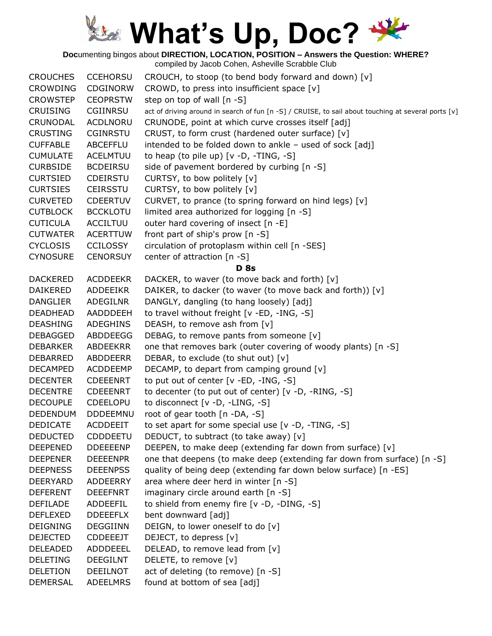**Doc**umenting bingos about **DIRECTION, LOCATION, POSITION – Answers the Question: WHERE?**

| <b>CROUCHES</b> | <b>CCEHORSU</b> | CROUCH, to stoop (to bend body forward and down) [v]                                                |
|-----------------|-----------------|-----------------------------------------------------------------------------------------------------|
| <b>CROWDING</b> | <b>CDGINORW</b> | CROWD, to press into insufficient space [v]                                                         |
| <b>CROWSTEP</b> | <b>CEOPRSTW</b> | step on top of wall [n -S]                                                                          |
| <b>CRUISING</b> | CGIINRSU        | act of driving around in search of fun [n -S] / CRUISE, to sail about touching at several ports [v] |
| CRUNODAL        | <b>ACDLNORU</b> | CRUNODE, point at which curve crosses itself [adj]                                                  |
| <b>CRUSTING</b> | <b>CGINRSTU</b> | CRUST, to form crust (hardened outer surface) [v]                                                   |
| <b>CUFFABLE</b> | ABCEFFLU        | intended to be folded down to ankle - used of sock [adj]                                            |
| <b>CUMULATE</b> | <b>ACELMTUU</b> | to heap (to pile up) $[v -D, -TING, -S]$                                                            |
| <b>CURBSIDE</b> | <b>BCDEIRSU</b> | side of pavement bordered by curbing [n -S]                                                         |
| <b>CURTSIED</b> | <b>CDEIRSTU</b> | CURTSY, to bow politely [v]                                                                         |
| <b>CURTSIES</b> | <b>CEIRSSTU</b> | CURTSY, to bow politely [v]                                                                         |
| <b>CURVETED</b> | <b>CDEERTUV</b> | CURVET, to prance (to spring forward on hind legs) [v]                                              |
| <b>CUTBLOCK</b> | <b>BCCKLOTU</b> | limited area authorized for logging [n -S]                                                          |
| <b>CUTICULA</b> | ACCILTUU        | outer hard covering of insect [n -E]                                                                |
| <b>CUTWATER</b> | <b>ACERTTUW</b> | front part of ship's prow [n -S]                                                                    |
| <b>CYCLOSIS</b> | <b>CCILOSSY</b> | circulation of protoplasm within cell [n -SES]                                                      |
| <b>CYNOSURE</b> | <b>CENORSUY</b> | center of attraction [n -S]                                                                         |
|                 |                 | <b>D</b> 8s                                                                                         |
| <b>DACKERED</b> | <b>ACDDEEKR</b> | DACKER, to waver (to move back and forth) [v]                                                       |
| <b>DAIKERED</b> | ADDEEIKR        | DAIKER, to dacker (to waver (to move back and forth)) [v]                                           |
| <b>DANGLIER</b> | ADEGILNR        | DANGLY, dangling (to hang loosely) [adj]                                                            |
| <b>DEADHEAD</b> | AADDDEEH        | to travel without freight [v -ED, -ING, -S]                                                         |
| <b>DEASHING</b> | <b>ADEGHINS</b> | DEASH, to remove ash from [v]                                                                       |
| <b>DEBAGGED</b> | ABDDEEGG        | DEBAG, to remove pants from someone [v]                                                             |
| <b>DEBARKER</b> | ABDEEKRR        | one that removes bark (outer covering of woody plants) [n -S]                                       |
| DEBARRED        | ABDDEERR        | DEBAR, to exclude (to shut out) [v]                                                                 |
| <b>DECAMPED</b> | <b>ACDDEEMP</b> | DECAMP, to depart from camping ground [v]                                                           |
| <b>DECENTER</b> | <b>CDEEENRT</b> | to put out of center [v -ED, -ING, -S]                                                              |
| <b>DECENTRE</b> | <b>CDEEENRT</b> | to decenter (to put out of center) [v -D, -RING, -S]                                                |
| <b>DECOUPLE</b> | <b>CDEELOPU</b> | to disconnect [v -D, -LING, -S]                                                                     |
| <b>DEDENDUM</b> | <b>DDDEEMNU</b> | root of gear tooth [n -DA, -S]                                                                      |
| <b>DEDICATE</b> | <b>ACDDEEIT</b> | to set apart for some special use [v -D, -TING, -S]                                                 |
| <b>DEDUCTED</b> | <b>CDDDEETU</b> | DEDUCT, to subtract (to take away) [v]                                                              |
| <b>DEEPENED</b> | <b>DDEEEENP</b> | DEEPEN, to make deep (extending far down from surface) [v]                                          |
| <b>DEEPENER</b> | <b>DEEEENPR</b> | one that deepens (to make deep (extending far down from surface) [n -S]                             |
| <b>DEEPNESS</b> | <b>DEEENPSS</b> | quality of being deep (extending far down below surface) [n -ES]                                    |
| <b>DEERYARD</b> | ADDEERRY        | area where deer herd in winter $[n -S]$                                                             |
| <b>DEFERENT</b> | <b>DEEEFNRT</b> | imaginary circle around earth [n -S]                                                                |
| <b>DEFILADE</b> | ADDEEFIL        | to shield from enemy fire [v -D, -DING, -S]                                                         |
| <b>DEFLEXED</b> | <b>DDEEEFLX</b> | bent downward [adj]                                                                                 |
| <b>DEIGNING</b> | <b>DEGGIINN</b> | DEIGN, to lower oneself to do [v]                                                                   |
| <b>DEJECTED</b> | <b>CDDEEEJT</b> | DEJECT, to depress [v]                                                                              |
| <b>DELEADED</b> | ADDDEEEL        | DELEAD, to remove lead from [v]                                                                     |
| <b>DELETING</b> | <b>DEEGILNT</b> | DELETE, to remove [v]                                                                               |
| <b>DELETION</b> | <b>DEEILNOT</b> | act of deleting (to remove) [n -S]                                                                  |
| <b>DEMERSAL</b> | ADEELMRS        | found at bottom of sea [adj]                                                                        |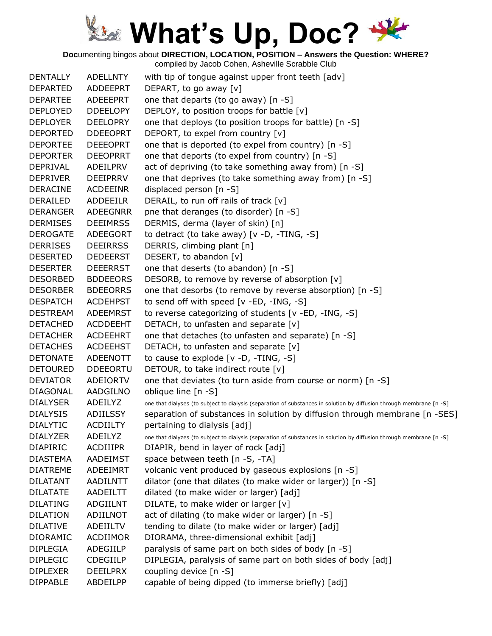**Doc**umenting bingos about **DIRECTION, LOCATION, POSITION – Answers the Question: WHERE?**

| <b>DENTALLY</b> | <b>ADELLNTY</b> | with tip of tongue against upper front teeth [adv]                                                                   |
|-----------------|-----------------|----------------------------------------------------------------------------------------------------------------------|
| <b>DEPARTED</b> | ADDEEPRT        | DEPART, to go away [v]                                                                                               |
| <b>DEPARTEE</b> | ADEEEPRT        | one that departs (to go away) [n -S]                                                                                 |
| <b>DEPLOYED</b> | <b>DDEELOPY</b> | DEPLOY, to position troops for battle [v]                                                                            |
| <b>DEPLOYER</b> | <b>DEELOPRY</b> | one that deploys (to position troops for battle) [n -S]                                                              |
| <b>DEPORTED</b> | <b>DDEEOPRT</b> | DEPORT, to expel from country [v]                                                                                    |
| <b>DEPORTEE</b> | <b>DEEEOPRT</b> | one that is deported (to expel from country) [n -S]                                                                  |
| <b>DEPORTER</b> | <b>DEEOPRRT</b> | one that deports (to expel from country) [n -S]                                                                      |
| <b>DEPRIVAL</b> | ADEILPRV        | act of depriving (to take something away from) [n -S]                                                                |
| <b>DEPRIVER</b> | <b>DEEIPRRV</b> | one that deprives (to take something away from) [n -S]                                                               |
| <b>DERACINE</b> | <b>ACDEEINR</b> | displaced person [n -S]                                                                                              |
| DERAILED        | <b>ADDEEILR</b> | DERAIL, to run off rails of track [v]                                                                                |
| <b>DERANGER</b> | ADEEGNRR        | pne that deranges (to disorder) [n -S]                                                                               |
| <b>DERMISES</b> | <b>DEEIMRSS</b> | DERMIS, derma (layer of skin) [n]                                                                                    |
| <b>DEROGATE</b> | ADEEGORT        | to detract (to take away) $[v -D, -TING, -S]$                                                                        |
| <b>DERRISES</b> | <b>DEEIRRSS</b> | DERRIS, climbing plant [n]                                                                                           |
| <b>DESERTED</b> | <b>DEDEERST</b> | DESERT, to abandon [v]                                                                                               |
| <b>DESERTER</b> | <b>DEEERRST</b> | one that deserts (to abandon) [n -S]                                                                                 |
| <b>DESORBED</b> | <b>BDDEEORS</b> | DESORB, to remove by reverse of absorption [v]                                                                       |
| <b>DESORBER</b> | <b>BDEEORRS</b> | one that desorbs (to remove by reverse absorption) [n -S]                                                            |
| <b>DESPATCH</b> | <b>ACDEHPST</b> | to send off with speed [v -ED, -ING, -S]                                                                             |
| <b>DESTREAM</b> | <b>ADEEMRST</b> | to reverse categorizing of students [v -ED, -ING, -S]                                                                |
| <b>DETACHED</b> | <b>ACDDEEHT</b> | DETACH, to unfasten and separate [v]                                                                                 |
| <b>DETACHER</b> | <b>ACDEEHRT</b> | one that detaches (to unfasten and separate) [n -S]                                                                  |
| <b>DETACHES</b> | <b>ACDEEHST</b> | DETACH, to unfasten and separate $[v]$                                                                               |
| <b>DETONATE</b> | ADEENOTT        | to cause to explode $[v -D, -TING, -S]$                                                                              |
| <b>DETOURED</b> | <b>DDEEORTU</b> | DETOUR, to take indirect route [v]                                                                                   |
| <b>DEVIATOR</b> | ADEIORTV        | one that deviates (to turn aside from course or norm) [n -S]                                                         |
| <b>DIAGONAL</b> | AADGILNO        | oblique line [n -S]                                                                                                  |
| <b>DIALYSER</b> | ADEILYZ         | one that dialyses (to subject to dialysis (separation of substances in solution by diffusion through membrane [n -S] |
| <b>DIALYSIS</b> | ADIILSSY        | separation of substances in solution by diffusion through membrane [n -SES]                                          |
| <b>DIALYTIC</b> | <b>ACDIILTY</b> | pertaining to dialysis [adj]                                                                                         |
| <b>DIALYZER</b> | ADEILYZ         | one that dialyzes (to subject to dialysis (separation of substances in solution by diffusion through membrane [n -S] |
| <b>DIAPIRIC</b> | <b>ACDIIIPR</b> | DIAPIR, bend in layer of rock [adj]                                                                                  |
| <b>DIASTEMA</b> | <b>AADEIMST</b> | space between teeth [n -S, -TA]                                                                                      |
| <b>DIATREME</b> | ADEEIMRT        | volcanic vent produced by gaseous explosions [n -S]                                                                  |
| <b>DILATANT</b> | <b>AADILNTT</b> | dilator (one that dilates (to make wider or larger)) [n -S]                                                          |
| <b>DILATATE</b> | AADEILTT        | dilated (to make wider or larger) [adj]                                                                              |
| <b>DILATING</b> | ADGIILNT        | DILATE, to make wider or larger [v]                                                                                  |
| <b>DILATION</b> | ADIILNOT        | act of dilating (to make wider or larger) [n -S]                                                                     |
| <b>DILATIVE</b> | ADEIILTV        | tending to dilate (to make wider or larger) [adj]                                                                    |
| <b>DIORAMIC</b> | <b>ACDIIMOR</b> |                                                                                                                      |
| <b>DIPLEGIA</b> | ADEGIILP        | DIORAMA, three-dimensional exhibit [adj]<br>paralysis of same part on both sides of body [n -S]                      |
| <b>DIPLEGIC</b> |                 |                                                                                                                      |
|                 | <b>CDEGIILP</b> | DIPLEGIA, paralysis of same part on both sides of body [adj]                                                         |
| <b>DIPLEXER</b> | <b>DEEILPRX</b> | coupling device [n -S]                                                                                               |
| <b>DIPPABLE</b> | ABDEILPP        | capable of being dipped (to immerse briefly) [adj]                                                                   |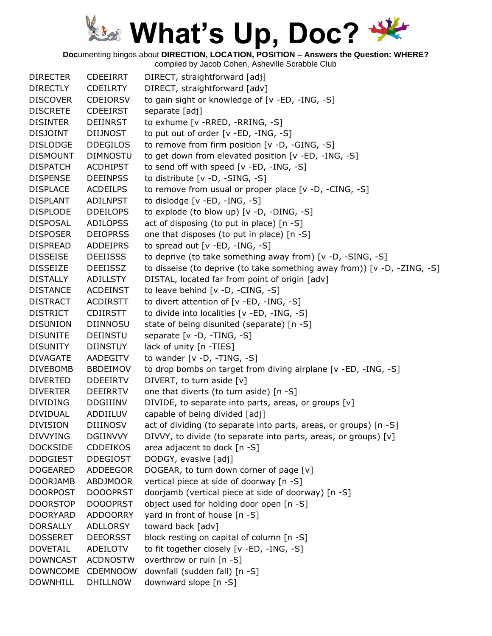**Doc**umenting bingos about **DIRECTION, LOCATION, POSITION – Answers the Question: WHERE?**

| <b>DIRECTER</b> | <b>CDEEIRRT</b> | DIRECT, straightforward [adj]                                            |
|-----------------|-----------------|--------------------------------------------------------------------------|
| <b>DIRECTLY</b> | <b>CDEILRTY</b> | DIRECT, straightforward [adv]                                            |
| <b>DISCOVER</b> | <b>CDEIORSV</b> | to gain sight or knowledge of [v -ED, -ING, -S]                          |
| <b>DISCRETE</b> | <b>CDEEIRST</b> | separate [adj]                                                           |
| <b>DISINTER</b> | DEIINRST        | to exhume [v -RRED, -RRING, -S]                                          |
| <b>DISJOINT</b> | DIIJNOST        | to put out of order [v -ED, -ING, -S]                                    |
| <b>DISLODGE</b> | <b>DDEGILOS</b> | to remove from firm position [v -D, -GING, -S]                           |
| <b>DISMOUNT</b> | <b>DIMNOSTU</b> | to get down from elevated position [v -ED, -ING, -S]                     |
| <b>DISPATCH</b> | <b>ACDHIPST</b> | to send off with speed [v -ED, -ING, -S]                                 |
| <b>DISPENSE</b> | <b>DEEINPSS</b> | to distribute [v -D, -SING, -S]                                          |
| <b>DISPLACE</b> | <b>ACDEILPS</b> | to remove from usual or proper place [v -D, -CING, -S]                   |
| <b>DISPLANT</b> | <b>ADILNPST</b> | to dislodge [v -ED, -ING, -S]                                            |
| <b>DISPLODE</b> | <b>DDEILOPS</b> | to explode (to blow up) [v -D, -DING, -S]                                |
| <b>DISPOSAL</b> | <b>ADILOPSS</b> | act of disposing (to put in place) [n -S]                                |
| <b>DISPOSER</b> | <b>DEIOPRSS</b> | one that disposes (to put in place) [n -S]                               |
| <b>DISPREAD</b> | <b>ADDEIPRS</b> | to spread out [v -ED, -ING, -S]                                          |
| <b>DISSEISE</b> | <b>DEEIISSS</b> | to deprive (to take something away from) [v -D, -SING, -S]               |
| <b>DISSEIZE</b> | <b>DEEIISSZ</b> | to disseise (to deprive (to take something away from)) [v -D, -ZING, -S] |
| <b>DISTALLY</b> | ADILLSTY        | DISTAL, located far from point of origin [adv]                           |
| <b>DISTANCE</b> | <b>ACDEINST</b> | to leave behind [v -D, -CING, -S]                                        |
| <b>DISTRACT</b> | <b>ACDIRSTT</b> | to divert attention of [v -ED, -ING, -S]                                 |
| <b>DISTRICT</b> | <b>CDIIRSTT</b> | to divide into localities [v -ED, -ING, -S]                              |
| <b>DISUNION</b> | DIINNOSU        | state of being disunited (separate) [n -S]                               |
| <b>DISUNITE</b> | DEIINSTU        | separate [v -D, -TING, -S]                                               |
| <b>DISUNITY</b> | <b>DIINSTUY</b> | lack of unity [n -TIES]                                                  |
| <b>DIVAGATE</b> | AADEGITV        | to wander $[v -D, -TING, -S]$                                            |
| <b>DIVEBOMB</b> | <b>BBDEIMOV</b> | to drop bombs on target from diving airplane [v -ED, -ING, -S]           |
| <b>DIVERTED</b> | <b>DDEEIRTV</b> | DIVERT, to turn aside [v]                                                |
| <b>DIVERTER</b> | <b>DEEIRRTV</b> | one that diverts (to turn aside) [n -S]                                  |
| <b>DIVIDING</b> | DDGIIINV        | DIVIDE, to separate into parts, areas, or groups [v]                     |
| <b>DIVIDUAL</b> | ADDIILUV        | capable of being divided [adj]                                           |
| <b>DIVISION</b> | <b>DIIINOSV</b> | act of dividing (to separate into parts, areas, or groups) [n -S]        |
| <b>DIVVYING</b> | <b>DGIINVVY</b> | DIVVY, to divide (to separate into parts, areas, or groups) [v]          |
| <b>DOCKSIDE</b> | <b>CDDEIKOS</b> | area adjacent to dock [n -S]                                             |
| <b>DODGIEST</b> | <b>DDEGIOST</b> | DODGY, evasive [adj]                                                     |
| <b>DOGEARED</b> | ADDEEGOR        | DOGEAR, to turn down corner of page [v]                                  |
| <b>DOORJAMB</b> | <b>ABDJMOOR</b> | vertical piece at side of doorway [n -S]                                 |
| <b>DOORPOST</b> | <b>DOOOPRST</b> | doorjamb (vertical piece at side of doorway) [n -S]                      |
| <b>DOORSTOP</b> | <b>DOOOPRST</b> | object used for holding door open [n -S]                                 |
| <b>DOORYARD</b> | <b>ADDOORRY</b> | yard in front of house [n -S]                                            |
| <b>DORSALLY</b> | <b>ADLLORSY</b> | toward back [adv]                                                        |
| <b>DOSSERET</b> | <b>DEEORSST</b> | block resting on capital of column [n -S]                                |
| <b>DOVETAIL</b> | ADEILOTV        | to fit together closely [v -ED, -ING, -S]                                |
| <b>DOWNCAST</b> | <b>ACDNOSTW</b> | overthrow or ruin [n -S]                                                 |
| <b>DOWNCOME</b> | <b>CDEMNOOW</b> |                                                                          |
|                 |                 | downfall (sudden fall) [n -S]                                            |
| <b>DOWNHILL</b> | <b>DHILLNOW</b> | downward slope [n -S]                                                    |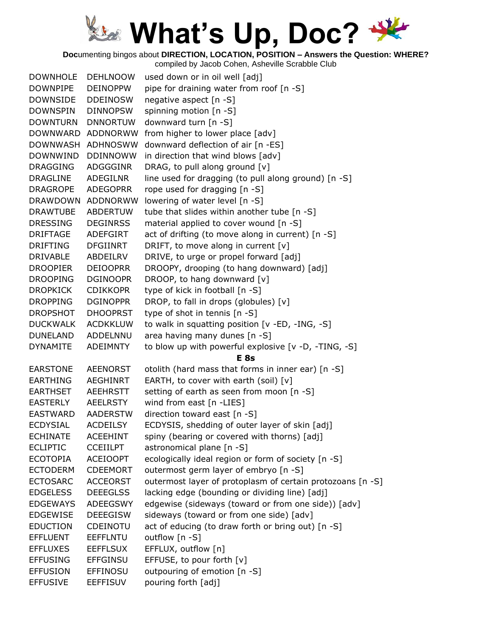**Doc**umenting bingos about **DIRECTION, LOCATION, POSITION – Answers the Question: WHERE?**

| <b>DOWNHOLE</b>   | <b>DEHLNOOW</b>   | used down or in oil well [adj]                             |
|-------------------|-------------------|------------------------------------------------------------|
| DOWNPIPE          | <b>DEINOPPW</b>   | pipe for draining water from roof [n -S]                   |
| DOWNSIDE          | <b>DDEINOSW</b>   | negative aspect [n -S]                                     |
| <b>DOWNSPIN</b>   | <b>DINNOPSW</b>   | spinning motion [n -S]                                     |
| <b>DOWNTURN</b>   | <b>DNNORTUW</b>   | downward turn [n -S]                                       |
|                   | DOWNWARD ADDNORWW | from higher to lower place [adv]                           |
| DOWNWASH ADHNOSWW |                   | downward deflection of air [n -ES]                         |
| <b>DOWNWIND</b>   | <b>DDINNOWW</b>   | in direction that wind blows [adv]                         |
| <b>DRAGGING</b>   | ADGGGINR          | DRAG, to pull along ground [v]                             |
| <b>DRAGLINE</b>   | <b>ADEGILNR</b>   | line used for dragging (to pull along ground) [n -S]       |
| <b>DRAGROPE</b>   | <b>ADEGOPRR</b>   | rope used for dragging [n -S]                              |
|                   | DRAWDOWN ADDNORWW | lowering of water level [n -S]                             |
| <b>DRAWTUBE</b>   | ABDERTUW          | tube that slides within another tube [n -S]                |
| <b>DRESSING</b>   | <b>DEGINRSS</b>   | material applied to cover wound [n -S]                     |
| <b>DRIFTAGE</b>   | ADEFGIRT          | act of drifting (to move along in current) [n -S]          |
| <b>DRIFTING</b>   | <b>DFGIINRT</b>   | DRIFT, to move along in current [v]                        |
| <b>DRIVABLE</b>   | ABDEILRV          | DRIVE, to urge or propel forward [adj]                     |
| <b>DROOPIER</b>   | <b>DEIOOPRR</b>   | DROOPY, drooping (to hang downward) [adj]                  |
| <b>DROOPING</b>   | <b>DGINOOPR</b>   | DROOP, to hang downward [v]                                |
| <b>DROPKICK</b>   | <b>CDIKKOPR</b>   | type of kick in football [n -S]                            |
| <b>DROPPING</b>   | <b>DGINOPPR</b>   | DROP, to fall in drops (globules) [v]                      |
| <b>DROPSHOT</b>   | <b>DHOOPRST</b>   | type of shot in tennis [n -S]                              |
| <b>DUCKWALK</b>   | <b>ACDKKLUW</b>   | to walk in squatting position [v -ED, -ING, -S]            |
| DUNELAND          | ADDELNNU          | area having many dunes [n -S]                              |
| <b>DYNAMITE</b>   | ADEIMNTY          | to blow up with powerful explosive [v -D, -TING, -S]       |
|                   |                   | E <sub>8s</sub>                                            |
| <b>EARSTONE</b>   | <b>AEENORST</b>   | otolith (hard mass that forms in inner ear) [n -S]         |
| <b>EARTHING</b>   | <b>AEGHINRT</b>   | EARTH, to cover with earth (soil) $[v]$                    |
| <b>EARTHSET</b>   | <b>AEEHRSTT</b>   | setting of earth as seen from moon [n -S]                  |
| <b>EASTERLY</b>   | <b>AEELRSTY</b>   | wind from east [n -LIES]                                   |
| EASTWARD          | AADERSTW          | direction toward east [n -S]                               |
| <b>ECDYSIAL</b>   | <b>ACDEILSY</b>   | ECDYSIS, shedding of outer layer of skin [adj]             |
| <b>ECHINATE</b>   | <b>ACEEHINT</b>   | spiny (bearing or covered with thorns) [adj]               |
| <b>ECLIPTIC</b>   | <b>CCEIILPT</b>   | astronomical plane [n -S]                                  |
| <b>ECOTOPIA</b>   | <b>ACEIOOPT</b>   | ecologically ideal region or form of society [n -S]        |
| <b>ECTODERM</b>   | <b>CDEEMORT</b>   | outermost germ layer of embryo [n -S]                      |
| <b>ECTOSARC</b>   | <b>ACCEORST</b>   | outermost layer of protoplasm of certain protozoans [n -S] |
| <b>EDGELESS</b>   | <b>DEEEGLSS</b>   | lacking edge (bounding or dividing line) [adj]             |
| <b>EDGEWAYS</b>   | ADEEGSWY          | edgewise (sideways (toward or from one side)) [adv]        |
| <b>EDGEWISE</b>   | <b>DEEEGISW</b>   | sideways (toward or from one side) [adv]                   |
| <b>EDUCTION</b>   | <b>CDEINOTU</b>   | act of educing (to draw forth or bring out) [n -S]         |
| <b>EFFLUENT</b>   | <b>EEFFLNTU</b>   | outflow [n -S]                                             |
| <b>EFFLUXES</b>   | <b>EEFFLSUX</b>   | EFFLUX, outflow [n]                                        |
| <b>EFFUSING</b>   | <b>EFFGINSU</b>   | EFFUSE, to pour forth [v]                                  |
| <b>EFFUSION</b>   | EFFINOSU          | outpouring of emotion [n -S]                               |
| <b>EFFUSIVE</b>   | <b>EEFFISUV</b>   | pouring forth [adj]                                        |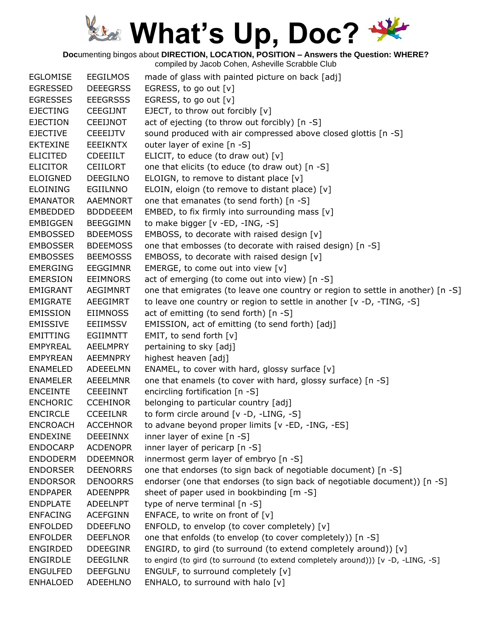**Doc**umenting bingos about **DIRECTION, LOCATION, POSITION – Answers the Question: WHERE?**

| <b>EGLOMISE</b> | <b>EEGILMOS</b> | made of glass with painted picture on back [adj]                                  |
|-----------------|-----------------|-----------------------------------------------------------------------------------|
| <b>EGRESSED</b> | <b>DEEEGRSS</b> | EGRESS, to go out [v]                                                             |
| <b>EGRESSES</b> | <b>EEEGRSSS</b> | EGRESS, to go out [v]                                                             |
| <b>EJECTING</b> | <b>CEEGIJNT</b> | EJECT, to throw out forcibly [v]                                                  |
| <b>EJECTION</b> | <b>CEEIJNOT</b> | act of ejecting (to throw out forcibly) [n -S]                                    |
| <b>EJECTIVE</b> | <b>CEEEIJTV</b> | sound produced with air compressed above closed glottis [n -S]                    |
| <b>EKTEXINE</b> | <b>EEEIKNTX</b> | outer layer of exine [n -S]                                                       |
| <b>ELICITED</b> | <b>CDEEIILT</b> | ELICIT, to educe (to draw out) [v]                                                |
| <b>ELICITOR</b> | <b>CEIILORT</b> | one that elicits (to educe (to draw out) [n -S]                                   |
| <b>ELOIGNED</b> | <b>DEEGILNO</b> | ELOIGN, to remove to distant place [v]                                            |
| <b>ELOINING</b> | EGIILNNO        | ELOIN, eloign (to remove to distant place) [v]                                    |
| <b>EMANATOR</b> | <b>AAEMNORT</b> | one that emanates (to send forth) [n -S]                                          |
| <b>EMBEDDED</b> | <b>BDDDEEEM</b> | EMBED, to fix firmly into surrounding mass [v]                                    |
| <b>EMBIGGEN</b> | <b>BEEGGIMN</b> | to make bigger [v -ED, -ING, -S]                                                  |
| <b>EMBOSSED</b> | <b>BDEEMOSS</b> | EMBOSS, to decorate with raised design [v]                                        |
| <b>EMBOSSER</b> | <b>BDEEMOSS</b> | one that embosses (to decorate with raised design) [n -S]                         |
| <b>EMBOSSES</b> | <b>BEEMOSSS</b> | EMBOSS, to decorate with raised design [v]                                        |
| <b>EMERGING</b> | <b>EEGGIMNR</b> | EMERGE, to come out into view [v]                                                 |
| <b>EMERSION</b> | <b>EEIMNORS</b> | act of emerging (to come out into view) [n -S]                                    |
| EMIGRANT        | <b>AEGIMNRT</b> | one that emigrates (to leave one country or region to settle in another) [n -S]   |
| <b>EMIGRATE</b> | AEEGIMRT        | to leave one country or region to settle in another [v -D, -TING, -S]             |
| <b>EMISSION</b> | <b>EIIMNOSS</b> | act of emitting (to send forth) [n -S]                                            |
| <b>EMISSIVE</b> | <b>EEIIMSSV</b> | EMISSION, act of emitting (to send forth) [adj]                                   |
| <b>EMITTING</b> | <b>EGIIMNTT</b> | EMIT, to send forth [v]                                                           |
| <b>EMPYREAL</b> | AEELMPRY        | pertaining to sky [adj]                                                           |
| <b>EMPYREAN</b> | AEEMNPRY        | highest heaven [adj]                                                              |
| <b>ENAMELED</b> | ADEEELMN        | ENAMEL, to cover with hard, glossy surface [v]                                    |
| <b>ENAMELER</b> | <b>AEEELMNR</b> | one that enamels (to cover with hard, glossy surface) [n -S]                      |
| <b>ENCEINTE</b> | <b>CEEEINNT</b> | encircling fortification [n -S]                                                   |
| <b>ENCHORIC</b> | <b>CCEHINOR</b> | belonging to particular country [adj]                                             |
| <b>ENCIRCLE</b> | <b>CCEEILNR</b> | to form circle around [v -D, -LING, -S]                                           |
| <b>ENCROACH</b> | <b>ACCEHNOR</b> | to advane beyond proper limits [v -ED, -ING, -ES]                                 |
| <b>ENDEXINE</b> | <b>DEEEINNX</b> | inner layer of exine $[n - S]$                                                    |
| <b>ENDOCARP</b> | <b>ACDENOPR</b> | inner layer of pericarp $[n - S]$                                                 |
| <b>ENDODERM</b> | <b>DDEEMNOR</b> | innermost germ layer of embryo [n -S]                                             |
| <b>ENDORSER</b> | <b>DEENORRS</b> | one that endorses (to sign back of negotiable document) [n -S]                    |
| <b>ENDORSOR</b> | <b>DENOORRS</b> | endorser (one that endorses (to sign back of negotiable document)) [n -S]         |
| <b>ENDPAPER</b> | <b>ADEENPPR</b> | sheet of paper used in bookbinding [m -S]                                         |
| <b>ENDPLATE</b> | <b>ADEELNPT</b> | type of nerve terminal [n -S]                                                     |
| <b>ENFACING</b> | <b>ACEFGINN</b> | ENFACE, to write on front of $[v]$                                                |
| <b>ENFOLDED</b> | <b>DDEEFLNO</b> | ENFOLD, to envelop (to cover completely) [v]                                      |
| <b>ENFOLDER</b> | <b>DEEFLNOR</b> | one that enfolds (to envelop (to cover completely)) [n -S]                        |
| <b>ENGIRDED</b> | <b>DDEEGINR</b> | ENGIRD, to gird (to surround (to extend completely around)) [v]                   |
| <b>ENGIRDLE</b> | <b>DEEGILNR</b> | to engird (to gird (to surround (to extend completely around))) [v -D, -LING, -S] |
| <b>ENGULFED</b> | <b>DEEFGLNU</b> | ENGULF, to surround completely [v]                                                |
| <b>ENHALOED</b> | <b>ADEEHLNO</b> | ENHALO, to surround with halo [v]                                                 |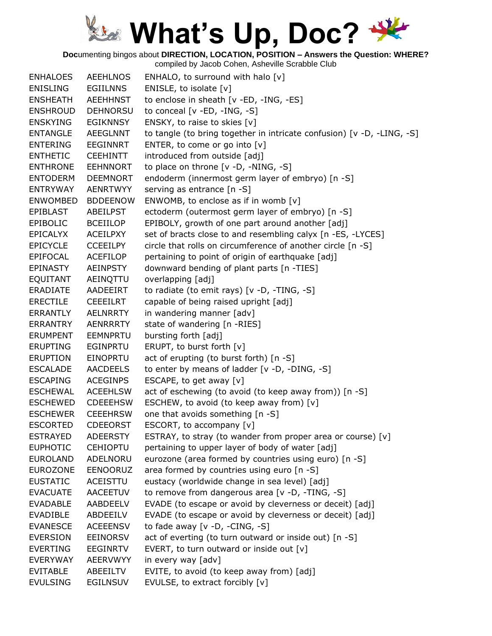**Doc**umenting bingos about **DIRECTION, LOCATION, POSITION – Answers the Question: WHERE?**

| <b>ENHALOES</b> | <b>AEEHLNOS</b> | ENHALO, to surround with halo $[v]$                                    |
|-----------------|-----------------|------------------------------------------------------------------------|
| <b>ENISLING</b> | <b>EGIILNNS</b> | ENISLE, to isolate [v]                                                 |
| <b>ENSHEATH</b> | AEEHHNST        | to enclose in sheath [v -ED, -ING, -ES]                                |
| <b>ENSHROUD</b> | <b>DEHNORSU</b> | to conceal $[v - ED, -ING, -S]$                                        |
| <b>ENSKYING</b> | <b>EGIKNNSY</b> | ENSKY, to raise to skies [v]                                           |
| <b>ENTANGLE</b> | <b>AEEGLNNT</b> | to tangle (to bring together in intricate confusion) [v -D, -LING, -S] |
| <b>ENTERING</b> | <b>EEGINNRT</b> | ENTER, to come or go into [v]                                          |
| <b>ENTHETIC</b> | <b>CEEHINTT</b> | introduced from outside [adj]                                          |
| <b>ENTHRONE</b> | <b>EEHNNORT</b> | to place on throne [v -D, -NING, -S]                                   |
| <b>ENTODERM</b> | <b>DEEMNORT</b> | endoderm (innermost germ layer of embryo) [n -S]                       |
| <b>ENTRYWAY</b> | <b>AENRTWYY</b> | serving as entrance [n -S]                                             |
| <b>ENWOMBED</b> | <b>BDDEENOW</b> | ENWOMB, to enclose as if in womb $[v]$                                 |
| <b>EPIBLAST</b> | <b>ABEILPST</b> | ectoderm (outermost germ layer of embryo) [n -S]                       |
| <b>EPIBOLIC</b> | <b>BCEIILOP</b> | EPIBOLY, growth of one part around another [adj]                       |
| <b>EPICALYX</b> | <b>ACEILPXY</b> | set of bracts close to and resembling calyx [n -ES, -LYCES]            |
| <b>EPICYCLE</b> | <b>CCEEILPY</b> | circle that rolls on circumference of another circle [n -S]            |
| <b>EPIFOCAL</b> | <b>ACEFILOP</b> | pertaining to point of origin of earthquake [adj]                      |
| EPINASTY        | <b>AEINPSTY</b> | downward bending of plant parts [n -TIES]                              |
| <b>EQUITANT</b> | AEINQTTU        | overlapping [adj]                                                      |
| <b>ERADIATE</b> | AADEEIRT        | to radiate (to emit rays) [v -D, -TING, -S]                            |
| <b>ERECTILE</b> | <b>CEEEILRT</b> | capable of being raised upright [adj]                                  |
| <b>ERRANTLY</b> | <b>AELNRRTY</b> | in wandering manner [adv]                                              |
| <b>ERRANTRY</b> | <b>AENRRRTY</b> | state of wandering [n -RIES]                                           |
| <b>ERUMPENT</b> | EEMNPRTU        | bursting forth [adj]                                                   |
| <b>ERUPTING</b> | <b>EGINPRTU</b> | ERUPT, to burst forth [v]                                              |
| <b>ERUPTION</b> | <b>EINOPRTU</b> | act of erupting (to burst forth) [n -S]                                |
| <b>ESCALADE</b> | <b>AACDEELS</b> | to enter by means of ladder [v -D, -DING, -S]                          |
| <b>ESCAPING</b> | <b>ACEGINPS</b> | ESCAPE, to get away [v]                                                |
| <b>ESCHEWAL</b> | <b>ACEEHLSW</b> | act of eschewing (to avoid (to keep away from)) [n -S]                 |
| <b>ESCHEWED</b> | <b>CDEEEHSW</b> | ESCHEW, to avoid (to keep away from) [v]                               |
| <b>ESCHEWER</b> | <b>CEEEHRSW</b> | one that avoids something [n -S]                                       |
| <b>ESCORTED</b> | <b>CDEEORST</b> | ESCORT, to accompany [v]                                               |
| <b>ESTRAYED</b> | <b>ADEERSTY</b> | ESTRAY, to stray (to wander from proper area or course) [v]            |
| <b>EUPHOTIC</b> | <b>CEHIOPTU</b> | pertaining to upper layer of body of water [adj]                       |
| <b>EUROLAND</b> | ADELNORU        | eurozone (area formed by countries using euro) [n -S]                  |
| <b>EUROZONE</b> | EENOORUZ        | area formed by countries using euro [n -S]                             |
| <b>EUSTATIC</b> | ACEISTTU        | eustacy (worldwide change in sea level) [adj]                          |
| <b>EVACUATE</b> | <b>AACEETUV</b> | to remove from dangerous area [v -D, -TING, -S]                        |
| <b>EVADABLE</b> | AABDEELV        | EVADE (to escape or avoid by cleverness or deceit) [adj]               |
| EVADIBLE        | ABDEEILV        | EVADE (to escape or avoid by cleverness or deceit) [adj]               |
| <b>EVANESCE</b> | <b>ACEEENSV</b> | to fade away $[v -D, -CING, -S]$                                       |
| <b>EVERSION</b> | <b>EEINORSV</b> | act of everting (to turn outward or inside out) [n -S]                 |
| <b>EVERTING</b> | EEGINRTV        | EVERT, to turn outward or inside out $[v]$                             |
| <b>EVERYWAY</b> | <b>AEERVWYY</b> | in every way [adv]                                                     |
| <b>EVITABLE</b> | ABEEILTV        | EVITE, to avoid (to keep away from) [adj]                              |
| <b>EVULSING</b> | <b>EGILNSUV</b> | EVULSE, to extract forcibly [v]                                        |
|                 |                 |                                                                        |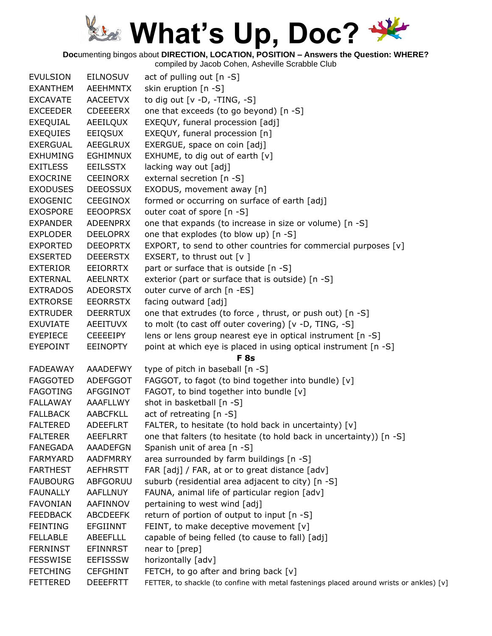**Doc**umenting bingos about **DIRECTION, LOCATION, POSITION – Answers the Question: WHERE?**

| <b>EVULSION</b> | <b>EILNOSUV</b> | act of pulling out [n -S]                                                                |
|-----------------|-----------------|------------------------------------------------------------------------------------------|
| <b>EXANTHEM</b> | AEEHMNTX        | skin eruption [n -S]                                                                     |
| <b>EXCAVATE</b> | AACEETVX        | to dig out $[v - D, -TING, -S]$                                                          |
| <b>EXCEEDER</b> | <b>CDEEEERX</b> | one that exceeds (to go beyond) [n -S]                                                   |
| EXEQUIAL        | AEEILQUX        | EXEQUY, funeral procession [adj]                                                         |
| <b>EXEQUIES</b> | EEIQSUX         | EXEQUY, funeral procession [n]                                                           |
| <b>EXERGUAL</b> | AEEGLRUX        | EXERGUE, space on coin [adj]                                                             |
| <b>EXHUMING</b> | <b>EGHIMNUX</b> | EXHUME, to dig out of earth [v]                                                          |
| <b>EXITLESS</b> | EEILSSTX        | lacking way out [adj]                                                                    |
| <b>EXOCRINE</b> | CEEINORX        | external secretion [n -S]                                                                |
| <b>EXODUSES</b> | <b>DEEOSSUX</b> | EXODUS, movement away [n]                                                                |
| <b>EXOGENIC</b> | CEEGINOX        | formed or occurring on surface of earth [adj]                                            |
| <b>EXOSPORE</b> | <b>EEOOPRSX</b> | outer coat of spore [n -S]                                                               |
| <b>EXPANDER</b> | ADEENPRX        | one that expands (to increase in size or volume) [n -S]                                  |
| <b>EXPLODER</b> | <b>DEELOPRX</b> | one that explodes (to blow up) [n -S]                                                    |
| <b>EXPORTED</b> | <b>DEEOPRTX</b> | EXPORT, to send to other countries for commercial purposes [v]                           |
| <b>EXSERTED</b> | <b>DEEERSTX</b> | EXSERT, to thrust out $[v]$                                                              |
| <b>EXTERIOR</b> | EEIORRTX        | part or surface that is outside [n -S]                                                   |
| <b>EXTERNAL</b> | AEELNRTX        | exterior (part or surface that is outside) [n -S]                                        |
| <b>EXTRADOS</b> | <b>ADEORSTX</b> | outer curve of arch [n -ES]                                                              |
| <b>EXTRORSE</b> | <b>EEORRSTX</b> | facing outward [adj]                                                                     |
| <b>EXTRUDER</b> | <b>DEERRTUX</b> | one that extrudes (to force, thrust, or push out) [n -S]                                 |
| <b>EXUVIATE</b> | AEEITUVX        | to molt (to cast off outer covering) [v -D, TING, -S]                                    |
| <b>EYEPIECE</b> | <b>CEEEEIPY</b> | lens or lens group nearest eye in optical instrument [n -S]                              |
| <b>EYEPOINT</b> | <b>EEINOPTY</b> | point at which eye is placed in using optical instrument [n -S]                          |
|                 |                 | <b>F</b> 8s                                                                              |
| <b>FADEAWAY</b> | <b>AAADEFWY</b> | type of pitch in baseball [n -S]                                                         |
| <b>FAGGOTED</b> | <b>ADEFGGOT</b> | FAGGOT, to fagot (to bind together into bundle) [v]                                      |
| <b>FAGOTING</b> | AFGGINOT        | FAGOT, to bind together into bundle [v]                                                  |
| FALLAWAY        | AAAFLLWY        | shot in basketball [n -S]                                                                |
| <b>FALLBACK</b> | <b>AABCFKLL</b> | act of retreating [n -S]                                                                 |
| <b>FALTERED</b> | <b>ADEEFLRT</b> | FALTER, to hesitate (to hold back in uncertainty) [v]                                    |
| <b>FALTERER</b> | <b>AEEFLRRT</b> | one that falters (to hesitate (to hold back in uncertainty)) [n -S]                      |
| <b>FANEGADA</b> | AAADEFGN        | Spanish unit of area [n -S]                                                              |
| <b>FARMYARD</b> | <b>AADFMRRY</b> | area surrounded by farm buildings [n -S]                                                 |
| <b>FARTHEST</b> | AEFHRSTT        | FAR [adj] / FAR, at or to great distance [adv]                                           |
| <b>FAUBOURG</b> | <b>ABFGORUU</b> | suburb (residential area adjacent to city) [n -S]                                        |
| <b>FAUNALLY</b> | <b>AAFLLNUY</b> | FAUNA, animal life of particular region [adv]                                            |
| <b>FAVONIAN</b> | AAFINNOV        | pertaining to west wind [adj]                                                            |
| <b>FEEDBACK</b> | <b>ABCDEEFK</b> | return of portion of output to input [n -S]                                              |
| <b>FEINTING</b> | <b>EFGIINNT</b> | FEINT, to make deceptive movement $[v]$                                                  |
| <b>FELLABLE</b> | <b>ABEEFLLL</b> | capable of being felled (to cause to fall) [adj]                                         |
| <b>FERNINST</b> | <b>EFINNRST</b> | near to [prep]                                                                           |
| <b>FESSWISE</b> | <b>EEFISSSW</b> | horizontally [adv]                                                                       |
| <b>FETCHING</b> | <b>CEFGHINT</b> | FETCH, to go after and bring back [v]                                                    |
| <b>FETTERED</b> | <b>DEEEFRTT</b> | FETTER, to shackle (to confine with metal fastenings placed around wrists or ankles) [v] |
|                 |                 |                                                                                          |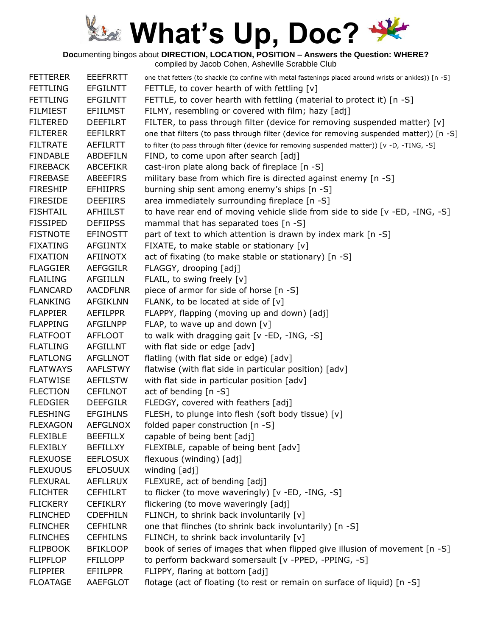**Doc**umenting bingos about **DIRECTION, LOCATION, POSITION – Answers the Question: WHERE?**

| <b>EEEFRRTT</b> | one that fetters (to shackle (to confine with metal fastenings placed around wrists or ankles)) [n -S] |
|-----------------|--------------------------------------------------------------------------------------------------------|
| <b>EFGILNTT</b> | FETTLE, to cover hearth of with fettling [v]                                                           |
| <b>EFGILNTT</b> | FETTLE, to cover hearth with fettling (material to protect it) [n -S]                                  |
| <b>EFIILMST</b> | FILMY, resembling or covered with film; hazy [adj]                                                     |
| <b>DEEFILRT</b> | FILTER, to pass through filter (device for removing suspended matter) [v]                              |
| <b>EEFILRRT</b> | one that filters (to pass through filter (device for removing suspended matter)) [n -S]                |
| <b>AEFILRTT</b> | to filter (to pass through filter (device for removing suspended matter)) [v -D, -TING, -S]            |
| <b>ABDEFILN</b> | FIND, to come upon after search [adj]                                                                  |
| <b>ABCEFIKR</b> | cast-iron plate along back of fireplace [n -S]                                                         |
| <b>ABEEFIRS</b> | military base from which fire is directed against enemy [n -S]                                         |
| <b>EFHIIPRS</b> | burning ship sent among enemy's ships [n -S]                                                           |
| <b>DEEFIIRS</b> | area immediately surrounding fireplace [n -S]                                                          |
| <b>AFHIILST</b> | to have rear end of moving vehicle slide from side to side [v -ED, -ING, -S]                           |
| <b>DEFIIPSS</b> | mammal that has separated toes [n -S]                                                                  |
| <b>EFINOSTT</b> | part of text to which attention is drawn by index mark [n -S]                                          |
| <b>AFGIINTX</b> | FIXATE, to make stable or stationary [v]                                                               |
| <b>AFIINOTX</b> | act of fixating (to make stable or stationary) [n -S]                                                  |
| <b>AEFGGILR</b> | FLAGGY, drooping [adj]                                                                                 |
| <b>AFGIILLN</b> | FLAIL, to swing freely [v]                                                                             |
| <b>AACDFLNR</b> | piece of armor for side of horse [n -S]                                                                |
| <b>AFGIKLNN</b> | FLANK, to be located at side of [v]                                                                    |
| <b>AEFILPPR</b> | FLAPPY, flapping (moving up and down) [adj]                                                            |
| <b>AFGILNPP</b> | FLAP, to wave up and down $[v]$                                                                        |
| <b>AFFLOOT</b>  | to walk with dragging gait [v -ED, -ING, -S]                                                           |
| <b>AFGILLNT</b> | with flat side or edge [adv]                                                                           |
| <b>AFGLLNOT</b> | flatling (with flat side or edge) [adv]                                                                |
| <b>AAFLSTWY</b> | flatwise (with flat side in particular position) [adv]                                                 |
| <b>AEFILSTW</b> | with flat side in particular position [adv]                                                            |
| <b>CEFILNOT</b> | act of bending [n -S]                                                                                  |
| <b>DEEFGILR</b> | FLEDGY, covered with feathers [adj]                                                                    |
| <b>EFGIHLNS</b> | FLESH, to plunge into flesh (soft body tissue) [v]                                                     |
| <b>AEFGLNOX</b> | folded paper construction [n -S]                                                                       |
| <b>BEEFILLX</b> | capable of being bent [adj]                                                                            |
| <b>BEFILLXY</b> | FLEXIBLE, capable of being bent [adv]                                                                  |
| <b>EEFLOSUX</b> | flexuous (winding) [adj]                                                                               |
| <b>EFLOSUUX</b> | winding [adj]                                                                                          |
| <b>AEFLLRUX</b> | FLEXURE, act of bending [adj]                                                                          |
| <b>CEFHILRT</b> | to flicker (to move waveringly) [v -ED, -ING, -S]                                                      |
| <b>CEFIKLRY</b> | flickering (to move waveringly [adj]                                                                   |
| <b>CDEFHILN</b> | FLINCH, to shrink back involuntarily [v]                                                               |
| <b>CEFHILNR</b> | one that flinches (to shrink back involuntarily) [n -S]                                                |
| <b>CEFHILNS</b> | FLINCH, to shrink back involuntarily [v]                                                               |
| <b>BFIKLOOP</b> | book of series of images that when flipped give illusion of movement [n -S]                            |
| <b>FFILLOPP</b> | to perform backward somersault [v -PPED, -PPING, -S]                                                   |
| <b>EFIILPPR</b> | FLIPPY, flaring at bottom [adj]                                                                        |
| AAEFGLOT        | flotage (act of floating (to rest or remain on surface of liquid) [n -S]                               |
|                 |                                                                                                        |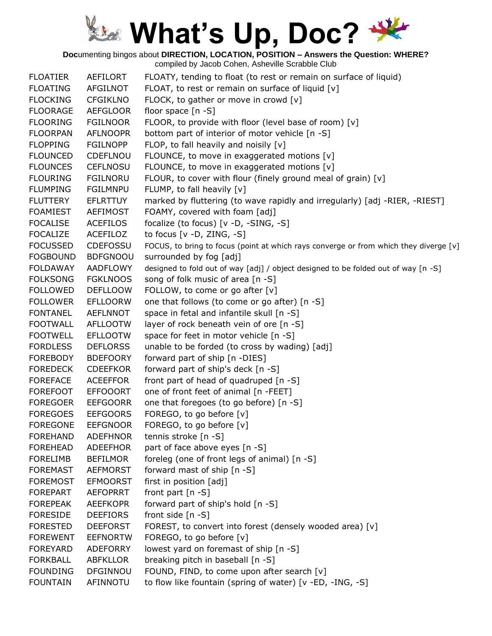**Doc**umenting bingos about **DIRECTION, LOCATION, POSITION – Answers the Question: WHERE?**

| <b>FLOATING</b><br>FLOAT, to rest or remain on surface of liquid [v]<br>AFGILNOT<br>FLOCK, to gather or move in crowd [v]<br><b>FLOCKING</b><br><b>CFGIKLNO</b><br><b>FLOORAGE</b><br><b>AEFGLOOR</b><br>floor space $[n -S]$ |  |
|-------------------------------------------------------------------------------------------------------------------------------------------------------------------------------------------------------------------------------|--|
|                                                                                                                                                                                                                               |  |
|                                                                                                                                                                                                                               |  |
|                                                                                                                                                                                                                               |  |
| <b>FLOORING</b><br><b>FGILNOOR</b><br>FLOOR, to provide with floor (level base of room) [v]                                                                                                                                   |  |
| <b>FLOORPAN</b><br><b>AFLNOOPR</b><br>bottom part of interior of motor vehicle [n -S]                                                                                                                                         |  |
| FLOP, to fall heavily and noisily [v]<br><b>FLOPPING</b><br><b>FGILNOPP</b>                                                                                                                                                   |  |
| FLOUNCE, to move in exaggerated motions [v]<br><b>FLOUNCED</b><br>CDEFLNOU                                                                                                                                                    |  |
| FLOUNCE, to move in exaggerated motions [v]<br><b>FLOUNCES</b><br><b>CEFLNOSU</b>                                                                                                                                             |  |
| <b>FLOURING</b><br><b>FGILNORU</b><br>FLOUR, to cover with flour (finely ground meal of grain) [v]                                                                                                                            |  |
| <b>FLUMPING</b><br><b>FGILMNPU</b><br>FLUMP, to fall heavily [v]                                                                                                                                                              |  |
| marked by fluttering (to wave rapidly and irregularly) [adj -RIER, -RIEST]<br><b>FLUTTERY</b><br><b>EFLRTTUY</b>                                                                                                              |  |
| FOAMY, covered with foam [adj]<br><b>FOAMIEST</b><br><b>AEFIMOST</b>                                                                                                                                                          |  |
| <b>FOCALISE</b><br><b>ACEFILOS</b><br>focalize (to focus) [v -D, -SING, -S]                                                                                                                                                   |  |
| <b>FOCALIZE</b><br>to focus $[v -D, ZING, -S]$<br>ACEFILOZ                                                                                                                                                                    |  |
| <b>FOCUSSED</b><br><b>CDEFOSSU</b><br>FOCUS, to bring to focus (point at which rays converge or from which they diverge [v]                                                                                                   |  |
| <b>FOGBOUND</b><br><b>BDFGNOOU</b><br>surrounded by fog [adj]                                                                                                                                                                 |  |
| <b>FOLDAWAY</b><br>AADFLOWY<br>designed to fold out of way [adj] / object designed to be folded out of way [n -S]                                                                                                             |  |
| <b>FOLKSONG</b><br><b>FGKLNOOS</b><br>song of folk music of area [n -S]                                                                                                                                                       |  |
| FOLLOW, to come or go after [v]<br><b>FOLLOWED</b><br><b>DEFLLOOW</b>                                                                                                                                                         |  |
| <b>FOLLOWER</b><br><b>EFLLOORW</b><br>one that follows (to come or go after) [n -S]                                                                                                                                           |  |
| <b>FONTANEL</b><br><b>AEFLNNOT</b><br>space in fetal and infantile skull [n -S]                                                                                                                                               |  |
| <b>FOOTWALL</b><br><b>AFLLOOTW</b><br>layer of rock beneath vein of ore [n -S]                                                                                                                                                |  |
| space for feet in motor vehicle [n -S]<br><b>FOOTWELL</b><br><b>EFLLOOTW</b>                                                                                                                                                  |  |
| <b>DEFLORSS</b><br>unable to be forded (to cross by wading) [adj]<br><b>FORDLESS</b>                                                                                                                                          |  |
| <b>BDEFOORY</b><br>forward part of ship [n -DIES]<br><b>FOREBODY</b>                                                                                                                                                          |  |
| forward part of ship's deck [n -S]<br><b>CDEEFKOR</b><br><b>FOREDECK</b>                                                                                                                                                      |  |
| <b>FOREFACE</b><br><b>ACEEFFOR</b><br>front part of head of quadruped [n -S]                                                                                                                                                  |  |
| <b>FOREFOOT</b><br><b>EFFOOORT</b><br>one of front feet of animal [n -FEET]                                                                                                                                                   |  |
| <b>FOREGOER</b><br><b>EEFGOORR</b><br>one that foregoes (to go before) [n -S]                                                                                                                                                 |  |
| FOREGO, to go before [v]<br><b>FOREGOES</b><br><b>EEFGOORS</b>                                                                                                                                                                |  |
| FOREGO, to go before [v]<br><b>FOREGONE</b><br><b>EEFGNOOR</b>                                                                                                                                                                |  |
| <b>FOREHAND</b><br><b>ADEFHNOR</b><br>tennis stroke [n -S]                                                                                                                                                                    |  |
| part of face above eyes [n -S]<br><b>FOREHEAD</b><br><b>ADEEFHOR</b>                                                                                                                                                          |  |
| foreleg (one of front legs of animal) [n -S]<br><b>FORELIMB</b><br><b>BEFILMOR</b>                                                                                                                                            |  |
| forward mast of ship [n -S]<br><b>FOREMAST</b><br><b>AEFMORST</b>                                                                                                                                                             |  |
| first in position [adj]<br><b>FOREMOST</b><br><b>EFMOORST</b>                                                                                                                                                                 |  |
| <b>FOREPART</b><br><b>AEFOPRRT</b><br>front part $[n -S]$                                                                                                                                                                     |  |
| forward part of ship's hold [n -S]<br><b>FOREPEAK</b><br><b>AEEFKOPR</b>                                                                                                                                                      |  |
| front side [n -S]<br><b>FORESIDE</b><br><b>DEEFIORS</b>                                                                                                                                                                       |  |
| <b>FORESTED</b><br><b>DEEFORST</b><br>FOREST, to convert into forest (densely wooded area) [v]                                                                                                                                |  |
| FOREGO, to go before [v]<br><b>FOREWENT</b><br><b>EEFNORTW</b>                                                                                                                                                                |  |
| lowest yard on foremast of ship [n -S]<br><b>FOREYARD</b><br><b>ADEFORRY</b>                                                                                                                                                  |  |
| <b>FORKBALL</b><br>breaking pitch in baseball [n -S]<br>ABFKLLOR                                                                                                                                                              |  |
| <b>FOUNDING</b><br><b>DFGINNOU</b><br>FOUND, FIND, to come upon after search [v]                                                                                                                                              |  |
| to flow like fountain (spring of water) [v -ED, -ING, -S]<br><b>FOUNTAIN</b><br>AFINNOTU                                                                                                                                      |  |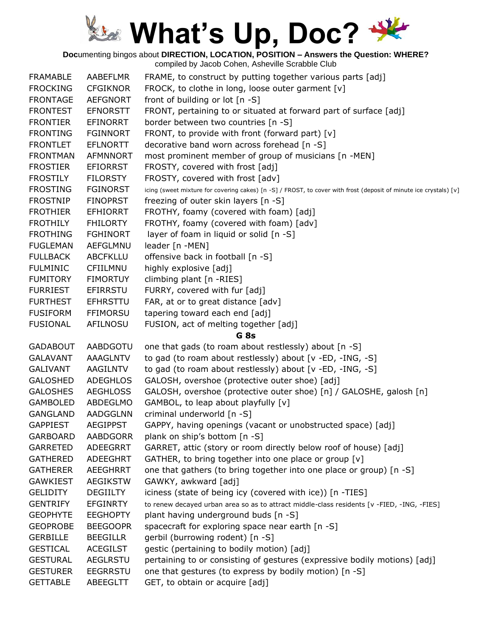**Doc**umenting bingos about **DIRECTION, LOCATION, POSITION – Answers the Question: WHERE?**

| <b>FRAMABLE</b> | AABEFLMR        | FRAME, to construct by putting together various parts [adj]                                                       |
|-----------------|-----------------|-------------------------------------------------------------------------------------------------------------------|
| <b>FROCKING</b> | <b>CFGIKNOR</b> | FROCK, to clothe in long, loose outer garment [v]                                                                 |
| <b>FRONTAGE</b> | <b>AEFGNORT</b> | front of building or lot [n -S]                                                                                   |
| <b>FRONTEST</b> | <b>EFNORSTT</b> | FRONT, pertaining to or situated at forward part of surface [adj]                                                 |
| <b>FRONTIER</b> | <b>EFINORRT</b> | border between two countries [n -S]                                                                               |
| <b>FRONTING</b> | <b>FGINNORT</b> | FRONT, to provide with front (forward part) [v]                                                                   |
| <b>FRONTLET</b> | <b>EFLNORTT</b> | decorative band worn across forehead [n -S]                                                                       |
| <b>FRONTMAN</b> | <b>AFMNNORT</b> | most prominent member of group of musicians [n -MEN]                                                              |
| <b>FROSTIER</b> | <b>EFIORRST</b> | FROSTY, covered with frost [adj]                                                                                  |
| <b>FROSTILY</b> | <b>FILORSTY</b> | FROSTY, covered with frost [adv]                                                                                  |
| <b>FROSTING</b> | <b>FGINORST</b> | icing (sweet mixture for covering cakes) [n -S] / FROST, to cover with frost (deposit of minute ice crystals) [v] |
| <b>FROSTNIP</b> | <b>FINOPRST</b> | freezing of outer skin layers [n -S]                                                                              |
| <b>FROTHIER</b> | <b>EFHIORRT</b> | FROTHY, foamy (covered with foam) [adj]                                                                           |
| <b>FROTHILY</b> | <b>FHILORTY</b> | FROTHY, foamy (covered with foam) [adv]                                                                           |
| <b>FROTHING</b> | <b>FGHINORT</b> | layer of foam in liquid or solid [n -S]                                                                           |
| <b>FUGLEMAN</b> | AEFGLMNU        | leader [n -MEN]                                                                                                   |
| <b>FULLBACK</b> | <b>ABCFKLLU</b> | offensive back in football [n -S]                                                                                 |
| <b>FULMINIC</b> | CFIILMNU        | highly explosive [adj]                                                                                            |
| <b>FUMITORY</b> | <b>FIMORTUY</b> | climbing plant [n -RIES]                                                                                          |
| <b>FURRIEST</b> | EFIRRSTU        | FURRY, covered with fur [adj]                                                                                     |
| <b>FURTHEST</b> | <b>EFHRSTTU</b> | FAR, at or to great distance [adv]                                                                                |
| <b>FUSIFORM</b> | <b>FFIMORSU</b> | tapering toward each end [adj]                                                                                    |
| <b>FUSIONAL</b> | <b>AFILNOSU</b> | FUSION, act of melting together [adj]                                                                             |
|                 |                 | G <sub>8s</sub>                                                                                                   |
| <b>GADABOUT</b> | AABDGOTU        | one that gads (to roam about restlessly) about [n -S]                                                             |
| <b>GALAVANT</b> | AAAGLNTV        | to gad (to roam about restlessly) about [v -ED, -ING, -S]                                                         |
| <b>GALIVANT</b> | AAGILNTV        | to gad (to roam about restlessly) about [v -ED, -ING, -S]                                                         |
| <b>GALOSHED</b> | <b>ADEGHLOS</b> | GALOSH, overshoe (protective outer shoe) [adj]                                                                    |
| <b>GALOSHES</b> | <b>AEGHLOSS</b> | GALOSH, overshoe (protective outer shoe) [n] / GALOSHE, galosh [n]                                                |
| <b>GAMBOLED</b> | ABDEGLMO        | GAMBOL, to leap about playfully [v]                                                                               |
| <b>GANGLAND</b> | AADGGLNN        | criminal underworld [n -S]                                                                                        |
| <b>GAPPIEST</b> | <b>AEGIPPST</b> | GAPPY, having openings (vacant or unobstructed space) [adj]                                                       |
| <b>GARBOARD</b> | <b>AABDGORR</b> | plank on ship's bottom [n -S]                                                                                     |
| <b>GARRETED</b> | ADEEGRRT        | GARRET, attic (story or room directly below roof of house) [adj]                                                  |
| <b>GATHERED</b> | ADEEGHRT        | GATHER, to bring together into one place or group [v]                                                             |
| <b>GATHERER</b> | AEEGHRRT        | one that gathers (to bring together into one place or group) [n -S]                                               |
| <b>GAWKIEST</b> | <b>AEGIKSTW</b> | GAWKY, awkward [adj]                                                                                              |
| <b>GELIDITY</b> | <b>DEGIILTY</b> | iciness (state of being icy (covered with ice)) [n -TIES]                                                         |
| <b>GENTRIFY</b> | <b>EFGINRTY</b> | to renew decayed urban area so as to attract middle-class residents [v -FIED, -ING, -FIES]                        |
| <b>GEOPHYTE</b> | <b>EEGHOPTY</b> | plant having underground buds [n -S]                                                                              |
| <b>GEOPROBE</b> | <b>BEEGOOPR</b> | spacecraft for exploring space near earth [n -S]                                                                  |
| <b>GERBILLE</b> | <b>BEEGILLR</b> | gerbil (burrowing rodent) [n -S]                                                                                  |
| <b>GESTICAL</b> | <b>ACEGILST</b> | gestic (pertaining to bodily motion) [adj]                                                                        |
| <b>GESTURAL</b> | <b>AEGLRSTU</b> | pertaining to or consisting of gestures (expressive bodily motions) [adj]                                         |
| <b>GESTURER</b> | <b>EEGRRSTU</b> | one that gestures (to express by bodily motion) [n -S]                                                            |
| <b>GETTABLE</b> | ABEEGLTT        | GET, to obtain or acquire [adj]                                                                                   |
|                 |                 |                                                                                                                   |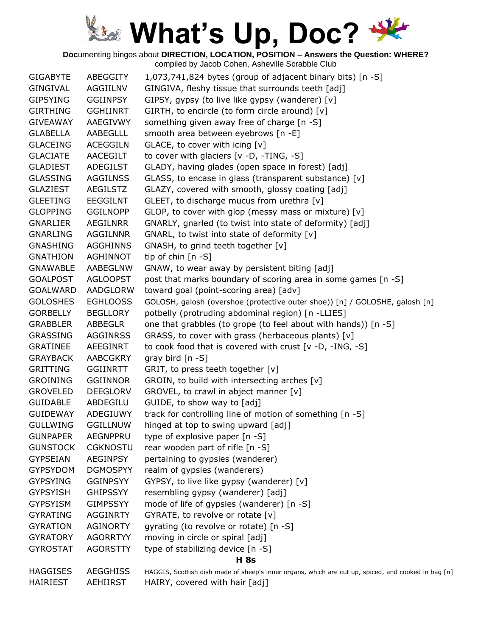**Doc**umenting bingos about **DIRECTION, LOCATION, POSITION – Answers the Question: WHERE?**

| <b>GIGABYTE</b> | ABEGGITY        | 1,073,741,824 bytes (group of adjacent binary bits) [n -S]                                          |
|-----------------|-----------------|-----------------------------------------------------------------------------------------------------|
| <b>GINGIVAL</b> | AGGIILNV        | GINGIVA, fleshy tissue that surrounds teeth [adj]                                                   |
| <b>GIPSYING</b> | <b>GGIINPSY</b> | GIPSY, gypsy (to live like gypsy (wanderer) [v]                                                     |
| <b>GIRTHING</b> | <b>GGHIINRT</b> | GIRTH, to encircle (to form circle around) [v]                                                      |
| <b>GIVEAWAY</b> | AAEGIVWY        | something given away free of charge [n -S]                                                          |
| <b>GLABELLA</b> | AABEGLLL        | smooth area between eyebrows [n -E]                                                                 |
| <b>GLACEING</b> | <b>ACEGGILN</b> | GLACE, to cover with icing [v]                                                                      |
| <b>GLACIATE</b> | AACEGILT        | to cover with glaciers [v -D, -TING, -S]                                                            |
| <b>GLADIEST</b> | ADEGILST        | GLADY, having glades (open space in forest) [adj]                                                   |
| <b>GLASSING</b> | <b>AGGILNSS</b> | GLASS, to encase in glass (transparent substance) [v]                                               |
| <b>GLAZIEST</b> | <b>AEGILSTZ</b> | GLAZY, covered with smooth, glossy coating [adj]                                                    |
| <b>GLEETING</b> | <b>EEGGILNT</b> | GLEET, to discharge mucus from urethra [v]                                                          |
| <b>GLOPPING</b> | <b>GGILNOPP</b> | GLOP, to cover with glop (messy mass or mixture) [v]                                                |
| <b>GNARLIER</b> | AEGILNRR        | GNARLY, gnarled (to twist into state of deformity) [adj]                                            |
| <b>GNARLING</b> | <b>AGGILNNR</b> | GNARL, to twist into state of deformity [v]                                                         |
| <b>GNASHING</b> | <b>AGGHINNS</b> | GNASH, to grind teeth together [v]                                                                  |
| <b>GNATHION</b> | AGHINNOT        | tip of chin $[n - S]$                                                                               |
| <b>GNAWABLE</b> | AABEGLNW        | GNAW, to wear away by persistent biting [adj]                                                       |
| <b>GOALPOST</b> | <b>AGLOOPST</b> | post that marks boundary of scoring area in some games [n -S]                                       |
| <b>GOALWARD</b> | AADGLORW        | toward goal (point-scoring area) [adv]                                                              |
| <b>GOLOSHES</b> | <b>EGHLOOSS</b> | GOLOSH, galosh (overshoe (protective outer shoe)) [n] / GOLOSHE, galosh [n]                         |
| <b>GORBELLY</b> | <b>BEGLLORY</b> | potbelly (protruding abdominal region) [n -LLIES]                                                   |
| <b>GRABBLER</b> | ABBEGLR         | one that grabbles (to grope (to feel about with hands)) [n -S]                                      |
| <b>GRASSING</b> | <b>AGGINRSS</b> | GRASS, to cover with grass (herbaceous plants) [v]                                                  |
| <b>GRATINEE</b> | AEEGINRT        | to cook food that is covered with crust $[v -D, -ING, -S]$                                          |
| <b>GRAYBACK</b> | AABCGKRY        | gray bird $[n -S]$                                                                                  |
| <b>GRITTING</b> | <b>GGIINRTT</b> | GRIT, to press teeth together [v]                                                                   |
| <b>GROINING</b> | <b>GGIINNOR</b> | GROIN, to build with intersecting arches [v]                                                        |
| <b>GROVELED</b> | <b>DEEGLORV</b> | GROVEL, to crawl in abject manner [v]                                                               |
| <b>GUIDABLE</b> | ABDEGILU        | GUIDE, to show way to [adj]                                                                         |
| GUIDEWAY        | ADEGIUWY        | track for controlling line of motion of something [n -S]                                            |
| <b>GULLWING</b> | <b>GGILLNUW</b> | hinged at top to swing upward [adj]                                                                 |
| <b>GUNPAPER</b> | <b>AEGNPPRU</b> | type of explosive paper [n -S]                                                                      |
| <b>GUNSTOCK</b> | <b>CGKNOSTU</b> | rear wooden part of rifle [n -S]                                                                    |
| <b>GYPSEIAN</b> | <b>AEGINPSY</b> | pertaining to gypsies (wanderer)                                                                    |
| <b>GYPSYDOM</b> | <b>DGMOSPYY</b> | realm of gypsies (wanderers)                                                                        |
| <b>GYPSYING</b> | <b>GGINPSYY</b> | GYPSY, to live like gypsy (wanderer) [v]                                                            |
| <b>GYPSYISH</b> | <b>GHIPSSYY</b> | resembling gypsy (wanderer) [adj]                                                                   |
| <b>GYPSYISM</b> | <b>GIMPSSYY</b> | mode of life of gypsies (wanderer) [n -S]                                                           |
| <b>GYRATING</b> | <b>AGGINRTY</b> | GYRATE, to revolve or rotate [v]                                                                    |
| <b>GYRATION</b> | AGINORTY        | gyrating (to revolve or rotate) [n -S]                                                              |
| <b>GYRATORY</b> | <b>AGORRTYY</b> | moving in circle or spiral [adj]                                                                    |
| <b>GYROSTAT</b> | <b>AGORSTTY</b> | type of stabilizing device [n -S]                                                                   |
|                 |                 | <b>H</b> 8s                                                                                         |
| <b>HAGGISES</b> | <b>AEGGHISS</b> | HAGGIS, Scottish dish made of sheep's inner organs, which are cut up, spiced, and cooked in bag [n] |
| <b>HAIRIEST</b> | AEHIIRST        | HAIRY, covered with hair [adj]                                                                      |
|                 |                 |                                                                                                     |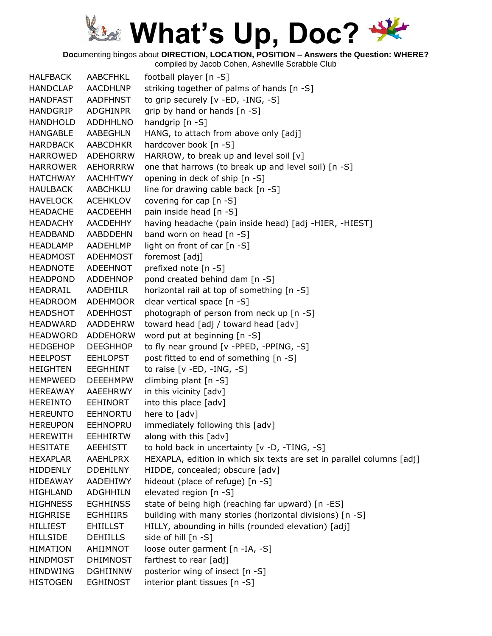**Doc**umenting bingos about **DIRECTION, LOCATION, POSITION – Answers the Question: WHERE?**

| <b>HALFBACK</b> | AABCFHKL                           | football player [n -S]                                                |
|-----------------|------------------------------------|-----------------------------------------------------------------------|
| <b>HANDCLAP</b> | <b>AACDHLNP</b>                    | striking together of palms of hands [n -S]                            |
| <b>HANDFAST</b> | <b>AADFHNST</b>                    | to grip securely [v -ED, -ING, -S]                                    |
| <b>HANDGRIP</b> | <b>ADGHINPR</b>                    | grip by hand or hands [n -S]                                          |
| <b>HANDHOLD</b> | <b>ADDHHLNO</b>                    | handgrip $[n - S]$                                                    |
| <b>HANGABLE</b> | AABEGHLN                           | HANG, to attach from above only [adj]                                 |
| <b>HARDBACK</b> | AABCDHKR                           | hardcover book [n -S]                                                 |
| <b>HARROWED</b> | <b>ADEHORRW</b>                    | HARROW, to break up and level soil [v]                                |
| <b>HARROWER</b> | <b>AEHORRRW</b>                    | one that harrows (to break up and level soil) [n -S]                  |
| <b>HATCHWAY</b> | <b>AACHHTWY</b>                    | opening in deck of ship [n -S]                                        |
| <b>HAULBACK</b> | <b>AABCHKLU</b>                    | line for drawing cable back [n -S]                                    |
| <b>HAVELOCK</b> | <b>ACEHKLOV</b>                    | covering for cap [n -S]                                               |
| <b>HEADACHE</b> | AACDEEHH                           | pain inside head [n -S]                                               |
| <b>HEADACHY</b> | AACDEHHY                           | having headache (pain inside head) [adj -HIER, -HIEST]                |
| <b>HEADBAND</b> | <b>AABDDEHN</b>                    | band worn on head [n -S]                                              |
| <b>HEADLAMP</b> | AADEHLMP                           | light on front of car [n -S]                                          |
| <b>HEADMOST</b> | ADEHMOST                           | foremost [adj]                                                        |
| <b>HEADNOTE</b> | ADEEHNOT                           | prefixed note [n -S]                                                  |
| <b>HEADPOND</b> | ADDEHNOP                           | pond created behind dam [n -S]                                        |
| HEADRAIL        | AADEHILR                           | horizontal rail at top of something [n -S]                            |
| <b>HEADROOM</b> | ADEHMOOR                           | clear vertical space [n -S]                                           |
| <b>HEADSHOT</b> | ADEHHOST                           | photograph of person from neck up [n -S]                              |
| <b>HEADWARD</b> | AADDEHRW                           | toward head [adj / toward head [adv]                                  |
| <b>HEADWORD</b> | ADDEHORW                           | word put at beginning [n -S]                                          |
| <b>HEDGEHOP</b> | <b>DEEGHHOP</b>                    | to fly near ground [v -PPED, -PPING, -S]                              |
| <b>HEELPOST</b> | <b>EEHLOPST</b>                    | post fitted to end of something [n -S]                                |
| <b>HEIGHTEN</b> | <b>EEGHHINT</b>                    | to raise $[v - ED, -ING, -S]$                                         |
| <b>HEMPWEED</b> | <b>DEEEHMPW</b>                    | climbing plant [n -S]                                                 |
| <b>HEREAWAY</b> | AAEEHRWY                           | in this vicinity [adv]                                                |
| <b>HEREINTO</b> | EEHINORT                           | into this place [adv]                                                 |
| <b>HEREUNTO</b> | <b>EEHNORTU</b>                    | here to [adv]                                                         |
| <b>HEREUPON</b> | <b>EEHNOPRU</b>                    | immediately following this [adv]                                      |
| <b>HEREWITH</b> | <b>EEHHIRTW</b>                    | along with this [adv]                                                 |
| <b>HESITATE</b> | <b>AEEHISTT</b>                    | to hold back in uncertainty [v -D, -TING, -S]                         |
| <b>HEXAPLAR</b> | <b>AAEHLPRX</b>                    | HEXAPLA, edition in which six texts are set in parallel columns [adj] |
| HIDDENLY        | <b>DDEHILNY</b>                    | HIDDE, concealed; obscure [adv]                                       |
| <b>HIDEAWAY</b> | AADEHIWY                           |                                                                       |
|                 |                                    | hideout (place of refuge) [n -S]                                      |
| <b>HIGHLAND</b> | <b>ADGHHILN</b><br><b>EGHHINSS</b> | elevated region [n -S]                                                |
| <b>HIGHNESS</b> | <b>EGHHIIRS</b>                    | state of being high (reaching far upward) [n -ES]                     |
| <b>HIGHRISE</b> |                                    | building with many stories (horizontal divisions) [n -S]              |
| <b>HILLIEST</b> | <b>EHIILLST</b>                    | HILLY, abounding in hills (rounded elevation) [adj]                   |
| <b>HILLSIDE</b> | <b>DEHIILLS</b>                    | side of hill [n -S]                                                   |
| <b>HIMATION</b> | AHIIMNOT                           | loose outer garment [n -IA, -S]                                       |
| <b>HINDMOST</b> | <b>DHIMNOST</b>                    | farthest to rear [adj]                                                |
| <b>HINDWING</b> | <b>DGHIINNW</b>                    | posterior wing of insect [n -S]                                       |
| <b>HISTOGEN</b> | <b>EGHINOST</b>                    | interior plant tissues [n -S]                                         |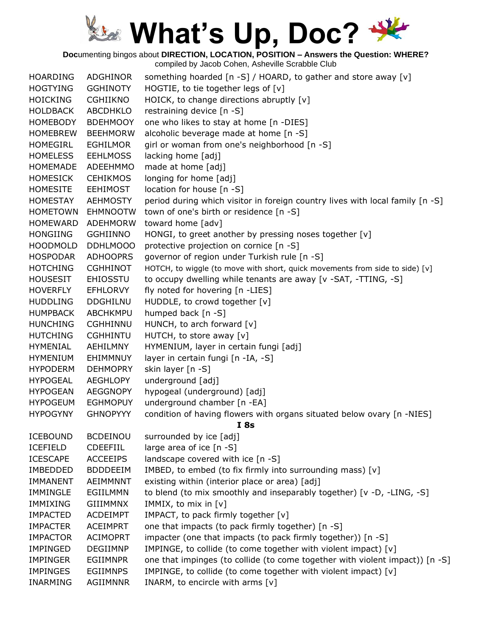**Doc**umenting bingos about **DIRECTION, LOCATION, POSITION – Answers the Question: WHERE?**

| <b>HOARDING</b> | <b>ADGHINOR</b> | something hoarded [n -S] / HOARD, to gather and store away [v]                |
|-----------------|-----------------|-------------------------------------------------------------------------------|
| <b>HOGTYING</b> | <b>GGHINOTY</b> | HOGTIE, to tie together legs of [v]                                           |
| <b>HOICKING</b> | <b>CGHIIKNO</b> | HOICK, to change directions abruptly [v]                                      |
| <b>HOLDBACK</b> | <b>ABCDHKLO</b> | restraining device [n -S]                                                     |
| <b>HOMEBODY</b> | <b>BDEHMOOY</b> | one who likes to stay at home [n -DIES]                                       |
| <b>HOMEBREW</b> | <b>BEEHMORW</b> | alcoholic beverage made at home [n -S]                                        |
| <b>HOMEGIRL</b> | <b>EGHILMOR</b> | girl or woman from one's neighborhood [n -S]                                  |
| <b>HOMELESS</b> | <b>EEHLMOSS</b> | lacking home [adj]                                                            |
| <b>HOMEMADE</b> | ADEEHMMO        | made at home [adj]                                                            |
| <b>HOMESICK</b> | <b>CEHIKMOS</b> | longing for home [adj]                                                        |
| <b>HOMESITE</b> | <b>EEHIMOST</b> | location for house [n -S]                                                     |
| HOMESTAY        | <b>AEHMOSTY</b> | period during which visitor in foreign country lives with local family [n -S] |
| <b>HOMETOWN</b> | <b>EHMNOOTW</b> | town of one's birth or residence [n -S]                                       |
| <b>HOMEWARD</b> | <b>ADEHMORW</b> | toward home [adv]                                                             |
| <b>HONGIING</b> | <b>GGHIINNO</b> | HONGI, to greet another by pressing noses together [v]                        |
| <b>HOODMOLD</b> | DDHLMOOO        | protective projection on cornice [n -S]                                       |
| <b>HOSPODAR</b> | <b>ADHOOPRS</b> | governor of region under Turkish rule [n -S]                                  |
| <b>HOTCHING</b> | <b>CGHHINOT</b> | HOTCH, to wiggle (to move with short, quick movements from side to side) [v]  |
| <b>HOUSESIT</b> | <b>EHIOSSTU</b> | to occupy dwelling while tenants are away [v -SAT, -TTING, -S]                |
| <b>HOVERFLY</b> | <b>EFHLORVY</b> | fly noted for hovering [n -LIES]                                              |
| <b>HUDDLING</b> | <b>DDGHILNU</b> | HUDDLE, to crowd together [v]                                                 |
| <b>HUMPBACK</b> | <b>ABCHKMPU</b> | humped back [n -S]                                                            |
| <b>HUNCHING</b> | <b>CGHHINNU</b> | HUNCH, to arch forward [v]                                                    |
| <b>HUTCHING</b> | <b>CGHHINTU</b> | HUTCH, to store away [v]                                                      |
| <b>HYMENIAL</b> | AEHILMNY        | HYMENIUM, layer in certain fungi [adj]                                        |
| <b>HYMENIUM</b> | EHIMMNUY        | layer in certain fungi [n -IA, -S]                                            |
| <b>HYPODERM</b> | <b>DEHMOPRY</b> | skin layer [n -S]                                                             |
| <b>HYPOGEAL</b> | <b>AEGHLOPY</b> | underground [adj]                                                             |
| <b>HYPOGEAN</b> | <b>AEGGNOPY</b> | hypogeal (underground) [adj]                                                  |
| <b>HYPOGEUM</b> | <b>EGHMOPUY</b> | underground chamber [n -EA]                                                   |
| <b>HYPOGYNY</b> | <b>GHNOPYYY</b> | condition of having flowers with organs situated below ovary [n -NIES]        |
|                 |                 | <b>I</b> 8s                                                                   |
| <b>ICEBOUND</b> | <b>BCDEINOU</b> | surrounded by ice [adj]                                                       |
| <b>ICEFIELD</b> | <b>CDEEFIIL</b> | large area of ice [n -S]                                                      |
| <b>ICESCAPE</b> | <b>ACCEEIPS</b> | landscape covered with ice [n -S]                                             |
| <b>IMBEDDED</b> | <b>BDDDEEIM</b> | IMBED, to embed (to fix firmly into surrounding mass) [v]                     |
| <b>IMMANENT</b> | <b>AEIMMNNT</b> | existing within (interior place or area) [adj]                                |
| <b>IMMINGLE</b> | EGIILMMN        | to blend (to mix smoothly and inseparably together) [v -D, -LING, -S]         |
| IMMIXING        | <b>GIIIMMNX</b> | IMMIX, to mix in [v]                                                          |
| <b>IMPACTED</b> | <b>ACDEIMPT</b> | IMPACT, to pack firmly together [v]                                           |
| <b>IMPACTER</b> | <b>ACEIMPRT</b> | one that impacts (to pack firmly together) [n -S]                             |
| <b>IMPACTOR</b> | <b>ACIMOPRT</b> | impacter (one that impacts (to pack firmly together)) [n -S]                  |
| IMPINGED        | <b>DEGIIMNP</b> | IMPINGE, to collide (to come together with violent impact) [v]                |
| <b>IMPINGER</b> | <b>EGIIMNPR</b> | one that impinges (to collide (to come together with violent impact)) [n -S]  |
| <b>IMPINGES</b> | <b>EGIIMNPS</b> | IMPINGE, to collide (to come together with violent impact) [v]                |
| <b>INARMING</b> | AGIIMNNR        | INARM, to encircle with arms [v]                                              |
|                 |                 |                                                                               |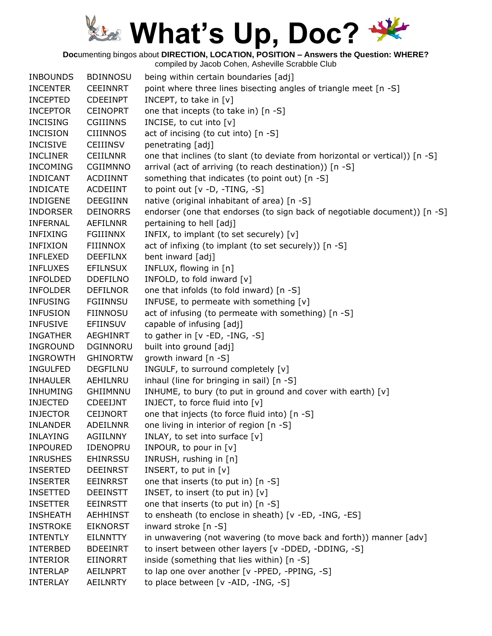**Doc**umenting bingos about **DIRECTION, LOCATION, POSITION – Answers the Question: WHERE?**

| point where three lines bisecting angles of triangle meet [n -S]<br><b>INCENTER</b><br><b>CEEINNRT</b>             |  |
|--------------------------------------------------------------------------------------------------------------------|--|
| <b>INCEPTED</b><br>INCEPT, to take in $[v]$<br><b>CDEEINPT</b>                                                     |  |
| one that incepts (to take in) [n -S]<br><b>INCEPTOR</b><br><b>CEINOPRT</b>                                         |  |
| <b>INCISING</b><br><b>CGIIINNS</b><br>INCISE, to cut into [v]                                                      |  |
| act of incising (to cut into) [n -S]<br><b>INCISION</b><br><b>CIIINNOS</b>                                         |  |
| <b>INCISIVE</b><br>penetrating [adj]<br><b>CEIIINSV</b>                                                            |  |
| one that inclines (to slant (to deviate from horizontal or vertical)) [n -S]<br><b>INCLINER</b><br><b>CEIILNNR</b> |  |
| arrival (act of arriving (to reach destination)) [n -S]<br><b>INCOMING</b><br><b>CGIIMNNO</b>                      |  |
| something that indicates (to point out) [n -S]<br><b>INDICANT</b><br><b>ACDIINNT</b>                               |  |
| <b>INDICATE</b><br>ACDEIINT<br>to point out $[v - D, -TING, -S]$                                                   |  |
| native (original inhabitant of area) [n -S]<br><b>INDIGENE</b><br><b>DEEGIINN</b>                                  |  |
| endorser (one that endorses (to sign back of negotiable document)) [n -S]<br><b>INDORSER</b><br><b>DEINORRS</b>    |  |
| pertaining to hell [adj]<br><b>INFERNAL</b><br>AEFILNNR                                                            |  |
| INFIX, to implant (to set securely) [v]<br><b>INFIXING</b><br>FGIIINNX                                             |  |
| <b>INFIXION</b><br>act of infixing (to implant (to set securely)) [n -S]<br><b>FIIINNOX</b>                        |  |
| bent inward [adj]<br><b>INFLEXED</b><br><b>DEEFILNX</b>                                                            |  |
| <b>INFLUXES</b><br><b>EFILNSUX</b><br>INFLUX, flowing in [n]                                                       |  |
| INFOLD, to fold inward [v]<br><b>INFOLDED</b><br><b>DDEFILNO</b>                                                   |  |
| one that infolds (to fold inward) [n -S]<br><b>INFOLDER</b><br><b>DEFILNOR</b>                                     |  |
| INFUSE, to permeate with something [v]<br><b>INFUSING</b><br><b>FGIINNSU</b>                                       |  |
| act of infusing (to permeate with something) [n -S]<br><b>INFUSION</b><br><b>FIINNOSU</b>                          |  |
| capable of infusing [adj]<br><b>INFUSIVE</b><br><b>EFIINSUV</b>                                                    |  |
| to gather in $[v - ED, -ING, -S]$<br><b>INGATHER</b><br>AEGHINRT                                                   |  |
| built into ground [adj]<br><b>DGINNORU</b><br><b>INGROUND</b>                                                      |  |
| growth inward [n -S]<br><b>INGROWTH</b><br><b>GHINORTW</b>                                                         |  |
| INGULF, to surround completely [v]<br><b>INGULFED</b><br><b>DEGFILNU</b>                                           |  |
| inhaul (line for bringing in sail) [n -S]<br><b>INHAULER</b><br>AEHILNRU                                           |  |
| GHIIMNNU<br>INHUME, to bury (to put in ground and cover with earth) [v]<br><b>INHUMING</b>                         |  |
| INJECT, to force fluid into [v]<br><b>INJECTED</b><br><b>CDEEIJNT</b>                                              |  |
| one that injects (to force fluid into) [n -S]<br><b>INJECTOR</b><br><b>CEIJNORT</b>                                |  |
| one living in interior of region [n -S]<br><b>INLANDER</b><br><b>ADEILNNR</b>                                      |  |
| <b>INLAYING</b><br><b>AGIILNNY</b><br>INLAY, to set into surface [v]                                               |  |
| INPOUR, to pour in [v]<br><b>INPOURED</b><br><b>IDENOPRU</b>                                                       |  |
| INRUSH, rushing in [n]<br><b>INRUSHES</b><br>EHINRSSU                                                              |  |
| INSERT, to put in $[v]$<br><b>INSERTED</b><br><b>DEEINRST</b>                                                      |  |
| one that inserts (to put in) [n -S]<br><b>INSERTER</b><br><b>EEINRRST</b>                                          |  |
| INSET, to insert (to put in) [v]<br><b>INSETTED</b><br><b>DEEINSTT</b>                                             |  |
| one that inserts (to put in) [n -S]<br><b>INSETTER</b><br><b>EEINRSTT</b>                                          |  |
| to ensheath (to enclose in sheath) [v -ED, -ING, -ES]<br><b>INSHEATH</b><br>AEHHINST                               |  |
| <b>EIKNORST</b><br>inward stroke [n -S]<br><b>INSTROKE</b>                                                         |  |
| in unwavering (not wavering (to move back and forth)) manner [adv]<br><b>INTENTLY</b><br><b>EILNNTTY</b>           |  |
| to insert between other layers [v -DDED, -DDING, -S]<br><b>BDEEINRT</b><br><b>INTERBED</b>                         |  |
| inside (something that lies within) [n -S]<br><b>INTERIOR</b><br><b>EIINORRT</b>                                   |  |
| to lap one over another [v -PPED, -PPING, -S]<br><b>INTERLAP</b><br><b>AEILNPRT</b>                                |  |
| to place between [v -AID, -ING, -S]<br><b>INTERLAY</b><br><b>AEILNRTY</b>                                          |  |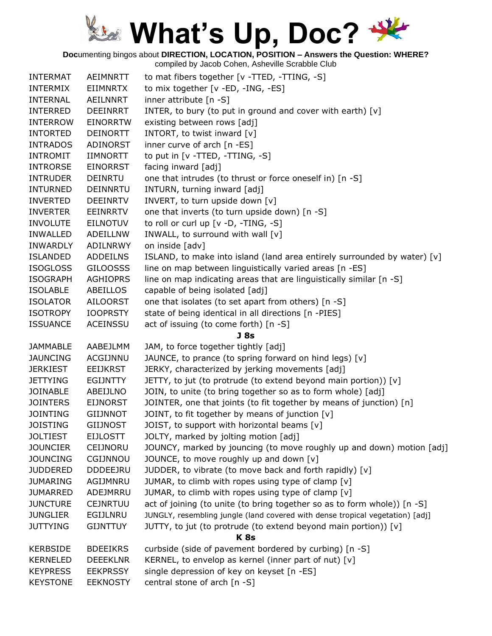**Doc**umenting bingos about **DIRECTION, LOCATION, POSITION – Answers the Question: WHERE?**

| <b>INTERMAT</b> | AEIMNRTT        | to mat fibers together [v -TTED, -TTING, -S]                                  |
|-----------------|-----------------|-------------------------------------------------------------------------------|
| <b>INTERMIX</b> | EIIMNRTX        | to mix together [v -ED, -ING, -ES]                                            |
| <b>INTERNAL</b> | AEILNNRT        | inner attribute [n -S]                                                        |
| <b>INTERRED</b> | <b>DEEINRRT</b> | INTER, to bury (to put in ground and cover with earth) [v]                    |
| <b>INTERROW</b> | <b>EINORRTW</b> | existing between rows [adj]                                                   |
| <b>INTORTED</b> | <b>DEINORTT</b> | INTORT, to twist inward [v]                                                   |
| <b>INTRADOS</b> | ADINORST        | inner curve of arch $[n - ES]$                                                |
| <b>INTROMIT</b> | <b>IIMNORTT</b> | to put in [v -TTED, -TTING, -S]                                               |
| <b>INTRORSE</b> | <b>EINORRST</b> | facing inward [adj]                                                           |
| <b>INTRUDER</b> | <b>DEINRTU</b>  | one that intrudes (to thrust or force oneself in) [n -S]                      |
| <b>INTURNED</b> | <b>DEINNRTU</b> | INTURN, turning inward [adj]                                                  |
| <b>INVERTED</b> | <b>DEEINRTV</b> | INVERT, to turn upside down [v]                                               |
| <b>INVERTER</b> | EEINRRTV        | one that inverts (to turn upside down) [n -S]                                 |
| <b>INVOLUTE</b> | EILNOTUV        | to roll or curl up [v -D, -TING, -S]                                          |
| <b>INWALLED</b> | ADEILLNW        | INWALL, to surround with wall [v]                                             |
| <b>INWARDLY</b> | ADILNRWY        | on inside [adv]                                                               |
| <b>ISLANDED</b> | <b>ADDEILNS</b> | ISLAND, to make into island (land area entirely surrounded by water) [v]      |
| <b>ISOGLOSS</b> | <b>GILOOSSS</b> | line on map between linguistically varied areas [n -ES]                       |
| <b>ISOGRAPH</b> | <b>AGHIOPRS</b> | line on map indicating areas that are linguistically similar [n -S]           |
| <b>ISOLABLE</b> | ABEILLOS        | capable of being isolated [adj]                                               |
| <b>ISOLATOR</b> | <b>AILOORST</b> | one that isolates (to set apart from others) [n -S]                           |
| <b>ISOTROPY</b> | <b>IOOPRSTY</b> | state of being identical in all directions [n -PIES]                          |
| <b>ISSUANCE</b> | <b>ACEINSSU</b> | act of issuing (to come forth) [n -S]                                         |
|                 |                 | <b>J</b> 8s                                                                   |
| <b>JAMMABLE</b> | AABEJLMM        | JAM, to force together tightly [adj]                                          |
| <b>JAUNCING</b> | ACGIJNNU        | JAUNCE, to prance (to spring forward on hind legs) [v]                        |
| <b>JERKIEST</b> | <b>EEIJKRST</b> | JERKY, characterized by jerking movements [adj]                               |
| <b>JETTYING</b> | <b>EGIJNTTY</b> | JETTY, to jut (to protrude (to extend beyond main portion)) [v]               |
| <b>JOINABLE</b> | ABEIJLNO        | JOIN, to unite (to bring together so as to form whole) [adj]                  |
| <b>JOINTERS</b> | <b>EIJNORST</b> | JOINTER, one that joints (to fit together by means of junction) [n]           |
| <b>JOINTING</b> | <b>GIIJNNOT</b> | JOINT, to fit together by means of junction [v]                               |
| <b>JOISTING</b> | <b>GIIJNOST</b> | JOIST, to support with horizontal beams [v]                                   |
| <b>JOLTIEST</b> | <b>EIJLOSTT</b> | JOLTY, marked by jolting motion [adj]                                         |
| <b>JOUNCIER</b> | CEIJNORU        | JOUNCY, marked by jouncing (to move roughly up and down) motion [adj]         |
| <b>JOUNCING</b> | CGIJNNOU        | JOUNCE, to move roughly up and down [v]                                       |
| <b>JUDDERED</b> | <b>DDDEEJRU</b> | JUDDER, to vibrate (to move back and forth rapidly) [v]                       |
| <b>JUMARING</b> | AGIJMNRU        | JUMAR, to climb with ropes using type of clamp [v]                            |
| <b>JUMARRED</b> | ADEJMRRU        | JUMAR, to climb with ropes using type of clamp [v]                            |
| <b>JUNCTURE</b> | <b>CEJNRTUU</b> | act of joining (to unite (to bring together so as to form whole)) [n -S]      |
| <b>JUNGLIER</b> | EGIJLNRU        | JUNGLY, resembling jungle (land covered with dense tropical vegetation) [adj] |
| <b>JUTTYING</b> | <b>GIJNTTUY</b> | JUTTY, to jut (to protrude (to extend beyond main portion)) [v]               |
|                 |                 | K <sub>8s</sub>                                                               |
| <b>KERBSIDE</b> | <b>BDEEIKRS</b> | curbside (side of pavement bordered by curbing) [n -S]                        |
| <b>KERNELED</b> | <b>DEEEKLNR</b> | KERNEL, to envelop as kernel (inner part of nut) $[v]$                        |
| <b>KEYPRESS</b> | <b>EEKPRSSY</b> | single depression of key on keyset [n -ES]                                    |
| <b>KEYSTONE</b> | <b>EEKNOSTY</b> | central stone of arch [n -S]                                                  |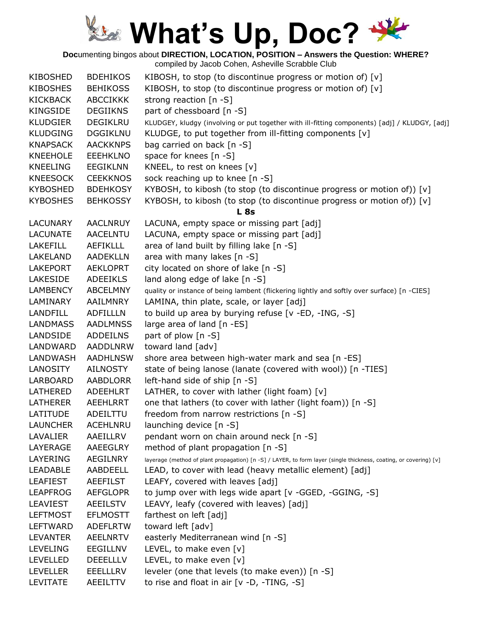**Doc**umenting bingos about **DIRECTION, LOCATION, POSITION – Answers the Question: WHERE?**

| <b>KIBOSHED</b> | <b>BDEHIKOS</b> | KIBOSH, to stop (to discontinue progress or motion of) [v]                                                        |
|-----------------|-----------------|-------------------------------------------------------------------------------------------------------------------|
| <b>KIBOSHES</b> | <b>BEHIKOSS</b> | KIBOSH, to stop (to discontinue progress or motion of) [v]                                                        |
| <b>KICKBACK</b> | <b>ABCCIKKK</b> | strong reaction [n -S]                                                                                            |
| <b>KINGSIDE</b> | <b>DEGIIKNS</b> | part of chessboard [n -S]                                                                                         |
| <b>KLUDGIER</b> | <b>DEGIKLRU</b> | KLUDGEY, kludgy (involving or put together with ill-fitting components) [adj] / KLUDGY, [adj]                     |
| <b>KLUDGING</b> | <b>DGGIKLNU</b> | KLUDGE, to put together from ill-fitting components [v]                                                           |
| <b>KNAPSACK</b> | <b>AACKKNPS</b> | bag carried on back [n -S]                                                                                        |
| <b>KNEEHOLE</b> | <b>EEEHKLNO</b> | space for knees [n -S]                                                                                            |
| <b>KNEELING</b> | <b>EEGIKLNN</b> | KNEEL, to rest on knees [v]                                                                                       |
| <b>KNEESOCK</b> | <b>CEEKKNOS</b> | sock reaching up to knee [n -S]                                                                                   |
| <b>KYBOSHED</b> | <b>BDEHKOSY</b> | KYBOSH, to kibosh (to stop (to discontinue progress or motion of)) [v]                                            |
| <b>KYBOSHES</b> | <b>BEHKOSSY</b> | KYBOSH, to kibosh (to stop (to discontinue progress or motion of)) [v]                                            |
|                 |                 | <b>L</b> 8s                                                                                                       |
| LACUNARY        | <b>AACLNRUY</b> | LACUNA, empty space or missing part [adj]                                                                         |
| <b>LACUNATE</b> | <b>AACELNTU</b> | LACUNA, empty space or missing part [adj]                                                                         |
| <b>LAKEFILL</b> | <b>AEFIKLLL</b> | area of land built by filling lake [n -S]                                                                         |
| LAKELAND        | <b>AADEKLLN</b> | area with many lakes [n -S]                                                                                       |
| <b>LAKEPORT</b> | <b>AEKLOPRT</b> | city located on shore of lake [n -S]                                                                              |
| <b>LAKESIDE</b> | <b>ADEEIKLS</b> | land along edge of lake [n -S]                                                                                    |
| LAMBENCY        | ABCELMNY        | quality or instance of being lambent (flickering lightly and softly over surface) [n -CIES]                       |
| LAMINARY        | AAILMNRY        | LAMINA, thin plate, scale, or layer [adj]                                                                         |
| <b>LANDFILL</b> | <b>ADFILLLN</b> | to build up area by burying refuse [v -ED, -ING, -S]                                                              |
| <b>LANDMASS</b> | <b>AADLMNSS</b> | large area of land [n -ES]                                                                                        |
| LANDSIDE        | <b>ADDEILNS</b> | part of plow [n -S]                                                                                               |
| LANDWARD        | AADDLNRW        | toward land [adv]                                                                                                 |
| LANDWASH        | <b>AADHLNSW</b> | shore area between high-water mark and sea [n -ES]                                                                |
| <b>LANOSITY</b> | <b>AILNOSTY</b> | state of being lanose (lanate (covered with wool)) [n -TIES]                                                      |
| LARBOARD        | <b>AABDLORR</b> | left-hand side of ship [n -S]                                                                                     |
| LATHERED        | ADEEHLRT        | LATHER, to cover with lather (light foam) [v]                                                                     |
| <b>LATHERER</b> | AEEHLRRT        | one that lathers (to cover with lather (light foam)) [n -S]                                                       |
| LATITUDE        | ADEILTTU        | freedom from narrow restrictions [n -S]                                                                           |
| <b>LAUNCHER</b> | <b>ACEHLNRU</b> | launching device [n -S]                                                                                           |
| LAVALIER        | AAEILLRV        | pendant worn on chain around neck [n -S]                                                                          |
| LAYERAGE        | AAEEGLRY        | method of plant propagation [n -S]                                                                                |
| LAYERING        | AEGILNRY        | layerage (method of plant propagation) [n -S] / LAYER, to form layer (single thickness, coating, or covering) [v] |
| <b>LEADABLE</b> | AABDEELL        | LEAD, to cover with lead (heavy metallic element) [adj]                                                           |
| <b>LEAFIEST</b> | <b>AEEFILST</b> | LEAFY, covered with leaves [adj]                                                                                  |
| <b>LEAPFROG</b> | <b>AEFGLOPR</b> | to jump over with legs wide apart [v -GGED, -GGING, -S]                                                           |
| <b>LEAVIEST</b> | <b>AEEILSTV</b> | LEAVY, leafy (covered with leaves) [adj]                                                                          |
| <b>LEFTMOST</b> | <b>EFLMOSTT</b> | farthest on left [adj]                                                                                            |
| LEFTWARD        | ADEFLRTW        | toward left [adv]                                                                                                 |
| <b>LEVANTER</b> | <b>AEELNRTV</b> | easterly Mediterranean wind [n -S]                                                                                |
| <b>LEVELING</b> | EEGILLNV        | LEVEL, to make even [v]                                                                                           |
| <b>LEVELLED</b> | <b>DEEELLLV</b> | LEVEL, to make even [v]                                                                                           |
| <b>LEVELLER</b> | <b>EEELLLRV</b> | leveler (one that levels (to make even)) [n -S]                                                                   |
| LEVITATE        | AEEILTTV        | to rise and float in air $[v -D, -TING, -S]$                                                                      |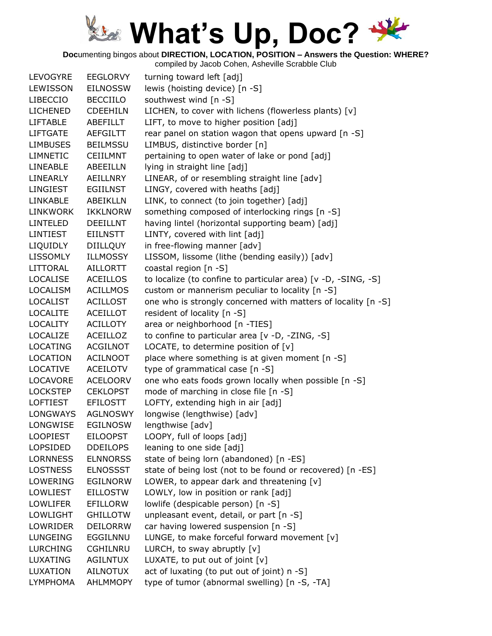**Doc**umenting bingos about **DIRECTION, LOCATION, POSITION – Answers the Question: WHERE?**

| <b>LEVOGYRE</b> | <b>EEGLORVY</b> | turning toward left [adj]                                     |
|-----------------|-----------------|---------------------------------------------------------------|
| LEWISSON        | <b>EILNOSSW</b> | lewis (hoisting device) [n -S]                                |
| <b>LIBECCIO</b> | <b>BECCIILO</b> | southwest wind [n -S]                                         |
| <b>LICHENED</b> | <b>CDEEHILN</b> | LICHEN, to cover with lichens (flowerless plants) [v]         |
| <b>LIFTABLE</b> | ABEFILLT        | LIFT, to move to higher position [adj]                        |
| <b>LIFTGATE</b> | <b>AEFGILTT</b> | rear panel on station wagon that opens upward [n -S]          |
| <b>LIMBUSES</b> | <b>BEILMSSU</b> | LIMBUS, distinctive border [n]                                |
| <b>LIMNETIC</b> | <b>CEIILMNT</b> | pertaining to open water of lake or pond [adj]                |
| <b>LINEABLE</b> | ABEEILLN        | lying in straight line [adj]                                  |
| LINEARLY        | <b>AEILLNRY</b> | LINEAR, of or resembling straight line [adv]                  |
| LINGIEST        | EGIILNST        | LINGY, covered with heaths [adj]                              |
| <b>LINKABLE</b> | <b>ABEIKLLN</b> | LINK, to connect (to join together) [adj]                     |
| <b>LINKWORK</b> | <b>IKKLNORW</b> | something composed of interlocking rings [n -S]               |
| <b>LINTELED</b> | <b>DEEILLNT</b> | having lintel (horizontal supporting beam) [adj]              |
| LINTIEST        | <b>EIILNSTT</b> | LINTY, covered with lint [adj]                                |
| <b>LIQUIDLY</b> | <b>DIILLQUY</b> | in free-flowing manner [adv]                                  |
| <b>LISSOMLY</b> | <b>ILLMOSSY</b> | LISSOM, lissome (lithe (bending easily)) [adv]                |
| <b>LITTORAL</b> | <b>AILLORTT</b> | coastal region [n -S]                                         |
| <b>LOCALISE</b> | <b>ACEILLOS</b> | to localize (to confine to particular area) [v -D, -SING, -S] |
| <b>LOCALISM</b> | <b>ACILLMOS</b> | custom or mannerism peculiar to locality [n -S]               |
| <b>LOCALIST</b> | <b>ACILLOST</b> | one who is strongly concerned with matters of locality [n -S] |
| <b>LOCALITE</b> | <b>ACEILLOT</b> | resident of locality [n -S]                                   |
| <b>LOCALITY</b> | <b>ACILLOTY</b> | area or neighborhood [n -TIES]                                |
| LOCALIZE        | <b>ACEILLOZ</b> | to confine to particular area [v -D, -ZING, -S]               |
| <b>LOCATING</b> | <b>ACGILNOT</b> | LOCATE, to determine position of [v]                          |
| LOCATION        | <b>ACILNOOT</b> | place where something is at given moment [n -S]               |
| <b>LOCATIVE</b> | <b>ACEILOTV</b> | type of grammatical case [n -S]                               |
| LOCAVORE        | <b>ACELOORV</b> | one who eats foods grown locally when possible [n -S]         |
| <b>LOCKSTEP</b> | <b>CEKLOPST</b> | mode of marching in close file [n -S]                         |
| <b>LOFTIEST</b> | <b>EFILOSTT</b> | LOFTY, extending high in air [adj]                            |
| LONGWAYS        | <b>AGLNOSWY</b> | longwise (lengthwise) [adv]                                   |
| LONGWISE        | <b>EGILNOSW</b> | lengthwise [adv]                                              |
| <b>LOOPIEST</b> | <b>EILOOPST</b> | LOOPY, full of loops [adj]                                    |
| <b>LOPSIDED</b> | <b>DDEILOPS</b> | leaning to one side [adj]                                     |
| <b>LORNNESS</b> | <b>ELNNORSS</b> | state of being lorn (abandoned) [n -ES]                       |
| <b>LOSTNESS</b> | <b>ELNOSSST</b> | state of being lost (not to be found or recovered) [n -ES]    |
| LOWERING        | <b>EGILNORW</b> | LOWER, to appear dark and threatening [v]                     |
| <b>LOWLIEST</b> | <b>EILLOSTW</b> | LOWLY, low in position or rank [adj]                          |
| <b>LOWLIFER</b> | <b>EFILLORW</b> | lowlife (despicable person) [n -S]                            |
| LOWLIGHT        | <b>GHILLOTW</b> | unpleasant event, detail, or part [n -S]                      |
| LOWRIDER        | <b>DEILORRW</b> | car having lowered suspension [n -S]                          |
| <b>LUNGEING</b> | EGGILNNU        | LUNGE, to make forceful forward movement [v]                  |
| <b>LURCHING</b> | <b>CGHILNRU</b> | LURCH, to sway abruptly $[v]$                                 |
| LUXATING        | <b>AGILNTUX</b> | LUXATE, to put out of joint [v]                               |
| LUXATION        | <b>AILNOTUX</b> | act of luxating (to put out of joint) n -S]                   |
| <b>LYMPHOMA</b> | <b>AHLMMOPY</b> | type of tumor (abnormal swelling) [n -S, -TA]                 |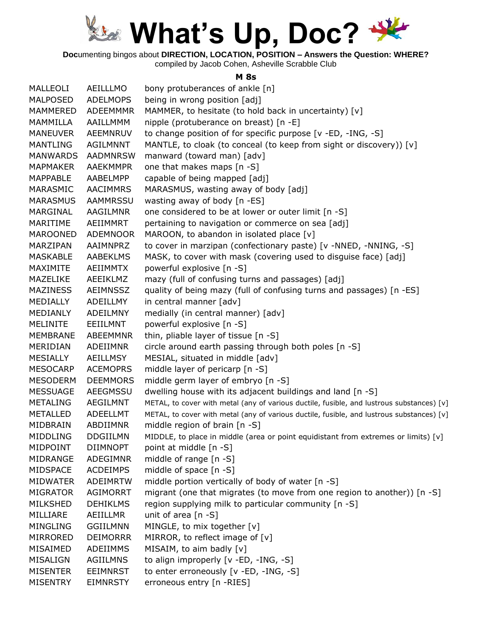

**Doc**umenting bingos about **DIRECTION, LOCATION, POSITION – Answers the Question: WHERE?**

compiled by Jacob Cohen, Asheville Scrabble Club

#### **M 8s**

| MALLEOLI        | AEILLLMO        | bony protuberances of ankle [n]                                                           |
|-----------------|-----------------|-------------------------------------------------------------------------------------------|
| <b>MALPOSED</b> | <b>ADELMOPS</b> | being in wrong position [adj]                                                             |
| <b>MAMMERED</b> | <b>ADEEMMMR</b> | MAMMER, to hesitate (to hold back in uncertainty) [v]                                     |
| MAMMILLA        | AAILLMMM        | nipple (protuberance on breast) [n -E]                                                    |
| <b>MANEUVER</b> | AEEMNRUV        | to change position of for specific purpose [v -ED, -ING, -S]                              |
| MANTLING        | AGILMNNT        | MANTLE, to cloak (to conceal (to keep from sight or discovery)) [v]                       |
| <b>MANWARDS</b> | <b>AADMNRSW</b> | manward (toward man) [adv]                                                                |
| <b>MAPMAKER</b> | <b>AAEKMMPR</b> | one that makes maps [n -S]                                                                |
| <b>MAPPABLE</b> | AABELMPP        | capable of being mapped [adj]                                                             |
| MARASMIC        | <b>AACIMMRS</b> | MARASMUS, wasting away of body [adj]                                                      |
| <b>MARASMUS</b> | <b>AAMMRSSU</b> | wasting away of body [n -ES]                                                              |
| MARGINAL        | AAGILMNR        | one considered to be at lower or outer limit [n -S]                                       |
| MARITIME        | AEIIMMRT        | pertaining to navigation or commerce on sea [adj]                                         |
| <b>MAROONED</b> | <b>ADEMNOOR</b> | MAROON, to abandon in isolated place [v]                                                  |
| MARZIPAN        | AAIMNPRZ        | to cover in marzipan (confectionary paste) [v -NNED, -NNING, -S]                          |
| <b>MASKABLE</b> | <b>AABEKLMS</b> | MASK, to cover with mask (covering used to disguise face) [adj]                           |
| MAXIMITE        | AEIIMMTX        | powerful explosive [n -S]                                                                 |
| MAZELIKE        | AEEIKLMZ        | mazy (full of confusing turns and passages) [adj]                                         |
| <b>MAZINESS</b> | AEIMNSSZ        | quality of being mazy (full of confusing turns and passages) [n -ES]                      |
| MEDIALLY        | ADEILLMY        | in central manner [adv]                                                                   |
| MEDIANLY        | ADEILMNY        | medially (in central manner) [adv]                                                        |
| <b>MELINITE</b> | EEIILMNT        | powerful explosive [n -S]                                                                 |
| <b>MEMBRANE</b> | ABEEMMNR        | thin, pliable layer of tissue [n -S]                                                      |
| MERIDIAN        | ADEIIMNR        | circle around earth passing through both poles [n -S]                                     |
| <b>MESIALLY</b> | AEILLMSY        | MESIAL, situated in middle [adv]                                                          |
| <b>MESOCARP</b> | <b>ACEMOPRS</b> | middle layer of pericarp [n -S]                                                           |
| <b>MESODERM</b> | <b>DEEMMORS</b> | middle germ layer of embryo [n -S]                                                        |
| <b>MESSUAGE</b> | AEEGMSSU        | dwelling house with its adjacent buildings and land [n -S]                                |
| <b>METALING</b> | AEGILMNT        | METAL, to cover with metal (any of various ductile, fusible, and lustrous substances) [v] |
| <b>METALLED</b> | <b>ADEELLMT</b> | METAL, to cover with metal (any of various ductile, fusible, and lustrous substances) [v] |
| MIDBRAIN        | ABDIIMNR        | middle region of brain $[n -S]$                                                           |
| <b>MIDDLING</b> | <b>DDGIILMN</b> | MIDDLE, to place in middle (area or point equidistant from extremes or limits) [v]        |
| MIDPOINT        | <b>DIIMNOPT</b> | point at middle [n -S]                                                                    |
| MIDRANGE        | ADEGIMNR        | middle of range [n -S]                                                                    |
| MIDSPACE        | <b>ACDEIMPS</b> | middle of space $[n - S]$                                                                 |
| <b>MIDWATER</b> | <b>ADEIMRTW</b> | middle portion vertically of body of water [n -S]                                         |
| <b>MIGRATOR</b> | <b>AGIMORRT</b> | migrant (one that migrates (to move from one region to another)) [n -S]                   |
| <b>MILKSHED</b> | <b>DEHIKLMS</b> | region supplying milk to particular community [n -S]                                      |
| MILLIARE        | AEIILLMR        | unit of area $[n -S]$                                                                     |
| MINGLING        | <b>GGIILMNN</b> | MINGLE, to mix together [v]                                                               |
| MIRRORED        | <b>DEIMORRR</b> | MIRROR, to reflect image of [v]                                                           |
| MISAIMED        | ADEIIMMS        | MISAIM, to aim badly [v]                                                                  |
| MISALIGN        | <b>AGIILMNS</b> | to align improperly [v -ED, -ING, -S]                                                     |
| <b>MISENTER</b> | <b>EEIMNRST</b> | to enter erroneously [v -ED, -ING, -S]                                                    |
| <b>MISENTRY</b> | <b>EIMNRSTY</b> | erroneous entry [n -RIES]                                                                 |
|                 |                 |                                                                                           |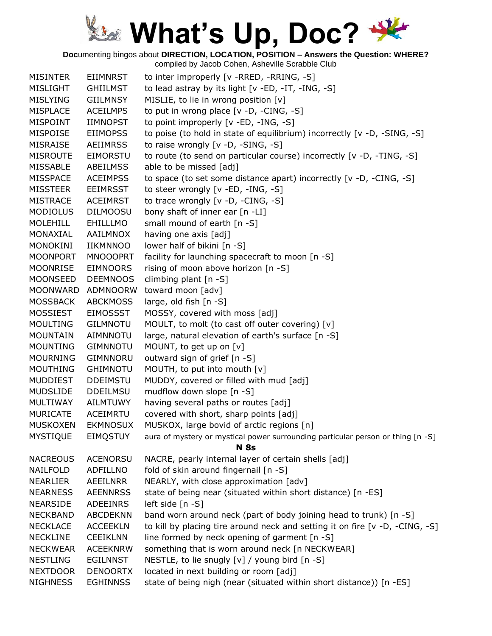**Doc**umenting bingos about **DIRECTION, LOCATION, POSITION – Answers the Question: WHERE?**

| <b>MISINTER</b> | <b>EIIMNRST</b> | to inter improperly [v -RRED, -RRING, -S]                                       |
|-----------------|-----------------|---------------------------------------------------------------------------------|
| <b>MISLIGHT</b> | <b>GHIILMST</b> | to lead astray by its light $[v - ED, -IT, -ING, -S]$                           |
| <b>MISLYING</b> | <b>GIILMNSY</b> | MISLIE, to lie in wrong position [v]                                            |
| <b>MISPLACE</b> | <b>ACEILMPS</b> | to put in wrong place [v -D, -CING, -S]                                         |
| MISPOINT        | IIMNOPST        | to point improperly [v -ED, -ING, -S]                                           |
| <b>MISPOISE</b> | <b>EIIMOPSS</b> | to poise (to hold in state of equilibrium) incorrectly [v -D, -SING, -S]        |
| <b>MISRAISE</b> | <b>AEIIMRSS</b> | to raise wrongly [v -D, -SING, -S]                                              |
| <b>MISROUTE</b> | EIMORSTU        | to route (to send on particular course) incorrectly [v -D, -TING, -S]           |
| MISSABLE        | <b>ABEILMSS</b> | able to be missed [adj]                                                         |
| <b>MISSPACE</b> | <b>ACEIMPSS</b> | to space (to set some distance apart) incorrectly [v -D, -CING, -S]             |
| <b>MISSTEER</b> | <b>EEIMRSST</b> | to steer wrongly [v -ED, -ING, -S]                                              |
| <b>MISTRACE</b> | <b>ACEIMRST</b> | to trace wrongly [v -D, -CING, -S]                                              |
| <b>MODIOLUS</b> | <b>DILMOOSU</b> | bony shaft of inner ear [n -LI]                                                 |
| <b>MOLEHILL</b> | EHILLLMO        | small mound of earth [n -S]                                                     |
| MONAXIAL        | AAILMNOX        | having one axis [adj]                                                           |
| MONOKINI        | <b>IIKMNNOO</b> | lower half of bikini [n -S]                                                     |
| <b>MOONPORT</b> | <b>MNOOOPRT</b> | facility for launching spacecraft to moon [n -S]                                |
| <b>MOONRISE</b> | <b>EIMNOORS</b> | rising of moon above horizon [n -S]                                             |
| <b>MOONSEED</b> | <b>DEEMNOOS</b> | climbing plant [n -S]                                                           |
| <b>MOONWARD</b> | ADMNOORW        | toward moon [adv]                                                               |
| <b>MOSSBACK</b> | <b>ABCKMOSS</b> | large, old fish [n -S]                                                          |
| <b>MOSSIEST</b> | <b>EIMOSSST</b> | MOSSY, covered with moss [adj]                                                  |
| <b>MOULTING</b> | <b>GILMNOTU</b> | MOULT, to molt (to cast off outer covering) [v]                                 |
| <b>MOUNTAIN</b> | <b>AIMNNOTU</b> | large, natural elevation of earth's surface [n -S]                              |
| <b>MOUNTING</b> | <b>GIMNNOTU</b> | MOUNT, to get up on [v]                                                         |
| <b>MOURNING</b> | <b>GIMNNORU</b> | outward sign of grief [n -S]                                                    |
| <b>MOUTHING</b> | <b>GHIMNOTU</b> | MOUTH, to put into mouth [v]                                                    |
| <b>MUDDIEST</b> | <b>DDEIMSTU</b> | MUDDY, covered or filled with mud [adj]                                         |
| <b>MUDSLIDE</b> | <b>DDEILMSU</b> | mudflow down slope [n -S]                                                       |
| MULTIWAY        | <b>AILMTUWY</b> | having several paths or routes [adj]                                            |
| <b>MURICATE</b> | ACEIMRTU        | covered with short, sharp points [adj]                                          |
| <b>MUSKOXEN</b> | <b>EKMNOSUX</b> | MUSKOX, large bovid of arctic regions [n]                                       |
| <b>MYSTIQUE</b> | <b>EIMQSTUY</b> | aura of mystery or mystical power surrounding particular person or thing [n -S] |
|                 |                 | <b>N</b> 8s                                                                     |
| <b>NACREOUS</b> | <b>ACENORSU</b> | NACRE, pearly internal layer of certain shells [adj]                            |
| <b>NAILFOLD</b> | ADFILLNO        | fold of skin around fingernail [n -S]                                           |
| <b>NEARLIER</b> | AEEILNRR        | NEARLY, with close approximation [adv]                                          |
| <b>NEARNESS</b> | <b>AEENNRSS</b> | state of being near (situated within short distance) [n -ES]                    |
| <b>NEARSIDE</b> | ADEEINRS        | left side [n -S]                                                                |
| <b>NECKBAND</b> | <b>ABCDEKNN</b> | band worn around neck (part of body joining head to trunk) [n -S]               |
| <b>NECKLACE</b> | <b>ACCEEKLN</b> | to kill by placing tire around neck and setting it on fire [v -D, -CING, -S]    |
| <b>NECKLINE</b> | <b>CEEIKLNN</b> | line formed by neck opening of garment [n -S]                                   |
| <b>NECKWEAR</b> | <b>ACEEKNRW</b> | something that is worn around neck [n NECKWEAR]                                 |
| <b>NESTLING</b> | <b>EGILNNST</b> | NESTLE, to lie snugly [v] / young bird [n -S]                                   |
| <b>NEXTDOOR</b> | <b>DENOORTX</b> | located in next building or room [adj]                                          |
| <b>NIGHNESS</b> | <b>EGHINNSS</b> | state of being nigh (near (situated within short distance)) [n -ES]             |
|                 |                 |                                                                                 |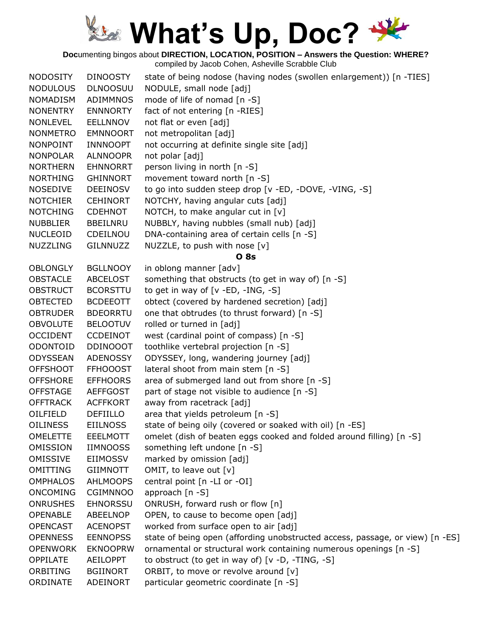**Doc**umenting bingos about **DIRECTION, LOCATION, POSITION – Answers the Question: WHERE?**

| <b>NODOSITY</b> | <b>DINOOSTY</b> | state of being nodose (having nodes (swollen enlargement)) [n -TIES]          |
|-----------------|-----------------|-------------------------------------------------------------------------------|
| <b>NODULOUS</b> | <b>DLNOOSUU</b> | NODULE, small node [adj]                                                      |
| <b>NOMADISM</b> | <b>ADIMMNOS</b> | mode of life of nomad [n -S]                                                  |
| <b>NONENTRY</b> | <b>ENNNORTY</b> | fact of not entering [n -RIES]                                                |
| <b>NONLEVEL</b> | <b>EELLNNOV</b> | not flat or even [adj]                                                        |
| <b>NONMETRO</b> | <b>EMNNOORT</b> | not metropolitan [adj]                                                        |
| <b>NONPOINT</b> | <b>INNNOOPT</b> | not occurring at definite single site [adj]                                   |
| <b>NONPOLAR</b> | <b>ALNNOOPR</b> | not polar [adj]                                                               |
| <b>NORTHERN</b> | <b>EHNNORRT</b> | person living in north [n -S]                                                 |
| <b>NORTHING</b> | <b>GHINNORT</b> | movement toward north [n -S]                                                  |
| <b>NOSEDIVE</b> | <b>DEEINOSV</b> | to go into sudden steep drop [v -ED, -DOVE, -VING, -S]                        |
| <b>NOTCHIER</b> | <b>CEHINORT</b> | NOTCHY, having angular cuts [adj]                                             |
| <b>NOTCHING</b> | <b>CDEHNOT</b>  | NOTCH, to make angular cut in $[v]$                                           |
| <b>NUBBLIER</b> | <b>BBEILNRU</b> | NUBBLY, having nubbles (small nub) [adj]                                      |
| <b>NUCLEOID</b> | CDEILNOU        | DNA-containing area of certain cells [n -S]                                   |
| <b>NUZZLING</b> | <b>GILNNUZZ</b> | NUZZLE, to push with nose [v]                                                 |
|                 |                 | <b>O</b> 8s                                                                   |
| <b>OBLONGLY</b> | <b>BGLLNOOY</b> | in oblong manner [adv]                                                        |
| <b>OBSTACLE</b> | <b>ABCELOST</b> | something that obstructs (to get in way of) [n -S]                            |
| <b>OBSTRUCT</b> | <b>BCORSTTU</b> | to get in way of $[v - ED, -ING, -S]$                                         |
| <b>OBTECTED</b> | <b>BCDEEOTT</b> | obtect (covered by hardened secretion) [adj]                                  |
| <b>OBTRUDER</b> | <b>BDEORRTU</b> | one that obtrudes (to thrust forward) [n -S]                                  |
| <b>OBVOLUTE</b> | <b>BELOOTUV</b> | rolled or turned in [adj]                                                     |
| <b>OCCIDENT</b> | <b>CCDEINOT</b> | west (cardinal point of compass) [n -S]                                       |
| ODONTOID        | <b>DDINOOOT</b> | toothlike vertebral projection [n -S]                                         |
| <b>ODYSSEAN</b> | <b>ADENOSSY</b> | ODYSSEY, long, wandering journey [adj]                                        |
| <b>OFFSHOOT</b> | <b>FFHOOOST</b> | lateral shoot from main stem [n -S]                                           |
| <b>OFFSHORE</b> | <b>EFFHOORS</b> | area of submerged land out from shore [n -S]                                  |
| <b>OFFSTAGE</b> | <b>AEFFGOST</b> | part of stage not visible to audience [n -S]                                  |
| <b>OFFTRACK</b> | <b>ACFFKORT</b> | away from racetrack [adj]                                                     |
| OILFIELD        | <b>DEFIILLO</b> | area that yields petroleum [n -S]                                             |
| <b>OILINESS</b> | <b>EIILNOSS</b> | state of being oily (covered or soaked with oil) [n -ES]                      |
| <b>OMELETTE</b> | <b>EEELMOTT</b> | omelet (dish of beaten eggs cooked and folded around filling) [n -S]          |
| OMISSION        | <b>IIMNOOSS</b> | something left undone [n -S]                                                  |
| OMISSIVE        | EIIMOSSV        | marked by omission [adj]                                                      |
| OMITTING        | <b>GIIMNOTT</b> | OMIT, to leave out [v]                                                        |
| <b>OMPHALOS</b> | <b>AHLMOOPS</b> | central point [n -LI or -OI]                                                  |
| <b>ONCOMING</b> | <b>CGIMNNOO</b> | approach [n -S]                                                               |
| <b>ONRUSHES</b> | <b>EHNORSSU</b> | ONRUSH, forward rush or flow [n]                                              |
| <b>OPENABLE</b> | ABEELNOP        | OPEN, to cause to become open [adj]                                           |
| <b>OPENCAST</b> | <b>ACENOPST</b> | worked from surface open to air [adj]                                         |
| <b>OPENNESS</b> | <b>EENNOPSS</b> | state of being open (affording unobstructed access, passage, or view) [n -ES] |
| <b>OPENWORK</b> | <b>EKNOOPRW</b> | ornamental or structural work containing numerous openings [n -S]             |
| OPPILATE        | <b>AEILOPPT</b> | to obstruct (to get in way of) [v -D, -TING, -S]                              |
| ORBITING        | <b>BGIINORT</b> | ORBIT, to move or revolve around [v]                                          |
| ORDINATE        | ADEINORT        | particular geometric coordinate [n -S]                                        |
|                 |                 |                                                                               |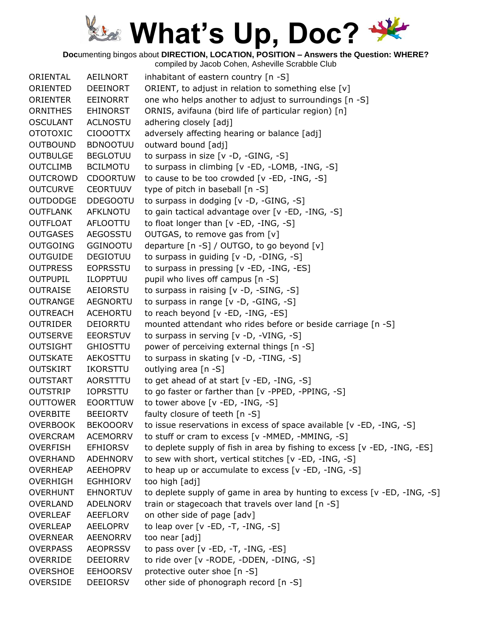**Doc**umenting bingos about **DIRECTION, LOCATION, POSITION – Answers the Question: WHERE?**

| ORIENTAL        | AEILNORT        | inhabitant of eastern country [n -S]                                      |
|-----------------|-----------------|---------------------------------------------------------------------------|
| ORIENTED        | <b>DEEINORT</b> | ORIENT, to adjust in relation to something else [v]                       |
| ORIENTER        | EEINORRT        | one who helps another to adjust to surroundings [n -S]                    |
| <b>ORNITHES</b> | <b>EHINORST</b> | ORNIS, avifauna (bird life of particular region) [n]                      |
| <b>OSCULANT</b> | <b>ACLNOSTU</b> | adhering closely [adj]                                                    |
| <b>OTOTOXIC</b> | <b>CIOOOTTX</b> | adversely affecting hearing or balance [adj]                              |
| <b>OUTBOUND</b> | <b>BDNOOTUU</b> | outward bound [adj]                                                       |
| <b>OUTBULGE</b> | <b>BEGLOTUU</b> | to surpass in size $[v -D, -GING, -S]$                                    |
| <b>OUTCLIMB</b> | <b>BCILMOTU</b> | to surpass in climbing [v -ED, -LOMB, -ING, -S]                           |
| <b>OUTCROWD</b> | <b>CDOORTUW</b> | to cause to be too crowded [v -ED, -ING, -S]                              |
| <b>OUTCURVE</b> | <b>CEORTUUV</b> | type of pitch in baseball [n -S]                                          |
| <b>OUTDODGE</b> | <b>DDEGOOTU</b> | to surpass in dodging [v -D, -GING, -S]                                   |
| <b>OUTFLANK</b> | <b>AFKLNOTU</b> | to gain tactical advantage over [v -ED, -ING, -S]                         |
| OUTFLOAT        | AFLOOTTU        | to float longer than [v -ED, -ING, -S]                                    |
| <b>OUTGASES</b> | AEGOSSTU        | OUTGAS, to remove gas from [v]                                            |
| <b>OUTGOING</b> | <b>GGINOOTU</b> | departure [n -S] / OUTGO, to go beyond [v]                                |
| <b>OUTGUIDE</b> | <b>DEGIOTUU</b> | to surpass in guiding [v -D, -DING, -S]                                   |
| <b>OUTPRESS</b> | <b>EOPRSSTU</b> | to surpass in pressing [v -ED, -ING, -ES]                                 |
| <b>OUTPUPIL</b> | ILOPPTUU        | pupil who lives off campus [n -S]                                         |
| <b>OUTRAISE</b> | AEIORSTU        | to surpass in raising [v -D, -SING, -S]                                   |
| <b>OUTRANGE</b> | <b>AEGNORTU</b> | to surpass in range [v -D, -GING, -S]                                     |
| <b>OUTREACH</b> | <b>ACEHORTU</b> | to reach beyond [v -ED, -ING, -ES]                                        |
| <b>OUTRIDER</b> | DEIORRTU        | mounted attendant who rides before or beside carriage [n -S]              |
| <b>OUTSERVE</b> | <b>EEORSTUV</b> | to surpass in serving [v -D, -VING, -S]                                   |
| <b>OUTSIGHT</b> | <b>GHIOSTTU</b> | power of perceiving external things [n -S]                                |
| <b>OUTSKATE</b> | AEKOSTTU        | to surpass in skating [v -D, -TING, -S]                                   |
| <b>OUTSKIRT</b> | <b>IKORSTTU</b> | outlying area [n -S]                                                      |
| <b>OUTSTART</b> | AORSTTTU        | to get ahead of at start $[v - ED, -ING, -S]$                             |
| <b>OUTSTRIP</b> | <b>IOPRSTTU</b> | to go faster or farther than [v -PPED, -PPING, -S]                        |
| <b>OUTTOWER</b> | <b>EOORTTUW</b> | to tower above [v -ED, -ING, -S]                                          |
| <b>OVERBITE</b> | <b>BEEIORTV</b> | faulty closure of teeth [n -S]                                            |
| <b>OVERBOOK</b> | <b>BEKOOORV</b> | to issue reservations in excess of space available [v -ED, -ING, -S]      |
| <b>OVERCRAM</b> | <b>ACEMORRV</b> | to stuff or cram to excess [v -MMED, -MMING, -S]                          |
| <b>OVERFISH</b> | <b>EFHIORSV</b> | to deplete supply of fish in area by fishing to excess [v -ED, -ING, -ES] |
| <b>OVERHAND</b> | <b>ADEHNORV</b> | to sew with short, vertical stitches [v -ED, -ING, -S]                    |
| <b>OVERHEAP</b> | <b>AEEHOPRV</b> | to heap up or accumulate to excess [v -ED, -ING, -S]                      |
| <b>OVERHIGH</b> | <b>EGHHIORV</b> | too high [adj]                                                            |
| <b>OVERHUNT</b> | <b>EHNORTUV</b> | to deplete supply of game in area by hunting to excess [v -ED, -ING, -S]  |
| <b>OVERLAND</b> | ADELNORV        | train or stagecoach that travels over land [n -S]                         |
| <b>OVERLEAF</b> | AEEFLORV        | on other side of page [adv]                                               |
| <b>OVERLEAP</b> | AEELOPRV        | to leap over $[v - ED, -T, -ING, -S]$                                     |
| <b>OVERNEAR</b> | <b>AEENORRV</b> | too near [adj]                                                            |
| <b>OVERPASS</b> | <b>AEOPRSSV</b> | to pass over $[v - ED, -T, -ING, -ES]$                                    |
| OVERRIDE        | DEEIORRV        | to ride over [v - RODE, - DDEN, - DING, -S]                               |
| <b>OVERSHOE</b> | <b>EEHOORSV</b> | protective outer shoe [n -S]                                              |
| <b>OVERSIDE</b> | DEEIORSV        | other side of phonograph record [n -S]                                    |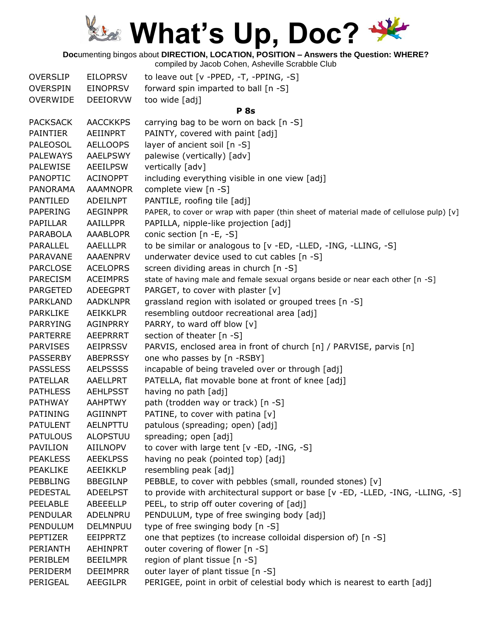**Doc**umenting bingos about **DIRECTION, LOCATION, POSITION – Answers the Question: WHERE?**

| <b>OVERSLIP</b> | <b>EILOPRSV</b> | to leave out [v -PPED, -T, -PPING, -S]                                                 |
|-----------------|-----------------|----------------------------------------------------------------------------------------|
| <b>OVERSPIN</b> | <b>EINOPRSV</b> | forward spin imparted to ball [n -S]                                                   |
| <b>OVERWIDE</b> | <b>DEEIORVW</b> | too wide [adj]                                                                         |
|                 |                 | <b>P</b> 8s                                                                            |
| <b>PACKSACK</b> | <b>AACCKKPS</b> | carrying bag to be worn on back [n -S]                                                 |
| <b>PAINTIER</b> | AEIINPRT        | PAINTY, covered with paint [adj]                                                       |
| <b>PALEOSOL</b> | <b>AELLOOPS</b> | layer of ancient soil [n -S]                                                           |
| <b>PALEWAYS</b> | <b>AAELPSWY</b> | palewise (vertically) [adv]                                                            |
| PALEWISE        | <b>AEEILPSW</b> | vertically [adv]                                                                       |
| <b>PANOPTIC</b> | <b>ACINOPPT</b> | including everything visible in one view [adj]                                         |
| <b>PANORAMA</b> | <b>AAAMNOPR</b> | complete view [n -S]                                                                   |
| <b>PANTILED</b> | ADEILNPT        | PANTILE, roofing tile [adj]                                                            |
| <b>PAPERING</b> | <b>AEGINPPR</b> | PAPER, to cover or wrap with paper (thin sheet of material made of cellulose pulp) [v] |
| PAPILLAR        | AAILLPPR        | PAPILLA, nipple-like projection [adj]                                                  |
| PARABOLA        | <b>AAABLOPR</b> | conic section [n -E, -S]                                                               |
| <b>PARALLEL</b> | <b>AAELLLPR</b> | to be similar or analogous to [v -ED, -LLED, -ING, -LLING, -S]                         |
| PARAVANE        | AAAENPRV        | underwater device used to cut cables [n -S]                                            |
| <b>PARCLOSE</b> | <b>ACELOPRS</b> | screen dividing areas in church [n -S]                                                 |
| <b>PARECISM</b> | <b>ACEIMPRS</b> | state of having male and female sexual organs beside or near each other [n -S]         |
| <b>PARGETED</b> | <b>ADEEGPRT</b> | PARGET, to cover with plaster [v]                                                      |
| <b>PARKLAND</b> | <b>AADKLNPR</b> | grassland region with isolated or grouped trees [n -S]                                 |
| <b>PARKLIKE</b> | <b>AEIKKLPR</b> | resembling outdoor recreational area [adj]                                             |
| <b>PARRYING</b> | <b>AGINPRRY</b> | PARRY, to ward off blow [v]                                                            |
| <b>PARTERRE</b> | <b>AEEPRRRT</b> | section of theater [n -S]                                                              |
| <b>PARVISES</b> | <b>AEIPRSSV</b> | PARVIS, enclosed area in front of church [n] / PARVISE, parvis [n]                     |
| <b>PASSERBY</b> | <b>ABEPRSSY</b> | one who passes by [n -RSBY]                                                            |
| <b>PASSLESS</b> | <b>AELPSSSS</b> | incapable of being traveled over or through [adj]                                      |
| <b>PATELLAR</b> | AAELLPRT        | PATELLA, flat movable bone at front of knee [adj]                                      |
| <b>PATHLESS</b> | <b>AEHLPSST</b> | having no path [adj]                                                                   |
| <b>PATHWAY</b>  | <b>AAHPTWY</b>  | path (trodden way or track) [n -S]                                                     |
| PATINING        | <b>AGIINNPT</b> | PATINE, to cover with patina [v]                                                       |
| <b>PATULENT</b> | <b>AELNPTTU</b> | patulous (spreading; open) [adj]                                                       |
| <b>PATULOUS</b> | <b>ALOPSTUU</b> | spreading; open [adj]                                                                  |
| PAVILION        | AIILNOPV        | to cover with large tent [v -ED, -ING, -S]                                             |
| <b>PEAKLESS</b> | <b>AEEKLPSS</b> | having no peak (pointed top) [adj]                                                     |
| PEAKLIKE        | AEEIKKLP        | resembling peak [adj]                                                                  |
| <b>PEBBLING</b> | <b>BBEGILNP</b> | PEBBLE, to cover with pebbles (small, rounded stones) [v]                              |
| PEDESTAL        | <b>ADEELPST</b> | to provide with architectural support or base [v -ED, -LLED, -ING, -LLING, -S]         |
| PEELABLE        | ABEEELLP        | PEEL, to strip off outer covering of [adj]                                             |
| <b>PENDULAR</b> | ADELNPRU        | PENDULUM, type of free swinging body [adj]                                             |
| PENDULUM        | <b>DELMNPUU</b> | type of free swinging body [n -S]                                                      |
| PEPTIZER        | EEIPPRTZ        | one that peptizes (to increase colloidal dispersion of) [n -S]                         |
| PERIANTH        | AEHINPRT        | outer covering of flower [n -S]                                                        |
| PERIBLEM        | <b>BEEILMPR</b> | region of plant tissue [n -S]                                                          |
| PERIDERM        | <b>DEEIMPRR</b> | outer layer of plant tissue [n -S]                                                     |
| PERIGEAL        | AEEGILPR        | PERIGEE, point in orbit of celestial body which is nearest to earth [adj]              |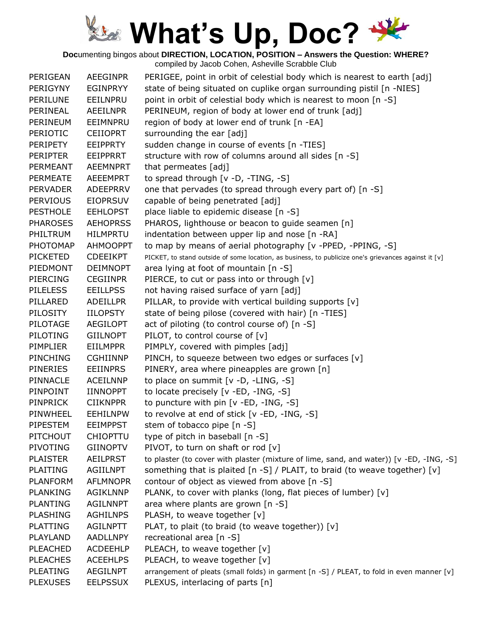**Doc**umenting bingos about **DIRECTION, LOCATION, POSITION – Answers the Question: WHERE?**

| PERIGEAN        | <b>AEEGINPR</b> | PERIGEE, point in orbit of celestial body which is nearest to earth [adj]                            |
|-----------------|-----------------|------------------------------------------------------------------------------------------------------|
| PERIGYNY        | <b>EGINPRYY</b> | state of being situated on cuplike organ surrounding pistil [n -NIES]                                |
| PERILUNE        | EEILNPRU        | point in orbit of celestial body which is nearest to moon [n -S]                                     |
| PERINEAL        | <b>AEEILNPR</b> | PERINEUM, region of body at lower end of trunk [adj]                                                 |
| PERINEUM        | EEIMNPRU        | region of body at lower end of trunk [n -EA]                                                         |
| <b>PERIOTIC</b> | <b>CEIIOPRT</b> | surrounding the ear [adj]                                                                            |
| <b>PERIPETY</b> | EEIPPRTY        | sudden change in course of events [n -TIES]                                                          |
| <b>PERIPTER</b> | <b>EEIPPRRT</b> | structure with row of columns around all sides [n -S]                                                |
| PERMEANT        | AEEMNPRT        | that permeates [adj]                                                                                 |
| PERMEATE        | <b>AEEEMPRT</b> | to spread through [v -D, -TING, -S]                                                                  |
| <b>PERVADER</b> | ADEEPRRV        | one that pervades (to spread through every part of) [n -S]                                           |
| <b>PERVIOUS</b> | <b>EIOPRSUV</b> | capable of being penetrated [adj]                                                                    |
| <b>PESTHOLE</b> | <b>EEHLOPST</b> | place liable to epidemic disease [n -S]                                                              |
| <b>PHAROSES</b> | <b>AEHOPRSS</b> | PHAROS, lighthouse or beacon to guide seamen [n]                                                     |
| PHILTRUM        | <b>HILMPRTU</b> | indentation between upper lip and nose [n -RA]                                                       |
| PHOTOMAP        | <b>AHMOOPPT</b> | to map by means of aerial photography [v -PPED, -PPING, -S]                                          |
| <b>PICKETED</b> | <b>CDEEIKPT</b> | PICKET, to stand outside of some location, as business, to publicize one's grievances against it [v] |
| PIEDMONT        | <b>DEIMNOPT</b> | area lying at foot of mountain [n -S]                                                                |
| <b>PIERCING</b> | <b>CEGIINPR</b> | PIERCE, to cut or pass into or through [v]                                                           |
| <b>PILELESS</b> | <b>EEILLPSS</b> | not having raised surface of yarn [adj]                                                              |
| PILLARED        | <b>ADEILLPR</b> | PILLAR, to provide with vertical building supports [v]                                               |
| PILOSITY        | <b>IILOPSTY</b> | state of being pilose (covered with hair) [n -TIES]                                                  |
| PILOTAGE        | <b>AEGILOPT</b> | act of piloting (to control course of) [n -S]                                                        |
| <b>PILOTING</b> | <b>GIILNOPT</b> | PILOT, to control course of $[v]$                                                                    |
| PIMPLIER        | <b>EIILMPPR</b> | PIMPLY, covered with pimples [adj]                                                                   |
| PINCHING        | <b>CGHIINNP</b> | PINCH, to squeeze between two edges or surfaces [v]                                                  |
| <b>PINERIES</b> | <b>EEIINPRS</b> | PINERY, area where pineapples are grown [n]                                                          |
| PINNACLE        | <b>ACEILNNP</b> | to place on summit [v -D, -LING, -S]                                                                 |
| PINPOINT        | <b>IINNOPPT</b> | to locate precisely [v -ED, -ING, -S]                                                                |
| <b>PINPRICK</b> | <b>CIIKNPPR</b> | to puncture with pin [v -ED, -ING, -S]                                                               |
| PINWHEEL        | <b>EEHILNPW</b> | to revolve at end of stick [v -ED, -ING, -S]                                                         |
| PIPESTEM        | <b>EEIMPPST</b> | stem of tobacco pipe [n -S]                                                                          |
| PITCHOUT        | <b>CHIOPTTU</b> | type of pitch in baseball [n -S]                                                                     |
| PIVOTING        | <b>GIINOPTV</b> | PIVOT, to turn on shaft or rod [v]                                                                   |
| <b>PLAISTER</b> | <b>AEILPRST</b> | to plaster (to cover with plaster (mixture of lime, sand, and water)) [v -ED, -ING, -S]              |
| <b>PLAITING</b> | <b>AGIILNPT</b> | something that is plaited [n -S] / PLAIT, to braid (to weave together) [v]                           |
| <b>PLANFORM</b> | <b>AFLMNOPR</b> | contour of object as viewed from above [n -S]                                                        |
| <b>PLANKING</b> | <b>AGIKLNNP</b> | PLANK, to cover with planks (long, flat pieces of lumber) [v]                                        |
| <b>PLANTING</b> | <b>AGILNNPT</b> | area where plants are grown [n -S]                                                                   |
| <b>PLASHING</b> | <b>AGHILNPS</b> | PLASH, to weave together [v]                                                                         |
| <b>PLATTING</b> | <b>AGILNPTT</b> | PLAT, to plait (to braid (to weave together)) [v]                                                    |
| PLAYLAND        | AADLLNPY        | recreational area [n -S]                                                                             |
| <b>PLEACHED</b> | <b>ACDEEHLP</b> | PLEACH, to weave together [v]                                                                        |
| <b>PLEACHES</b> | <b>ACEEHLPS</b> | PLEACH, to weave together [v]                                                                        |
| <b>PLEATING</b> | <b>AEGILNPT</b> | arrangement of pleats (small folds) in garment [n -S] / PLEAT, to fold in even manner [v]            |
| <b>PLEXUSES</b> | <b>EELPSSUX</b> | PLEXUS, interlacing of parts [n]                                                                     |
|                 |                 |                                                                                                      |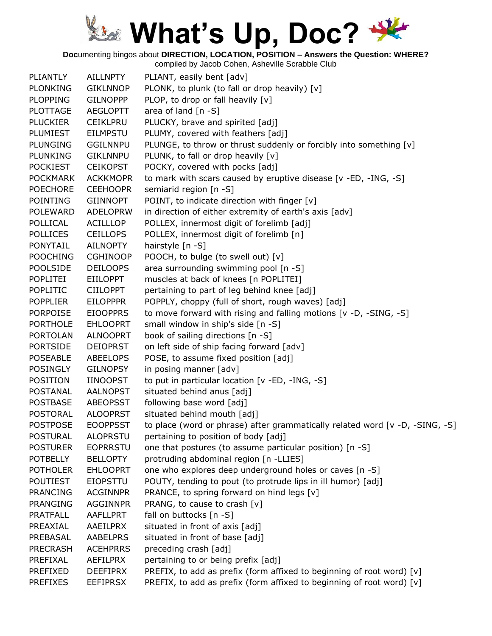**Doc**umenting bingos about **DIRECTION, LOCATION, POSITION – Answers the Question: WHERE?**

| PLIANTLY        | <b>AILLNPTY</b> | PLIANT, easily bent [adv]                                                    |
|-----------------|-----------------|------------------------------------------------------------------------------|
| <b>PLONKING</b> | <b>GIKLNNOP</b> | PLONK, to plunk (to fall or drop heavily) [v]                                |
| <b>PLOPPING</b> | <b>GILNOPPP</b> | PLOP, to drop or fall heavily [v]                                            |
| <b>PLOTTAGE</b> | <b>AEGLOPTT</b> | area of land $[n - S]$                                                       |
| <b>PLUCKIER</b> | <b>CEIKLPRU</b> | PLUCKY, brave and spirited [adj]                                             |
| PLUMIEST        | <b>EILMPSTU</b> | PLUMY, covered with feathers [adj]                                           |
| <b>PLUNGING</b> | <b>GGILNNPU</b> | PLUNGE, to throw or thrust suddenly or forcibly into something [v]           |
| <b>PLUNKING</b> | <b>GIKLNNPU</b> | PLUNK, to fall or drop heavily [v]                                           |
| <b>POCKIEST</b> | <b>CEIKOPST</b> | POCKY, covered with pocks [adj]                                              |
| <b>POCKMARK</b> | <b>ACKKMOPR</b> | to mark with scars caused by eruptive disease [v -ED, -ING, -S]              |
| <b>POECHORE</b> | <b>CEEHOOPR</b> | semiarid region [n -S]                                                       |
| <b>POINTING</b> | <b>GIINNOPT</b> | POINT, to indicate direction with finger [v]                                 |
| <b>POLEWARD</b> | <b>ADELOPRW</b> | in direction of either extremity of earth's axis [adv]                       |
| <b>POLLICAL</b> | ACILLLOP        | POLLEX, innermost digit of forelimb [adj]                                    |
| <b>POLLICES</b> | <b>CEILLOPS</b> | POLLEX, innermost digit of forelimb [n]                                      |
| <b>PONYTAIL</b> | <b>AILNOPTY</b> | hairstyle [n -S]                                                             |
| <b>POOCHING</b> | <b>CGHINOOP</b> | POOCH, to bulge (to swell out) [v]                                           |
| <b>POOLSIDE</b> | <b>DEILOOPS</b> | area surrounding swimming pool [n -S]                                        |
| <b>POPLITEI</b> | <b>EIILOPPT</b> | muscles at back of knees [n POPLITEI]                                        |
| <b>POPLITIC</b> | <b>CIILOPPT</b> | pertaining to part of leg behind knee [adj]                                  |
| <b>POPPLIER</b> | <b>EILOPPPR</b> | POPPLY, choppy (full of short, rough waves) [adj]                            |
| <b>PORPOISE</b> | <b>EIOOPPRS</b> | to move forward with rising and falling motions [v -D, -SING, -S]            |
| <b>PORTHOLE</b> | <b>EHLOOPRT</b> | small window in ship's side [n -S]                                           |
| <b>PORTOLAN</b> | <b>ALNOOPRT</b> | book of sailing directions [n -S]                                            |
| <b>PORTSIDE</b> | <b>DEIOPRST</b> | on left side of ship facing forward [adv]                                    |
| <b>POSEABLE</b> | ABEELOPS        | POSE, to assume fixed position [adj]                                         |
| <b>POSINGLY</b> | <b>GILNOPSY</b> | in posing manner [adv]                                                       |
| <b>POSITION</b> | <b>IINOOPST</b> | to put in particular location [v -ED, -ING, -S]                              |
| POSTANAL        | <b>AALNOPST</b> | situated behind anus [adj]                                                   |
| <b>POSTBASE</b> | ABEOPSST        | following base word [adj]                                                    |
| POSTORAL        | <b>ALOOPRST</b> | situated behind mouth [adj]                                                  |
| <b>POSTPOSE</b> | <b>EOOPPSST</b> | to place (word or phrase) after grammatically related word [v -D, -SING, -S] |
| <b>POSTURAL</b> | <b>ALOPRSTU</b> | pertaining to position of body [adj]                                         |
| <b>POSTURER</b> | <b>EOPRRSTU</b> | one that postures (to assume particular position) [n -S]                     |
| <b>POTBELLY</b> | <b>BELLOPTY</b> | protruding abdominal region [n -LLIES]                                       |
| <b>POTHOLER</b> | <b>EHLOOPRT</b> | one who explores deep underground holes or caves [n -S]                      |
| <b>POUTIEST</b> | <b>EIOPSTTU</b> | POUTY, tending to pout (to protrude lips in ill humor) [adj]                 |
| <b>PRANCING</b> | <b>ACGINNPR</b> | PRANCE, to spring forward on hind legs [v]                                   |
| <b>PRANGING</b> | <b>AGGINNPR</b> | PRANG, to cause to crash [v]                                                 |
| <b>PRATFALL</b> | <b>AAFLLPRT</b> | fall on buttocks [n -S]                                                      |
| PREAXIAL        | AAEILPRX        | situated in front of axis [adj]                                              |
| PREBASAL        | <b>AABELPRS</b> | situated in front of base [adj]                                              |
| <b>PRECRASH</b> | <b>ACEHPRRS</b> | preceding crash [adj]                                                        |
| PREFIXAL        | <b>AEFILPRX</b> | pertaining to or being prefix [adj]                                          |
| PREFIXED        | <b>DEEFIPRX</b> | PREFIX, to add as prefix (form affixed to beginning of root word) [v]        |
| <b>PREFIXES</b> | <b>EEFIPRSX</b> | PREFIX, to add as prefix (form affixed to beginning of root word) [v]        |
|                 |                 |                                                                              |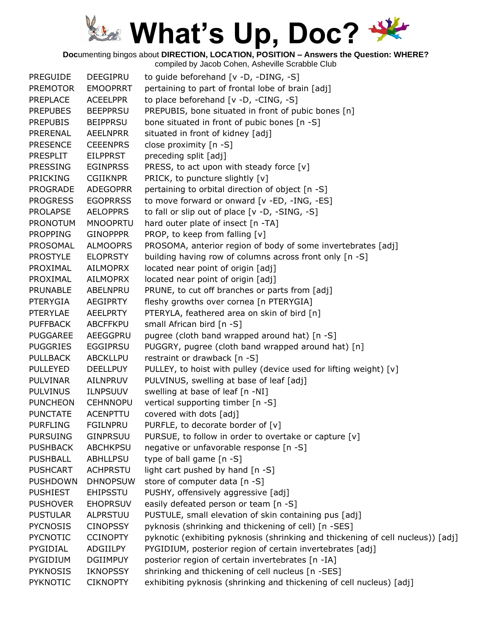**Doc**umenting bingos about **DIRECTION, LOCATION, POSITION – Answers the Question: WHERE?**

| <b>PREGUIDE</b> | DEEGIPRU        | to guide beforehand [v -D, -DING, -S]                                           |
|-----------------|-----------------|---------------------------------------------------------------------------------|
| <b>PREMOTOR</b> | <b>EMOOPRRT</b> | pertaining to part of frontal lobe of brain [adj]                               |
| <b>PREPLACE</b> | <b>ACEELPPR</b> | to place beforehand [v -D, -CING, -S]                                           |
| <b>PREPUBES</b> | <b>BEEPPRSU</b> | PREPUBIS, bone situated in front of pubic bones [n]                             |
| <b>PREPUBIS</b> | <b>BEIPPRSU</b> | bone situated in front of pubic bones [n -S]                                    |
| PRERENAL        | <b>AEELNPRR</b> | situated in front of kidney [adj]                                               |
| <b>PRESENCE</b> | <b>CEEENPRS</b> | close proximity [n -S]                                                          |
| <b>PRESPLIT</b> | <b>EILPPRST</b> | preceding split [adj]                                                           |
| <b>PRESSING</b> | <b>EGINPRSS</b> | PRESS, to act upon with steady force [v]                                        |
| <b>PRICKING</b> | <b>CGIIKNPR</b> | PRICK, to puncture slightly [v]                                                 |
| <b>PROGRADE</b> | <b>ADEGOPRR</b> | pertaining to orbital direction of object [n -S]                                |
| <b>PROGRESS</b> | <b>EGOPRRSS</b> | to move forward or onward [v -ED, -ING, -ES]                                    |
| <b>PROLAPSE</b> | <b>AELOPPRS</b> | to fall or slip out of place [v -D, -SING, -S]                                  |
| <b>PRONOTUM</b> | <b>MNOOPRTU</b> | hard outer plate of insect [n -TA]                                              |
| <b>PROPPING</b> | <b>GINOPPPR</b> | PROP, to keep from falling [v]                                                  |
| PROSOMAL        | <b>ALMOOPRS</b> | PROSOMA, anterior region of body of some invertebrates [adj]                    |
| <b>PROSTYLE</b> | <b>ELOPRSTY</b> | building having row of columns across front only [n -S]                         |
| PROXIMAL        | <b>AILMOPRX</b> | located near point of origin [adj]                                              |
| PROXIMAL        | AILMOPRX        | located near point of origin [adj]                                              |
| <b>PRUNABLE</b> | ABELNPRU        | PRUNE, to cut off branches or parts from [adj]                                  |
| <b>PTERYGIA</b> | <b>AEGIPRTY</b> | fleshy growths over cornea [n PTERYGIA]                                         |
| <b>PTERYLAE</b> | <b>AEELPRTY</b> | PTERYLA, feathered area on skin of bird [n]                                     |
| <b>PUFFBACK</b> | <b>ABCFFKPU</b> | small African bird [n -S]                                                       |
| <b>PUGGAREE</b> | AEEGGPRU        | pugree (cloth band wrapped around hat) [n -S]                                   |
| <b>PUGGRIES</b> | <b>EGGIPRSU</b> | PUGGRY, pugree (cloth band wrapped around hat) [n]                              |
| <b>PULLBACK</b> | ABCKLLPU        | restraint or drawback [n -S]                                                    |
| <b>PULLEYED</b> | <b>DEELLPUY</b> | PULLEY, to hoist with pulley (device used for lifting weight) [v]               |
| <b>PULVINAR</b> | AILNPRUV        | PULVINUS, swelling at base of leaf [adj]                                        |
| <b>PULVINUS</b> | <b>ILNPSUUV</b> | swelling at base of leaf [n -NI]                                                |
| <b>PUNCHEON</b> | <b>CEHNNOPU</b> | vertical supporting timber [n -S]                                               |
| <b>PUNCTATE</b> | <b>ACENPTTU</b> | covered with dots [adj]                                                         |
| <b>PURFLING</b> | <b>FGILNPRU</b> | PURFLE, to decorate border of [v]                                               |
| <b>PURSUING</b> | <b>GINPRSUU</b> | PURSUE, to follow in order to overtake or capture [v]                           |
| <b>PUSHBACK</b> | <b>ABCHKPSU</b> | negative or unfavorable response [n -S]                                         |
| <b>PUSHBALL</b> | ABHLLPSU        | type of ball game [n -S]                                                        |
| <b>PUSHCART</b> | <b>ACHPRSTU</b> | light cart pushed by hand [n -S]                                                |
| <b>PUSHDOWN</b> | <b>DHNOPSUW</b> | store of computer data [n -S]                                                   |
| <b>PUSHIEST</b> | <b>EHIPSSTU</b> | PUSHY, offensively aggressive [adj]                                             |
| <b>PUSHOVER</b> | <b>EHOPRSUV</b> | easily defeated person or team [n -S]                                           |
| <b>PUSTULAR</b> | ALPRSTUU        | PUSTULE, small elevation of skin containing pus [adj]                           |
| <b>PYCNOSIS</b> | <b>CINOPSSY</b> | pyknosis (shrinking and thickening of cell) [n -SES]                            |
| <b>PYCNOTIC</b> | <b>CCINOPTY</b> | pyknotic (exhibiting pyknosis (shrinking and thickening of cell nucleus)) [adj] |
| PYGIDIAL        | ADGIILPY        | PYGIDIUM, posterior region of certain invertebrates [adj]                       |
| <b>PYGIDIUM</b> | <b>DGIIMPUY</b> | posterior region of certain invertebrates [n -IA]                               |
| <b>PYKNOSIS</b> | <b>IKNOPSSY</b> | shrinking and thickening of cell nucleus [n -SES]                               |
| <b>PYKNOTIC</b> | <b>CIKNOPTY</b> | exhibiting pyknosis (shrinking and thickening of cell nucleus) [adj]            |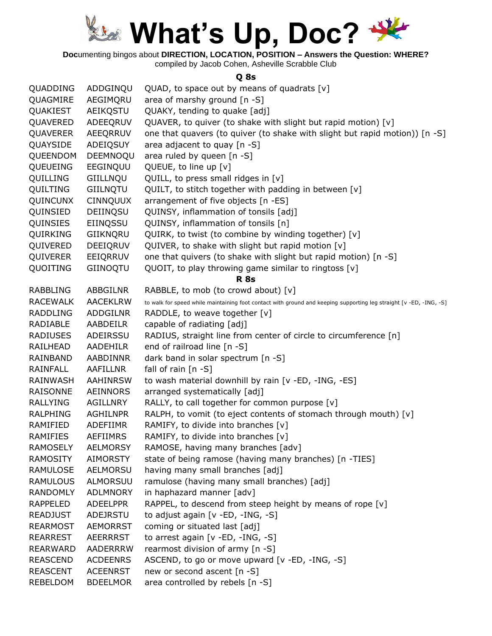

**Doc**umenting bingos about **DIRECTION, LOCATION, POSITION – Answers the Question: WHERE?**

compiled by Jacob Cohen, Asheville Scrabble Club

#### **Q 8s**

| QUADDING        | ADDGINQU        | QUAD, to space out by means of quadrats $[v]$                                                                      |
|-----------------|-----------------|--------------------------------------------------------------------------------------------------------------------|
| QUAGMIRE        | AEGIMQRU        | area of marshy ground $[n -S]$                                                                                     |
| QUAKIEST        | AEIKOSTU        | QUAKY, tending to quake [adj]                                                                                      |
| QUAVERED        | ADEEQRUV        | QUAVER, to quiver (to shake with slight but rapid motion) [v]                                                      |
| <b>QUAVERER</b> | AEEQRRUV        | one that quavers (to quiver (to shake with slight but rapid motion)) [n -S]                                        |
| QUAYSIDE        | ADEIQSUY        | area adjacent to quay [n -S]                                                                                       |
| QUEENDOM        | DEEMNOQU        | area ruled by queen [n -S]                                                                                         |
| QUEUEING        | EEGINQUU        | QUEUE, to line up [v]                                                                                              |
| QUILLING        | GIILLNQU        | QUILL, to press small ridges in [v]                                                                                |
| QUILTING        | GIILNQTU        | QUILT, to stitch together with padding in between [v]                                                              |
| QUINCUNX        | <b>CINNQUUX</b> | arrangement of five objects [n -ES]                                                                                |
| QUINSIED        | DEIINQSU        | QUINSY, inflammation of tonsils [adj]                                                                              |
| QUINSIES        | EIINQSSU        | QUINSY, inflammation of tonsils [n]                                                                                |
| QUIRKING        | GIIKNQRU        | QUIRK, to twist (to combine by winding together) [v]                                                               |
| QUIVERED        | DEEIQRUV        | QUIVER, to shake with slight but rapid motion [v]                                                                  |
| QUIVERER        | EEIQRRUV        | one that quivers (to shake with slight but rapid motion) [n -S]                                                    |
| QUOITING        | GIINOQTU        | QUOIT, to play throwing game similar to ringtoss [v]                                                               |
|                 |                 | <b>R</b> 8s                                                                                                        |
| <b>RABBLING</b> | ABBGILNR        | RABBLE, to mob (to crowd about) [v]                                                                                |
| <b>RACEWALK</b> | <b>AACEKLRW</b> | to walk for speed while maintaining foot contact with ground and keeping supporting leg straight [v -ED, -ING, -S] |
| <b>RADDLING</b> | ADDGILNR        | RADDLE, to weave together [v]                                                                                      |
| RADIABLE        | AABDEILR        | capable of radiating [adj]                                                                                         |
| <b>RADIUSES</b> | ADEIRSSU        | RADIUS, straight line from center of circle to circumference [n]                                                   |
| RAILHEAD        | AADEHILR        | end of railroad line [n -S]                                                                                        |
| RAINBAND        | AABDINNR        | dark band in solar spectrum [n -S]                                                                                 |
| <b>RAINFALL</b> | <b>AAFILLNR</b> | fall of rain $[n -S]$                                                                                              |
| RAINWASH        | <b>AAHINRSW</b> | to wash material downhill by rain [v -ED, -ING, -ES]                                                               |
| RAISONNE        | AEINNORS        | arranged systematically [adj]                                                                                      |
| <b>RALLYING</b> | AGILLNRY        | RALLY, to call together for common purpose [v]                                                                     |
| RALPHING        | <b>AGHILNPR</b> | RALPH, to vomit (to eject contents of stomach through mouth) [v]                                                   |
| RAMIFIED        | ADEFIIMR        | RAMIFY, to divide into branches [v]                                                                                |
| <b>RAMIFIES</b> | <b>AEFIIMRS</b> | RAMIFY, to divide into branches [v]                                                                                |
| <b>RAMOSELY</b> | <b>AELMORSY</b> | RAMOSE, having many branches [adv]                                                                                 |
| <b>RAMOSITY</b> | <b>AIMORSTY</b> | state of being ramose (having many branches) [n -TIES]                                                             |
| RAMULOSE        | AELMORSU        | having many small branches [adj]                                                                                   |
| <b>RAMULOUS</b> | ALMORSUU        | ramulose (having many small branches) [adj]                                                                        |
| <b>RANDOMLY</b> | <b>ADLMNORY</b> | in haphazard manner [adv]                                                                                          |
| <b>RAPPELED</b> | <b>ADEELPPR</b> | RAPPEL, to descend from steep height by means of rope [v]                                                          |
| <b>READJUST</b> | ADEJRSTU        | to adjust again [v -ED, -ING, -S]                                                                                  |
| <b>REARMOST</b> | <b>AEMORRST</b> | coming or situated last [adj]                                                                                      |
| <b>REARREST</b> | <b>AEERRRST</b> | to arrest again [v -ED, -ING, -S]                                                                                  |
| <b>REARWARD</b> | <b>AADERRRW</b> | rearmost division of army [n -S]                                                                                   |
| <b>REASCEND</b> | <b>ACDEENRS</b> | ASCEND, to go or move upward [v -ED, -ING, -S]                                                                     |
| <b>REASCENT</b> | <b>ACEENRST</b> | new or second ascent [n -S]                                                                                        |
| REBELDOM        | <b>BDEELMOR</b> | area controlled by rebels [n -S]                                                                                   |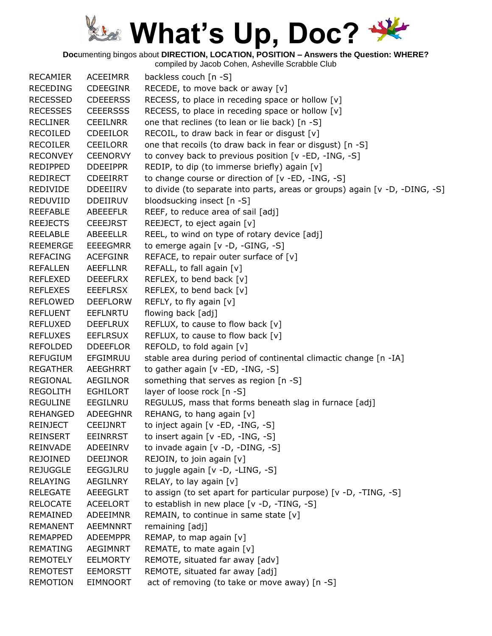**Doc**umenting bingos about **DIRECTION, LOCATION, POSITION – Answers the Question: WHERE?**

| <b>RECAMIER</b> | <b>ACEEIMRR</b> | backless couch [n -S]                                                       |
|-----------------|-----------------|-----------------------------------------------------------------------------|
| <b>RECEDING</b> | <b>CDEEGINR</b> | RECEDE, to move back or away [v]                                            |
| <b>RECESSED</b> | <b>CDEEERSS</b> | RECESS, to place in receding space or hollow [v]                            |
| <b>RECESSES</b> | <b>CEEERSSS</b> | RECESS, to place in receding space or hollow [v]                            |
| <b>RECLINER</b> | <b>CEEILNRR</b> | one that reclines (to lean or lie back) [n -S]                              |
| <b>RECOILED</b> | <b>CDEEILOR</b> | RECOIL, to draw back in fear or disgust $[v]$                               |
| <b>RECOILER</b> | <b>CEEILORR</b> | one that recoils (to draw back in fear or disgust) [n -S]                   |
| <b>RECONVEY</b> | <b>CEENORVY</b> | to convey back to previous position [v -ED, -ING, -S]                       |
| REDIPPED        | <b>DDEEIPPR</b> | REDIP, to dip (to immerse briefly) again [v]                                |
| <b>REDIRECT</b> | <b>CDEEIRRT</b> | to change course or direction of [v -ED, -ING, -S]                          |
| <b>REDIVIDE</b> | <b>DDEEIIRV</b> | to divide (to separate into parts, areas or groups) again [v -D, -DING, -S] |
| REDUVIID        | DDEIIRUV        | bloodsucking insect [n -S]                                                  |
| <b>REEFABLE</b> | ABEEEFLR        | REEF, to reduce area of sail [adj]                                          |
| <b>REEJECTS</b> | <b>CEEEJRST</b> | REEJECT, to eject again [v]                                                 |
| <b>REELABLE</b> | ABEEELLR        | REEL, to wind on type of rotary device [adj]                                |
| <b>REEMERGE</b> | <b>EEEEGMRR</b> | to emerge again [v -D, -GING, -S]                                           |
| <b>REFACING</b> | <b>ACEFGINR</b> | REFACE, to repair outer surface of $[v]$                                    |
| <b>REFALLEN</b> | AEEFLLNR        | REFALL, to fall again [v]                                                   |
| <b>REFLEXED</b> | DEEEFLRX        | REFLEX, to bend back [v]                                                    |
| <b>REFLEXES</b> | <b>EEEFLRSX</b> | REFLEX, to bend back [v]                                                    |
| <b>REFLOWED</b> | <b>DEEFLORW</b> | REFLY, to fly again [v]                                                     |
| <b>REFLUENT</b> | EEFLNRTU        | flowing back [adj]                                                          |
| <b>REFLUXED</b> | <b>DEEFLRUX</b> | REFLUX, to cause to flow back $[v]$                                         |
| <b>REFLUXES</b> | <b>EEFLRSUX</b> | REFLUX, to cause to flow back [v]                                           |
| <b>REFOLDED</b> | <b>DDEEFLOR</b> | REFOLD, to fold again [v]                                                   |
| <b>REFUGIUM</b> | EFGIMRUU        | stable area during period of continental climactic change [n -IA]           |
| <b>REGATHER</b> | <b>AEEGHRRT</b> | to gather again [v -ED, -ING, -S]                                           |
| <b>REGIONAL</b> | <b>AEGILNOR</b> | something that serves as region [n -S]                                      |
| <b>REGOLITH</b> | EGHILORT        | layer of loose rock [n -S]                                                  |
| <b>REGULINE</b> | EEGILNRU        | REGULUS, mass that forms beneath slag in furnace [adj]                      |
| REHANGED        | <b>ADEEGHNR</b> | REHANG, to hang again [v]                                                   |
| <b>REINJECT</b> | <b>CEEIJNRT</b> | to inject again [v -ED, -ING, -S]                                           |
| <b>REINSERT</b> | <b>EEINRRST</b> | to insert again [v -ED, -ING, -S]                                           |
| <b>REINVADE</b> | ADEEINRV        | to invade again [v -D, -DING, -S]                                           |
| <b>REJOINED</b> | <b>DEEIJNOR</b> | REJOIN, to join again [v]                                                   |
| <b>REJUGGLE</b> | <b>EEGGJLRU</b> | to juggle again [v -D, -LING, -S]                                           |
| <b>RELAYING</b> | <b>AEGILNRY</b> | RELAY, to lay again [v]                                                     |
| <b>RELEGATE</b> | <b>AEEEGLRT</b> | to assign (to set apart for particular purpose) [v -D, -TING, -S]           |
| <b>RELOCATE</b> | <b>ACEELORT</b> | to establish in new place [v -D, -TING, -S]                                 |
| REMAINED        | ADEEIMNR        | REMAIN, to continue in same state [v]                                       |
| <b>REMANENT</b> | <b>AEEMNNRT</b> | remaining [adj]                                                             |
| <b>REMAPPED</b> | <b>ADEEMPPR</b> | REMAP, to map again [v]                                                     |
| <b>REMATING</b> | AEGIMNRT        | REMATE, to mate again [v]                                                   |
| <b>REMOTELY</b> | <b>EELMORTY</b> | REMOTE, situated far away [adv]                                             |
| <b>REMOTEST</b> | <b>EEMORSTT</b> | REMOTE, situated far away [adj]                                             |
| REMOTION        | EIMNOORT        | act of removing (to take or move away) [n -S]                               |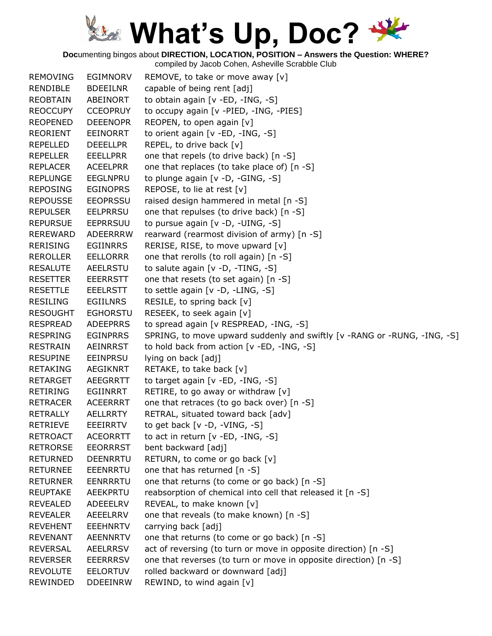**Doc**umenting bingos about **DIRECTION, LOCATION, POSITION – Answers the Question: WHERE?**

| <b>REMOVING</b> | <b>EGIMNORV</b> | REMOVE, to take or move away [v]                                         |
|-----------------|-----------------|--------------------------------------------------------------------------|
| RENDIBLE        | <b>BDEEILNR</b> | capable of being rent [adj]                                              |
| <b>REOBTAIN</b> | ABEINORT        | to obtain again [v -ED, -ING, -S]                                        |
| <b>REOCCUPY</b> | <b>CCEOPRUY</b> | to occupy again [v -PIED, -ING, -PIES]                                   |
| <b>REOPENED</b> | <b>DEEENOPR</b> | REOPEN, to open again [v]                                                |
| <b>REORIENT</b> | <b>EEINORRT</b> | to orient again [v -ED, -ING, -S]                                        |
| <b>REPELLED</b> | <b>DEEELLPR</b> | REPEL, to drive back [v]                                                 |
| <b>REPELLER</b> | <b>EEELLPRR</b> | one that repels (to drive back) [n -S]                                   |
| <b>REPLACER</b> | <b>ACEELPRR</b> | one that replaces (to take place of) [n -S]                              |
| <b>REPLUNGE</b> | <b>EEGLNPRU</b> | to plunge again [v -D, -GING, -S]                                        |
| <b>REPOSING</b> | <b>EGINOPRS</b> | REPOSE, to lie at rest [v]                                               |
| <b>REPOUSSE</b> | <b>EEOPRSSU</b> | raised design hammered in metal [n -S]                                   |
| <b>REPULSER</b> | <b>EELPRRSU</b> | one that repulses (to drive back) [n -S]                                 |
| <b>REPURSUE</b> | <b>EEPRRSUU</b> | to pursue again [v -D, -UING, -S]                                        |
| <b>REREWARD</b> | ADEERRRW        | rearward (rearmost division of army) [n -S]                              |
| <b>RERISING</b> | <b>EGIINRRS</b> | RERISE, RISE, to move upward [v]                                         |
| <b>REROLLER</b> | <b>EELLORRR</b> | one that rerolls (to roll again) [n -S]                                  |
| <b>RESALUTE</b> | <b>AEELRSTU</b> | to salute again [v -D, -TING, -S]                                        |
| <b>RESETTER</b> | <b>EEERRSTT</b> | one that resets (to set again) [n -S]                                    |
| <b>RESETTLE</b> | <b>EEELRSTT</b> | to settle again [v -D, -LING, -S]                                        |
| <b>RESILING</b> | <b>EGIILNRS</b> | RESILE, to spring back [v]                                               |
| <b>RESOUGHT</b> | <b>EGHORSTU</b> | RESEEK, to seek again [v]                                                |
| <b>RESPREAD</b> | <b>ADEEPRRS</b> | to spread again [v RESPREAD, -ING, -S]                                   |
| <b>RESPRING</b> | <b>EGINPRRS</b> | SPRING, to move upward suddenly and swiftly [v -RANG or -RUNG, -ING, -S] |
| <b>RESTRAIN</b> | AEINRRST        | to hold back from action [v -ED, -ING, -S]                               |
| <b>RESUPINE</b> | <b>EEINPRSU</b> | lying on back [adj]                                                      |
| <b>RETAKING</b> | <b>AEGIKNRT</b> | RETAKE, to take back [v]                                                 |
| <b>RETARGET</b> | <b>AEEGRRTT</b> | to target again [v -ED, -ING, -S]                                        |
| <b>RETIRING</b> | EGIINRRT        | RETIRE, to go away or withdraw [v]                                       |
| <b>RETRACER</b> | <b>ACEERRRT</b> | one that retraces (to go back over) [n -S]                               |
| <b>RETRALLY</b> | <b>AELLRRTY</b> | RETRAL, situated toward back [adv]                                       |
| <b>RETRIEVE</b> | <b>EEEIRRTV</b> | to get back $[v -D, -VING, -S]$                                          |
| <b>RETROACT</b> | <b>ACEORRTT</b> | to act in return [v -ED, -ING, -S]                                       |
| <b>RETRORSE</b> | <b>EEORRRST</b> | bent backward [adj]                                                      |
| <b>RETURNED</b> | <b>DEENRRTU</b> | RETURN, to come or go back [v]                                           |
| <b>RETURNEE</b> | <b>EEENRRTU</b> | one that has returned [n -S]                                             |
| <b>RETURNER</b> | <b>EENRRRTU</b> | one that returns (to come or go back) [n -S]                             |
| <b>REUPTAKE</b> | AEEKPRTU        | reabsorption of chemical into cell that released it [n -S]               |
| <b>REVEALED</b> | ADEEELRV        | REVEAL, to make known [v]                                                |
| <b>REVEALER</b> | AEEELRRV        | one that reveals (to make known) [n -S]                                  |
| <b>REVEHENT</b> | <b>EEEHNRTV</b> | carrying back [adj]                                                      |
| <b>REVENANT</b> | <b>AEENNRTV</b> | one that returns (to come or go back) [n -S]                             |
| <b>REVERSAL</b> | <b>AEELRRSV</b> | act of reversing (to turn or move in opposite direction) [n -S]          |
| <b>REVERSER</b> | <b>EEERRRSV</b> | one that reverses (to turn or move in opposite direction) [n -S]         |
| <b>REVOLUTE</b> | <b>EELORTUV</b> | rolled backward or downward [adj]                                        |
| REWINDED        | <b>DDEEINRW</b> | REWIND, to wind again [v]                                                |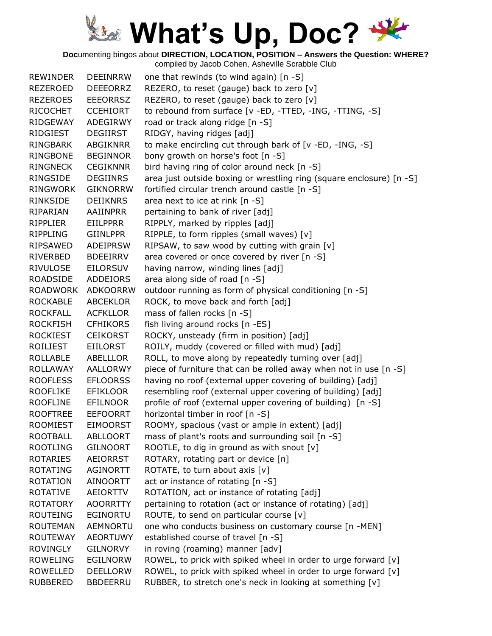**Doc**umenting bingos about **DIRECTION, LOCATION, POSITION – Answers the Question: WHERE?**

| <b>REWINDER</b> | <b>DEEINRRW</b> | one that rewinds (to wind again) [n -S]                              |
|-----------------|-----------------|----------------------------------------------------------------------|
| <b>REZEROED</b> | <b>DEEEORRZ</b> | REZERO, to reset (gauge) back to zero [v]                            |
| <b>REZEROES</b> | <b>EEEORRSZ</b> | REZERO, to reset (gauge) back to zero [v]                            |
| <b>RICOCHET</b> | <b>CCEHIORT</b> | to rebound from surface [v -ED, -TTED, -ING, -TTING, -S]             |
| <b>RIDGEWAY</b> | ADEGIRWY        | road or track along ridge [n -S]                                     |
| RIDGIEST        | DEGIIRST        | RIDGY, having ridges [adj]                                           |
| <b>RINGBARK</b> | <b>ABGIKNRR</b> | to make encircling cut through bark of [v -ED, -ING, -S]             |
| <b>RINGBONE</b> | <b>BEGINNOR</b> | bony growth on horse's foot [n -S]                                   |
| <b>RINGNECK</b> | <b>CEGIKNNR</b> | bird having ring of color around neck [n -S]                         |
| RINGSIDE        | <b>DEGIINRS</b> | area just outside boxing or wrestling ring (square enclosure) [n -S] |
| <b>RINGWORK</b> | <b>GIKNORRW</b> | fortified circular trench around castle [n -S]                       |
| RINKSIDE        | <b>DEIIKNRS</b> | area next to ice at rink [n -S]                                      |
| RIPARIAN        | AAIINPRR        | pertaining to bank of river [adj]                                    |
| RIPPLIER        | <b>EIILPPRR</b> | RIPPLY, marked by ripples [adj]                                      |
| <b>RIPPLING</b> | <b>GIINLPPR</b> | RIPPLE, to form ripples (small waves) [v]                            |
| RIPSAWED        | <b>ADEIPRSW</b> | RIPSAW, to saw wood by cutting with grain [v]                        |
| RIVERBED        | <b>BDEEIRRV</b> | area covered or once covered by river [n -S]                         |
| <b>RIVULOSE</b> | <b>EILORSUV</b> | having narrow, winding lines [adj]                                   |
| <b>ROADSIDE</b> | <b>ADDEIORS</b> | area along side of road [n -S]                                       |
| <b>ROADWORK</b> | <b>ADKOORRW</b> | outdoor running as form of physical conditioning [n -S]              |
| <b>ROCKABLE</b> | <b>ABCEKLOR</b> | ROCK, to move back and forth [adj]                                   |
| <b>ROCKFALL</b> | <b>ACFKLLOR</b> | mass of fallen rocks [n -S]                                          |
| <b>ROCKFISH</b> | <b>CFHIKORS</b> | fish living around rocks [n -ES]                                     |
| <b>ROCKIEST</b> | <b>CEIKORST</b> | ROCKY, unsteady (firm in position) [adj]                             |
| ROILIEST        | <b>EIILORST</b> | ROILY, muddy (covered or filled with mud) [adj]                      |
| ROLLABLE        | ABELLLOR        | ROLL, to move along by repeatedly turning over [adj]                 |
| <b>ROLLAWAY</b> | <b>AALLORWY</b> | piece of furniture that can be rolled away when not in use [n -S]    |
| <b>ROOFLESS</b> | <b>EFLOORSS</b> | having no roof (external upper covering of building) [adj]           |
| <b>ROOFLIKE</b> | <b>EFIKLOOR</b> | resembling roof (external upper covering of building) [adj]          |
| <b>ROOFLINE</b> | <b>EFILNOOR</b> | profile of roof (external upper covering of building) [n -S]         |
| <b>ROOFTREE</b> | <b>EEFOORRT</b> | horizontal timber in roof [n -S]                                     |
| <b>ROOMIEST</b> | <b>EIMOORST</b> | ROOMY, spacious (vast or ample in extent) [adj]                      |
| <b>ROOTBALL</b> | <b>ABLLOORT</b> | mass of plant's roots and surrounding soil [n -S]                    |
| <b>ROOTLING</b> | <b>GILNOORT</b> | ROOTLE, to dig in ground as with snout $[v]$                         |
| <b>ROTARIES</b> | <b>AEIORRST</b> | ROTARY, rotating part or device [n]                                  |
| <b>ROTATING</b> | <b>AGINORTT</b> | ROTATE, to turn about axis [v]                                       |
| <b>ROTATION</b> | AINOORTT        | act or instance of rotating [n -S]                                   |
| <b>ROTATIVE</b> | <b>AEIORTTV</b> | ROTATION, act or instance of rotating [adj]                          |
| <b>ROTATORY</b> | <b>AOORRTTY</b> | pertaining to rotation (act or instance of rotating) [adj]           |
| <b>ROUTEING</b> | EGINORTU        | ROUTE, to send on particular course [v]                              |
| <b>ROUTEMAN</b> | AEMNORTU        | one who conducts business on customary course [n -MEN]               |
| <b>ROUTEWAY</b> | <b>AEORTUWY</b> | established course of travel [n -S]                                  |
| <b>ROVINGLY</b> | GILNORVY        | in roving (roaming) manner [adv]                                     |
| <b>ROWELING</b> | <b>EGILNORW</b> | ROWEL, to prick with spiked wheel in order to urge forward [v]       |
| <b>ROWELLED</b> | <b>DEELLORW</b> | ROWEL, to prick with spiked wheel in order to urge forward [v]       |
| <b>RUBBERED</b> | <b>BBDEERRU</b> | RUBBER, to stretch one's neck in looking at something [v]            |
|                 |                 |                                                                      |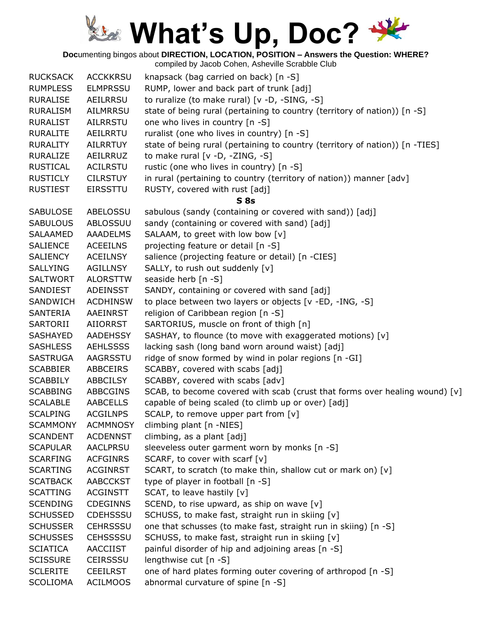**Doc**umenting bingos about **DIRECTION, LOCATION, POSITION – Answers the Question: WHERE?**

| <b>RUCKSACK</b> | <b>ACCKKRSU</b> | knapsack (bag carried on back) [n -S]                                        |
|-----------------|-----------------|------------------------------------------------------------------------------|
| <b>RUMPLESS</b> | <b>ELMPRSSU</b> | RUMP, lower and back part of trunk [adj]                                     |
| <b>RURALISE</b> | AEILRRSU        | to ruralize (to make rural) [v -D, -SING, -S]                                |
| <b>RURALISM</b> | AILMRRSU        | state of being rural (pertaining to country (territory of nation)) [n -S]    |
| <b>RURALIST</b> | <b>AILRRSTU</b> | one who lives in country [n -S]                                              |
| <b>RURALITE</b> | AEILRRTU        | ruralist (one who lives in country) [n -S]                                   |
| <b>RURALITY</b> | <b>AILRRTUY</b> | state of being rural (pertaining to country (territory of nation)) [n -TIES] |
| <b>RURALIZE</b> | AEILRRUZ        | to make rural [v -D, -ZING, -S]                                              |
| <b>RUSTICAL</b> | <b>ACILRSTU</b> | rustic (one who lives in country) [n -S]                                     |
| <b>RUSTICLY</b> | <b>CILRSTUY</b> | in rural (pertaining to country (territory of nation)) manner [adv]          |
| <b>RUSTIEST</b> | <b>EIRSSTTU</b> | RUSTY, covered with rust [adj]                                               |
|                 |                 | S <sub>8s</sub>                                                              |
| <b>SABULOSE</b> | ABELOSSU        | sabulous (sandy (containing or covered with sand)) [adj]                     |
| <b>SABULOUS</b> | ABLOSSUU        | sandy (containing or covered with sand) [adj]                                |
| SALAAMED        | <b>AAADELMS</b> | SALAAM, to greet with low bow [v]                                            |
| <b>SALIENCE</b> | <b>ACEEILNS</b> | projecting feature or detail [n -S]                                          |
| <b>SALIENCY</b> | <b>ACEILNSY</b> | salience (projecting feature or detail) [n -CIES]                            |
| <b>SALLYING</b> | <b>AGILLNSY</b> | SALLY, to rush out suddenly [v]                                              |
| <b>SALTWORT</b> | <b>ALORSTTW</b> | seaside herb [n -S]                                                          |
| SANDIEST        | ADEINSST        | SANDY, containing or covered with sand [adj]                                 |
| SANDWICH        | <b>ACDHINSW</b> | to place between two layers or objects [v -ED, -ING, -S]                     |
| SANTERIA        | AAEINRST        | religion of Caribbean region [n -S]                                          |
| SARTORII        | AIIORRST        | SARTORIUS, muscle on front of thigh [n]                                      |
| <b>SASHAYED</b> | <b>AADEHSSY</b> | SASHAY, to flounce (to move with exaggerated motions) [v]                    |
| <b>SASHLESS</b> | <b>AEHLSSSS</b> | lacking sash (long band worn around waist) [adj]                             |
| <b>SASTRUGA</b> | AAGRSSTU        | ridge of snow formed by wind in polar regions [n -GI]                        |
| <b>SCABBIER</b> | <b>ABBCEIRS</b> | SCABBY, covered with scabs [adj]                                             |
| <b>SCABBILY</b> | <b>ABBCILSY</b> | SCABBY, covered with scabs [adv]                                             |
| <b>SCABBING</b> | <b>ABBCGINS</b> | SCAB, to become covered with scab (crust that forms over healing wound) [v]  |
| <b>SCALABLE</b> | <b>AABCELLS</b> | capable of being scaled (to climb up or over) [adj]                          |
| <b>SCALPING</b> | <b>ACGILNPS</b> | SCALP, to remove upper part from [v]                                         |
| <b>SCAMMONY</b> | <b>ACMMNOSY</b> | climbing plant [n -NIES]                                                     |
| <b>SCANDENT</b> | <b>ACDENNST</b> | climbing, as a plant [adj]                                                   |
| <b>SCAPULAR</b> | AACLPRSU        | sleeveless outer garment worn by monks [n -S]                                |
| <b>SCARFING</b> | <b>ACFGINRS</b> | SCARF, to cover with scarf [v]                                               |
| <b>SCARTING</b> | <b>ACGINRST</b> | SCART, to scratch (to make thin, shallow cut or mark on) [v]                 |
| <b>SCATBACK</b> | <b>AABCCKST</b> | type of player in football [n -S]                                            |
| <b>SCATTING</b> | <b>ACGINSTT</b> | SCAT, to leave hastily [v]                                                   |
| <b>SCENDING</b> | <b>CDEGINNS</b> | SCEND, to rise upward, as ship on wave [v]                                   |
| <b>SCHUSSED</b> | <b>CDEHSSSU</b> | SCHUSS, to make fast, straight run in skiing [v]                             |
| <b>SCHUSSER</b> | <b>CEHRSSSU</b> | one that schusses (to make fast, straight run in skiing) [n -S]              |
| <b>SCHUSSES</b> | <b>CEHSSSSU</b> | SCHUSS, to make fast, straight run in skiing [v]                             |
| <b>SCIATICA</b> | <b>AACCIIST</b> | painful disorder of hip and adjoining areas [n -S]                           |
| <b>SCISSURE</b> | <b>CEIRSSSU</b> | lengthwise cut [n -S]                                                        |
| <b>SCLERITE</b> | <b>CEEILRST</b> | one of hard plates forming outer covering of arthropod [n -S]                |
| <b>SCOLIOMA</b> | <b>ACILMOOS</b> | abnormal curvature of spine [n -S]                                           |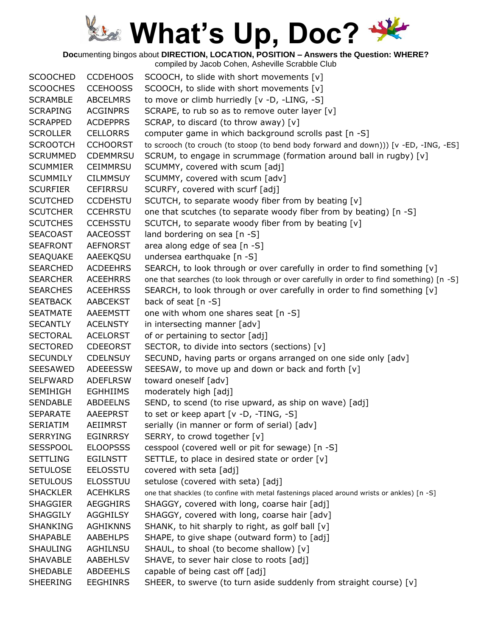**Doc**umenting bingos about **DIRECTION, LOCATION, POSITION – Answers the Question: WHERE?**

| <b>SCOOCHED</b> | <b>CCDEHOOS</b> | SCOOCH, to slide with short movements [v]                                                  |
|-----------------|-----------------|--------------------------------------------------------------------------------------------|
| <b>SCOOCHES</b> | <b>CCEHOOSS</b> | SCOOCH, to slide with short movements [v]                                                  |
| <b>SCRAMBLE</b> | <b>ABCELMRS</b> | to move or climb hurriedly [v -D, -LING, -S]                                               |
| <b>SCRAPING</b> | <b>ACGINPRS</b> | SCRAPE, to rub so as to remove outer layer [v]                                             |
| <b>SCRAPPED</b> | <b>ACDEPPRS</b> | SCRAP, to discard (to throw away) [v]                                                      |
| <b>SCROLLER</b> | <b>CELLORRS</b> | computer game in which background scrolls past [n -S]                                      |
| <b>SCROOTCH</b> | <b>CCHOORST</b> | to scrooch (to crouch (to stoop (to bend body forward and down))) [v -ED, -ING, -ES]       |
| <b>SCRUMMED</b> | <b>CDEMMRSU</b> | SCRUM, to engage in scrummage (formation around ball in rugby) [v]                         |
| <b>SCUMMIER</b> | <b>CEIMMRSU</b> | SCUMMY, covered with scum [adj]                                                            |
| <b>SCUMMILY</b> | <b>CILMMSUY</b> | SCUMMY, covered with scum [adv]                                                            |
| <b>SCURFIER</b> | <b>CEFIRRSU</b> | SCURFY, covered with scurf [adj]                                                           |
| <b>SCUTCHED</b> | <b>CCDEHSTU</b> | SCUTCH, to separate woody fiber from by beating [v]                                        |
| <b>SCUTCHER</b> | <b>CCEHRSTU</b> | one that scutches (to separate woody fiber from by beating) [n -S]                         |
| <b>SCUTCHES</b> | <b>CCEHSSTU</b> | SCUTCH, to separate woody fiber from by beating [v]                                        |
| <b>SEACOAST</b> | AACEOSST        | land bordering on sea [n -S]                                                               |
| <b>SEAFRONT</b> | <b>AEFNORST</b> | area along edge of sea [n -S]                                                              |
| <b>SEAQUAKE</b> | AAEEKQSU        | undersea earthquake [n -S]                                                                 |
| <b>SEARCHED</b> | <b>ACDEEHRS</b> | SEARCH, to look through or over carefully in order to find something [v]                   |
| <b>SEARCHER</b> | <b>ACEEHRRS</b> | one that searches (to look through or over carefully in order to find something) [n -S]    |
| <b>SEARCHES</b> | <b>ACEEHRSS</b> | SEARCH, to look through or over carefully in order to find something [v]                   |
| <b>SEATBACK</b> | <b>AABCEKST</b> | back of seat [n -S]                                                                        |
| <b>SEATMATE</b> | <b>AAEEMSTT</b> | one with whom one shares seat [n -S]                                                       |
| <b>SECANTLY</b> | <b>ACELNSTY</b> | in intersecting manner [adv]                                                               |
| <b>SECTORAL</b> | <b>ACELORST</b> | of or pertaining to sector [adj]                                                           |
| <b>SECTORED</b> | <b>CDEEORST</b> | SECTOR, to divide into sectors (sections) [v]                                              |
| <b>SECUNDLY</b> | <b>CDELNSUY</b> | SECUND, having parts or organs arranged on one side only [adv]                             |
| <b>SEESAWED</b> | <b>ADEEESSW</b> | SEESAW, to move up and down or back and forth [v]                                          |
| <b>SELFWARD</b> | <b>ADEFLRSW</b> | toward oneself [adv]                                                                       |
| <b>SEMIHIGH</b> | <b>EGHHIIMS</b> | moderately high [adj]                                                                      |
| <b>SENDABLE</b> | <b>ABDEELNS</b> | SEND, to scend (to rise upward, as ship on wave) [adj]                                     |
| <b>SEPARATE</b> | AAEEPRST        | to set or keep apart [v -D, -TING, -S]                                                     |
| <b>SERIATIM</b> | AEIIMRST        | serially (in manner or form of serial) [adv]                                               |
| <b>SERRYING</b> | <b>EGINRRSY</b> | SERRY, to crowd together [v]                                                               |
| <b>SESSPOOL</b> | <b>ELOOPSSS</b> | cesspool (covered well or pit for sewage) [n -S]                                           |
| <b>SETTLING</b> | <b>EGILNSTT</b> | SETTLE, to place in desired state or order [v]                                             |
| <b>SETULOSE</b> | <b>EELOSSTU</b> | covered with seta [adj]                                                                    |
| <b>SETULOUS</b> | <b>ELOSSTUU</b> | setulose (covered with seta) [adj]                                                         |
| <b>SHACKLER</b> | <b>ACEHKLRS</b> | one that shackles (to confine with metal fastenings placed around wrists or ankles) [n -S] |
| <b>SHAGGIER</b> | <b>AEGGHIRS</b> | SHAGGY, covered with long, coarse hair [adj]                                               |
| <b>SHAGGILY</b> | <b>AGGHILSY</b> | SHAGGY, covered with long, coarse hair [adv]                                               |
| SHANKING        | <b>AGHIKNNS</b> | SHANK, to hit sharply to right, as golf ball [v]                                           |
| <b>SHAPABLE</b> | <b>AABEHLPS</b> | SHAPE, to give shape (outward form) to [adj]                                               |
| <b>SHAULING</b> | <b>AGHILNSU</b> | SHAUL, to shoal (to become shallow) [v]                                                    |
| <b>SHAVABLE</b> | AABEHLSV        | SHAVE, to sever hair close to roots [adj]                                                  |
| <b>SHEDABLE</b> | <b>ABDEEHLS</b> | capable of being cast off [adj]                                                            |
| SHEERING        | <b>EEGHINRS</b> | SHEER, to swerve (to turn aside suddenly from straight course) [v]                         |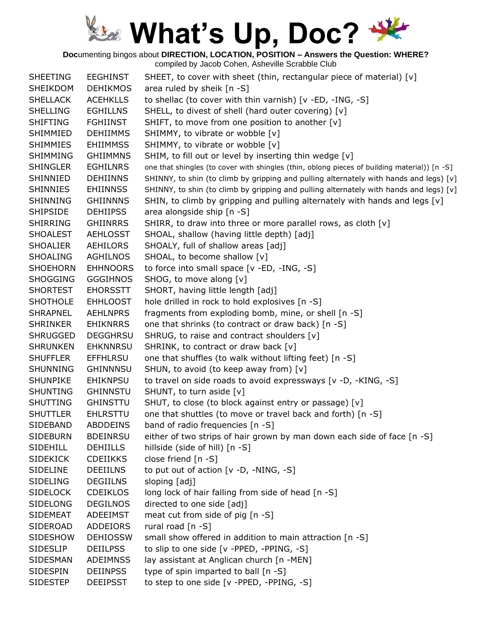**Doc**umenting bingos about **DIRECTION, LOCATION, POSITION – Answers the Question: WHERE?**

| <b>SHEETING</b> | <b>EEGHINST</b> | SHEET, to cover with sheet (thin, rectangular piece of material) [v]                         |
|-----------------|-----------------|----------------------------------------------------------------------------------------------|
| <b>SHEIKDOM</b> | <b>DEHIKMOS</b> | area ruled by sheik [n -S]                                                                   |
| <b>SHELLACK</b> | <b>ACEHKLLS</b> | to shellac (to cover with thin varnish) [v -ED, -ING, -S]                                    |
| <b>SHELLING</b> | <b>EGHILLNS</b> | SHELL, to divest of shell (hard outer covering) [v]                                          |
| <b>SHIFTING</b> | <b>FGHIINST</b> | SHIFT, to move from one position to another $[v]$                                            |
| SHIMMIED        | <b>DEHIIMMS</b> | SHIMMY, to vibrate or wobble [v]                                                             |
| <b>SHIMMIES</b> | <b>EHIIMMSS</b> | SHIMMY, to vibrate or wobble [v]                                                             |
| <b>SHIMMING</b> | <b>GHIIMMNS</b> | SHIM, to fill out or level by inserting thin wedge [v]                                       |
| <b>SHINGLER</b> | <b>EGHILNRS</b> | one that shingles (to cover with shingles (thin, oblong pieces of building material)) [n -S] |
| SHINNIED        | <b>DEHIINNS</b> | SHINNY, to shin (to climb by gripping and pulling alternately with hands and legs) [v]       |
| <b>SHINNIES</b> | <b>EHIINNSS</b> | SHINNY, to shin (to climb by gripping and pulling alternately with hands and legs) [v]       |
| SHINNING        | <b>GHIINNNS</b> | SHIN, to climb by gripping and pulling alternately with hands and legs [v]                   |
| <b>SHIPSIDE</b> | <b>DEHIIPSS</b> | area alongside ship [n -S]                                                                   |
| <b>SHIRRING</b> | <b>GHIINRRS</b> | SHIRR, to draw into three or more parallel rows, as cloth [v]                                |
| <b>SHOALEST</b> | AEHLOSST        | SHOAL, shallow (having little depth) [adj]                                                   |
| <b>SHOALIER</b> | AEHILORS        | SHOALY, full of shallow areas [adj]                                                          |
| <b>SHOALING</b> | <b>AGHILNOS</b> | SHOAL, to become shallow [v]                                                                 |
| <b>SHOEHORN</b> | <b>EHHNOORS</b> | to force into small space [v -ED, -ING, -S]                                                  |
| <b>SHOGGING</b> | <b>GGGIHNOS</b> | SHOG, to move along [v]                                                                      |
| <b>SHORTEST</b> | <b>EHORSSTT</b> | SHORT, having little length [adj]                                                            |
| <b>SHOTHOLE</b> | <b>EHHLOOST</b> | hole drilled in rock to hold explosives [n -S]                                               |
| <b>SHRAPNEL</b> | AEHLNPRS        | fragments from exploding bomb, mine, or shell [n -S]                                         |
| <b>SHRINKER</b> | <b>EHIKNRRS</b> | one that shrinks (to contract or draw back) [n -S]                                           |
| <b>SHRUGGED</b> | <b>DEGGHRSU</b> | SHRUG, to raise and contract shoulders [v]                                                   |
| <b>SHRUNKEN</b> | <b>EHKNNRSU</b> | SHRINK, to contract or draw back [v]                                                         |
| <b>SHUFFLER</b> | <b>EFFHLRSU</b> | one that shuffles (to walk without lifting feet) [n -S]                                      |
| <b>SHUNNING</b> | <b>GHINNNSU</b> | SHUN, to avoid (to keep away from) [v]                                                       |
| <b>SHUNPIKE</b> | <b>EHIKNPSU</b> | to travel on side roads to avoid expressways [v -D, -KING, -S]                               |
| <b>SHUNTING</b> | <b>GHINNSTU</b> | SHUNT, to turn aside [v]                                                                     |
| <b>SHUTTING</b> | <b>GHINSTTU</b> | SHUT, to close (to block against entry or passage) [v]                                       |
| <b>SHUTTLER</b> | <b>EHLRSTTU</b> | one that shuttles (to move or travel back and forth) [n -S]                                  |
| SIDEBAND        | <b>ABDDEINS</b> | band of radio frequencies [n -S]                                                             |
| <b>SIDEBURN</b> | <b>BDEINRSU</b> | either of two strips of hair grown by man down each side of face [n -S]                      |
| SIDEHILL        | <b>DEHIILLS</b> | hillside (side of hill) [n -S]                                                               |
| <b>SIDEKICK</b> | <b>CDEIIKKS</b> | close friend $[n -S]$                                                                        |
| <b>SIDELINE</b> | <b>DEEIILNS</b> | to put out of action $[v -D, -NING, -S]$                                                     |
| <b>SIDELING</b> | <b>DEGIILNS</b> | sloping [adj]                                                                                |
| <b>SIDELOCK</b> | <b>CDEIKLOS</b> | long lock of hair falling from side of head [n -S]                                           |
| <b>SIDELONG</b> | <b>DEGILNOS</b> | directed to one side [adj]                                                                   |
| <b>SIDEMEAT</b> | ADEEIMST        | meat cut from side of pig [n -S]                                                             |
| SIDEROAD        | ADDEIORS        | rural road [n -S]                                                                            |
| <b>SIDESHOW</b> | <b>DEHIOSSW</b> | small show offered in addition to main attraction [n -S]                                     |
| <b>SIDESLIP</b> | <b>DEIILPSS</b> | to slip to one side [v -PPED, -PPING, -S]                                                    |
| SIDESMAN        | <b>ADEIMNSS</b> | lay assistant at Anglican church [n -MEN]                                                    |
| <b>SIDESPIN</b> | <b>DEIINPSS</b> | type of spin imparted to ball [n -S]                                                         |
| <b>SIDESTEP</b> | <b>DEEIPSST</b> | to step to one side [v -PPED, -PPING, -S]                                                    |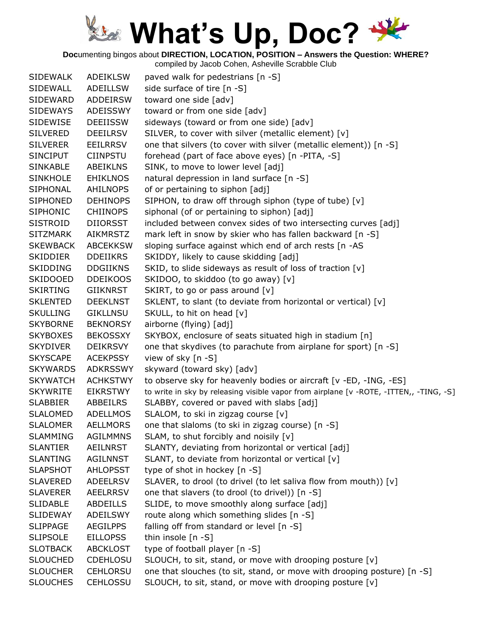**Doc**umenting bingos about **DIRECTION, LOCATION, POSITION – Answers the Question: WHERE?**

| <b>SIDEWALK</b> | <b>ADEIKLSW</b> | paved walk for pedestrians [n -S]                                                      |
|-----------------|-----------------|----------------------------------------------------------------------------------------|
| SIDEWALL        | ADEILLSW        | side surface of tire [n -S]                                                            |
| SIDEWARD        | <b>ADDEIRSW</b> | toward one side [adv]                                                                  |
| <b>SIDEWAYS</b> | ADEISSWY        | toward or from one side [adv]                                                          |
| SIDEWISE        | <b>DEEIISSW</b> | sideways (toward or from one side) [adv]                                               |
| <b>SILVERED</b> | <b>DEEILRSV</b> | SILVER, to cover with silver (metallic element) [v]                                    |
| <b>SILVERER</b> | <b>EEILRRSV</b> | one that silvers (to cover with silver (metallic element)) [n -S]                      |
| <b>SINCIPUT</b> | <b>CIINPSTU</b> | forehead (part of face above eyes) [n -PITA, -S]                                       |
| <b>SINKABLE</b> | <b>ABEIKLNS</b> | SINK, to move to lower level [adj]                                                     |
| <b>SINKHOLE</b> | <b>EHIKLNOS</b> | natural depression in land surface [n -S]                                              |
| SIPHONAL        | <b>AHILNOPS</b> | of or pertaining to siphon [adj]                                                       |
| <b>SIPHONED</b> | <b>DEHINOPS</b> | SIPHON, to draw off through siphon (type of tube) [v]                                  |
| <b>SIPHONIC</b> | <b>CHIINOPS</b> | siphonal (of or pertaining to siphon) [adj]                                            |
| <b>SISTROID</b> | <b>DIIORSST</b> | included between convex sides of two intersecting curves [adj]                         |
| <b>SITZMARK</b> | <b>AIKMRSTZ</b> | mark left in snow by skier who has fallen backward [n -S]                              |
| <b>SKEWBACK</b> | <b>ABCEKKSW</b> | sloping surface against which end of arch rests [n -AS                                 |
| <b>SKIDDIER</b> | <b>DDEIIKRS</b> | SKIDDY, likely to cause skidding [adj]                                                 |
| <b>SKIDDING</b> | <b>DDGIIKNS</b> | SKID, to slide sideways as result of loss of traction [v]                              |
| <b>SKIDOOED</b> | <b>DDEIKOOS</b> | SKIDOO, to skiddoo (to go away) [v]                                                    |
| <b>SKIRTING</b> | GIIKNRST        | SKIRT, to go or pass around [v]                                                        |
| <b>SKLENTED</b> | <b>DEEKLNST</b> | SKLENT, to slant (to deviate from horizontal or vertical) [v]                          |
| <b>SKULLING</b> | <b>GIKLLNSU</b> | SKULL, to hit on head [v]                                                              |
| <b>SKYBORNE</b> | <b>BEKNORSY</b> | airborne (flying) [adj]                                                                |
| <b>SKYBOXES</b> | <b>BEKOSSXY</b> | SKYBOX, enclosure of seats situated high in stadium [n]                                |
| <b>SKYDIVER</b> | DEIKRSVY        | one that skydives (to parachute from airplane for sport) [n -S]                        |
| <b>SKYSCAPE</b> | <b>ACEKPSSY</b> | view of sky [n -S]                                                                     |
| <b>SKYWARDS</b> | <b>ADKRSSWY</b> | skyward (toward sky) [adv]                                                             |
| <b>SKYWATCH</b> | <b>ACHKSTWY</b> | to observe sky for heavenly bodies or aircraft [v -ED, -ING, -ES]                      |
| <b>SKYWRITE</b> | <b>EIKRSTWY</b> | to write in sky by releasing visible vapor from airplane [v -ROTE, -ITTEN,, -TING, -S] |
| <b>SLABBIER</b> | ABBEILRS        | SLABBY, covered or paved with slabs [adj]                                              |
| <b>SLALOMED</b> | <b>ADELLMOS</b> | SLALOM, to ski in zigzag course [v]                                                    |
| <b>SLALOMER</b> | <b>AELLMORS</b> | one that slaloms (to ski in zigzag course) [n -S]                                      |
| <b>SLAMMING</b> | <b>AGILMMNS</b> | SLAM, to shut forcibly and noisily $[v]$                                               |
| <b>SLANTIER</b> | <b>AEILNRST</b> | SLANTY, deviating from horizontal or vertical [adj]                                    |
| <b>SLANTING</b> | <b>AGILNNST</b> | SLANT, to deviate from horizontal or vertical [v]                                      |
| <b>SLAPSHOT</b> | <b>AHLOPSST</b> | type of shot in hockey [n -S]                                                          |
| <b>SLAVERED</b> | <b>ADEELRSV</b> | SLAVER, to drool (to drivel (to let saliva flow from mouth)) [v]                       |
| <b>SLAVERER</b> | <b>AEELRRSV</b> | one that slavers (to drool (to drivel)) [n -S]                                         |
| <b>SLIDABLE</b> | <b>ABDEILLS</b> | SLIDE, to move smoothly along surface [adj]                                            |
| <b>SLIDEWAY</b> | ADEILSWY        | route along which something slides [n -S]                                              |
| <b>SLIPPAGE</b> | <b>AEGILPPS</b> | falling off from standard or level [n -S]                                              |
| <b>SLIPSOLE</b> | <b>EILLOPSS</b> | thin insole $[n - S]$                                                                  |
| <b>SLOTBACK</b> | <b>ABCKLOST</b> | type of football player [n -S]                                                         |
| <b>SLOUCHED</b> | CDEHLOSU        | SLOUCH, to sit, stand, or move with drooping posture [v]                               |
| <b>SLOUCHER</b> | <b>CEHLORSU</b> | one that slouches (to sit, stand, or move with drooping posture) [n -S]                |
| <b>SLOUCHES</b> | <b>CEHLOSSU</b> | SLOUCH, to sit, stand, or move with drooping posture [v]                               |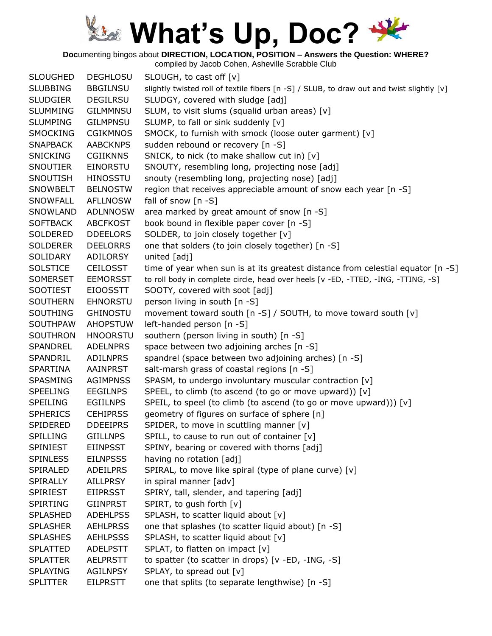**Doc**umenting bingos about **DIRECTION, LOCATION, POSITION – Answers the Question: WHERE?**

| <b>SLOUGHED</b> | <b>DEGHLOSU</b> | SLOUGH, to cast off [v]                                                                   |
|-----------------|-----------------|-------------------------------------------------------------------------------------------|
| <b>SLUBBING</b> | <b>BBGILNSU</b> | slightly twisted roll of textile fibers [n -S] / SLUB, to draw out and twist slightly [v] |
| <b>SLUDGIER</b> | <b>DEGILRSU</b> | SLUDGY, covered with sludge [adj]                                                         |
| <b>SLUMMING</b> | <b>GILMMNSU</b> | SLUM, to visit slums (squalid urban areas) [v]                                            |
| <b>SLUMPING</b> | <b>GILMPNSU</b> | SLUMP, to fall or sink suddenly [v]                                                       |
| <b>SMOCKING</b> | <b>CGIKMNOS</b> | SMOCK, to furnish with smock (loose outer garment) [v]                                    |
| <b>SNAPBACK</b> | <b>AABCKNPS</b> | sudden rebound or recovery [n -S]                                                         |
| <b>SNICKING</b> | <b>CGIIKNNS</b> | SNICK, to nick (to make shallow cut in) [v]                                               |
| <b>SNOUTIER</b> | EINORSTU        | SNOUTY, resembling long, projecting nose [adj]                                            |
| <b>SNOUTISH</b> | <b>HINOSSTU</b> | snouty (resembling long, projecting nose) [adj]                                           |
| SNOWBELT        | <b>BELNOSTW</b> | region that receives appreciable amount of snow each year [n -S]                          |
| <b>SNOWFALL</b> | <b>AFLLNOSW</b> | fall of snow $[n - S]$                                                                    |
| SNOWLAND        | <b>ADLNNOSW</b> | area marked by great amount of snow [n -S]                                                |
| <b>SOFTBACK</b> | <b>ABCFKOST</b> | book bound in flexible paper cover [n -S]                                                 |
| SOLDERED        | <b>DDEELORS</b> | SOLDER, to join closely together [v]                                                      |
| <b>SOLDERER</b> | <b>DEELORRS</b> | one that solders (to join closely together) [n -S]                                        |
| SOLIDARY        | <b>ADILORSY</b> | united [adj]                                                                              |
| <b>SOLSTICE</b> | <b>CEILOSST</b> | time of year when sun is at its greatest distance from celestial equator [n -S]           |
| <b>SOMERSET</b> | <b>EEMORSST</b> | to roll body in complete circle, head over heels [v -ED, -TTED, -ING, -TTING, -S]         |
| <b>SOOTIEST</b> | <b>EIOOSSTT</b> | SOOTY, covered with soot [adj]                                                            |
| <b>SOUTHERN</b> | <b>EHNORSTU</b> | person living in south [n -S]                                                             |
| <b>SOUTHING</b> | <b>GHINOSTU</b> | movement toward south [n -S] / SOUTH, to move toward south [v]                            |
| <b>SOUTHPAW</b> | <b>AHOPSTUW</b> | left-handed person [n -S]                                                                 |
| <b>SOUTHRON</b> | <b>HNOORSTU</b> | southern (person living in south) [n -S]                                                  |
| <b>SPANDREL</b> | <b>ADELNPRS</b> | space between two adjoining arches [n -S]                                                 |
| SPANDRIL        | <b>ADILNPRS</b> | spandrel (space between two adjoining arches) [n -S]                                      |
| <b>SPARTINA</b> | <b>AAINPRST</b> | salt-marsh grass of coastal regions [n -S]                                                |
| SPASMING        | <b>AGIMPNSS</b> | SPASM, to undergo involuntary muscular contraction [v]                                    |
| <b>SPEELING</b> | <b>EEGILNPS</b> | SPEEL, to climb (to ascend (to go or move upward)) [v]                                    |
| <b>SPEILING</b> | <b>EGIILNPS</b> | SPEIL, to speel (to climb (to ascend (to go or move upward))) [v]                         |
| <b>SPHERICS</b> | <b>CEHIPRSS</b> | geometry of figures on surface of sphere [n]                                              |
| SPIDERED        | <b>DDEEIPRS</b> | SPIDER, to move in scuttling manner [v]                                                   |
| <b>SPILLING</b> | <b>GIILLNPS</b> |                                                                                           |
|                 |                 | SPILL, to cause to run out of container [v]                                               |
| SPINIEST        | <b>EIINPSST</b> | SPINY, bearing or covered with thorns [adj]                                               |
| <b>SPINLESS</b> | <b>EILNPSSS</b> | having no rotation [adj]                                                                  |
| SPIRALED        | ADEILPRS        | SPIRAL, to move like spiral (type of plane curve) [v]                                     |
| SPIRALLY        | <b>AILLPRSY</b> | in spiral manner [adv]                                                                    |
| SPIRIEST        | <b>EIIPRSST</b> | SPIRY, tall, slender, and tapering [adj]                                                  |
| <b>SPIRTING</b> | <b>GIINPRST</b> | SPIRT, to gush forth [v]                                                                  |
| <b>SPLASHED</b> | <b>ADEHLPSS</b> | SPLASH, to scatter liquid about [v]                                                       |
| <b>SPLASHER</b> | <b>AEHLPRSS</b> | one that splashes (to scatter liquid about) [n -S]                                        |
| <b>SPLASHES</b> | <b>AEHLPSSS</b> | SPLASH, to scatter liquid about [v]                                                       |
| <b>SPLATTED</b> | <b>ADELPSTT</b> | SPLAT, to flatten on impact [v]                                                           |
| <b>SPLATTER</b> | <b>AELPRSTT</b> | to spatter (to scatter in drops) [v -ED, -ING, -S]                                        |
| <b>SPLAYING</b> | <b>AGILNPSY</b> | SPLAY, to spread out [v]                                                                  |
| <b>SPLITTER</b> | <b>EILPRSTT</b> | one that splits (to separate lengthwise) [n -S]                                           |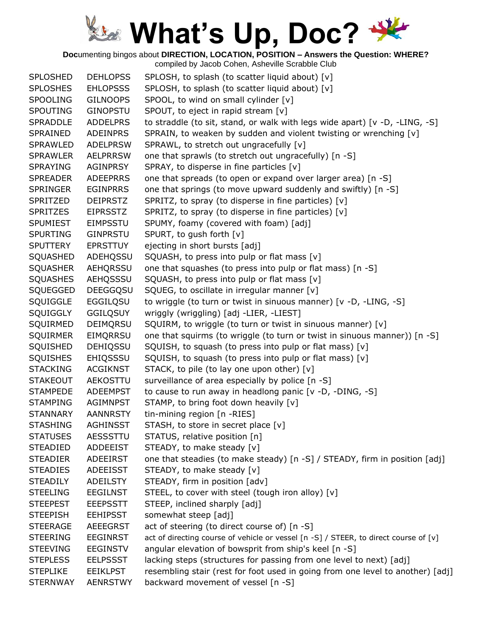**Doc**umenting bingos about **DIRECTION, LOCATION, POSITION – Answers the Question: WHERE?**

| <b>SPLOSHED</b> | <b>DEHLOPSS</b> | SPLOSH, to splash (to scatter liquid about) [v]                                      |
|-----------------|-----------------|--------------------------------------------------------------------------------------|
| <b>SPLOSHES</b> | <b>EHLOPSSS</b> | SPLOSH, to splash (to scatter liquid about) [v]                                      |
| <b>SPOOLING</b> | <b>GILNOOPS</b> | SPOOL, to wind on small cylinder [v]                                                 |
| <b>SPOUTING</b> | <b>GINOPSTU</b> | SPOUT, to eject in rapid stream [v]                                                  |
| <b>SPRADDLE</b> | <b>ADDELPRS</b> | to straddle (to sit, stand, or walk with legs wide apart) [v -D, -LING, -S]          |
| SPRAINED        | ADEINPRS        | SPRAIN, to weaken by sudden and violent twisting or wrenching [v]                    |
| <b>SPRAWLED</b> | <b>ADELPRSW</b> | SPRAWL, to stretch out ungracefully [v]                                              |
| <b>SPRAWLER</b> | <b>AELPRRSW</b> | one that sprawls (to stretch out ungracefully) [n -S]                                |
| <b>SPRAYING</b> | AGINPRSY        | SPRAY, to disperse in fine particles $[v]$                                           |
| <b>SPREADER</b> | <b>ADEEPRRS</b> | one that spreads (to open or expand over larger area) [n -S]                         |
| <b>SPRINGER</b> | <b>EGINPRRS</b> | one that springs (to move upward suddenly and swiftly) [n -S]                        |
| SPRITZED        | <b>DEIPRSTZ</b> | SPRITZ, to spray (to disperse in fine particles) [v]                                 |
| <b>SPRITZES</b> | <b>EIPRSSTZ</b> | SPRITZ, to spray (to disperse in fine particles) [v]                                 |
| <b>SPUMIEST</b> | <b>EIMPSSTU</b> | SPUMY, foamy (covered with foam) [adj]                                               |
| <b>SPURTING</b> | <b>GINPRSTU</b> | SPURT, to gush forth [v]                                                             |
| <b>SPUTTERY</b> | <b>EPRSTTUY</b> | ejecting in short bursts [adj]                                                       |
| SQUASHED        | ADEHQSSU        | SQUASH, to press into pulp or flat mass [v]                                          |
| <b>SQUASHER</b> | AEHQRSSU        | one that squashes (to press into pulp or flat mass) [n -S]                           |
| <b>SQUASHES</b> | AEHQSSSU        | SQUASH, to press into pulp or flat mass [v]                                          |
| SQUEGGED        | <b>DEEGGQSU</b> | SQUEG, to oscillate in irregular manner [v]                                          |
| <b>SQUIGGLE</b> | EGGILQSU        | to wriggle (to turn or twist in sinuous manner) [v -D, -LING, -S]                    |
| SQUIGGLY        | <b>GGILQSUY</b> | wriggly (wriggling) [adj -LIER, -LIEST]                                              |
| SQUIRMED        | <b>DEIMQRSU</b> | SQUIRM, to wriggle (to turn or twist in sinuous manner) [v]                          |
| <b>SQUIRMER</b> | EIMQRRSU        | one that squirms (to wriggle (to turn or twist in sinuous manner)) [n -S]            |
| SQUISHED        | <b>DEHIQSSU</b> | SQUISH, to squash (to press into pulp or flat mass) [v]                              |
| <b>SQUISHES</b> | <b>EHIQSSSU</b> | SQUISH, to squash (to press into pulp or flat mass) [v]                              |
| <b>STACKING</b> | <b>ACGIKNST</b> | STACK, to pile (to lay one upon other) [v]                                           |
| <b>STAKEOUT</b> | AEKOSTTU        | surveillance of area especially by police [n -S]                                     |
| <b>STAMPEDE</b> | ADEEMPST        | to cause to run away in headlong panic [v -D, -DING, -S]                             |
| <b>STAMPING</b> | AGIMNPST        | STAMP, to bring foot down heavily [v]                                                |
| <b>STANNARY</b> | AANNRSTY        | tin-mining region [n -RIES]                                                          |
| <b>STASHING</b> | <b>AGHINSST</b> | STASH, to store in secret place [v]                                                  |
| <b>STATUSES</b> | AESSSTTU        | STATUS, relative position [n]                                                        |
| <b>STEADIED</b> | <b>ADDEEIST</b> | STEADY, to make steady [v]                                                           |
| <b>STEADIER</b> | <b>ADEEIRST</b> | one that steadies (to make steady) [n -S] / STEADY, firm in position [adj]           |
| <b>STEADIES</b> | <b>ADEEISST</b> | STEADY, to make steady [v]                                                           |
| <b>STEADILY</b> | <b>ADEILSTY</b> | STEADY, firm in position [adv]                                                       |
| <b>STEELING</b> | <b>EEGILNST</b> | STEEL, to cover with steel (tough iron alloy) [v]                                    |
| <b>STEEPEST</b> | <b>EEEPSSTT</b> | STEEP, inclined sharply [adj]                                                        |
| <b>STEEPISH</b> | <b>EEHIPSST</b> | somewhat steep [adj]                                                                 |
| <b>STEERAGE</b> | <b>AEEEGRST</b> | act of steering (to direct course of) [n -S]                                         |
| <b>STEERING</b> | <b>EEGINRST</b> | act of directing course of vehicle or vessel [n -S] / STEER, to direct course of [v] |
| <b>STEEVING</b> | <b>EEGINSTV</b> | angular elevation of bowsprit from ship's keel [n -S]                                |
| <b>STEPLESS</b> | <b>EELPSSST</b> |                                                                                      |
|                 |                 | lacking steps (structures for passing from one level to next) [adj]                  |
| <b>STEPLIKE</b> | <b>EEIKLPST</b> | resembling stair (rest for foot used in going from one level to another) [adj]       |
| <b>STERNWAY</b> | <b>AENRSTWY</b> | backward movement of vessel [n -S]                                                   |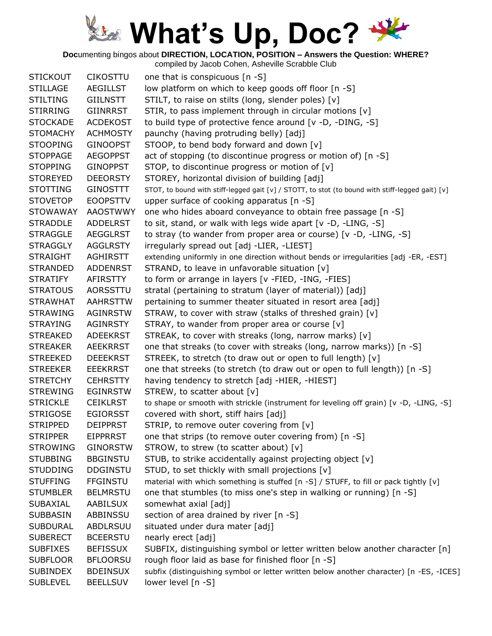**Doc**umenting bingos about **DIRECTION, LOCATION, POSITION – Answers the Question: WHERE?**

| <b>STICKOUT</b> | <b>CIKOSTTU</b> | one that is conspicuous [n -S]                                                                   |
|-----------------|-----------------|--------------------------------------------------------------------------------------------------|
| <b>STILLAGE</b> | <b>AEGILLST</b> | low platform on which to keep goods off floor [n -S]                                             |
| <b>STILTING</b> | <b>GIILNSTT</b> | STILT, to raise on stilts (long, slender poles) [v]                                              |
| <b>STIRRING</b> | <b>GIINRRST</b> | STIR, to pass implement through in circular motions [v]                                          |
| <b>STOCKADE</b> | <b>ACDEKOST</b> | to build type of protective fence around [v -D, -DING, -S]                                       |
| <b>STOMACHY</b> | <b>ACHMOSTY</b> | paunchy (having protruding belly) [adj]                                                          |
| <b>STOOPING</b> | <b>GINOOPST</b> | STOOP, to bend body forward and down [v]                                                         |
| <b>STOPPAGE</b> | <b>AEGOPPST</b> | act of stopping (to discontinue progress or motion of) [n -S]                                    |
| <b>STOPPING</b> | <b>GINOPPST</b> | STOP, to discontinue progress or motion of [v]                                                   |
| <b>STOREYED</b> | <b>DEEORSTY</b> | STOREY, horizontal division of building [adj]                                                    |
| <b>STOTTING</b> | <b>GINOSTTT</b> | STOT, to bound with stiff-legged gait [v] / STOTT, to stot (to bound with stiff-legged gait) [v] |
| <b>STOVETOP</b> | <b>EOOPSTTV</b> | upper surface of cooking apparatus [n -S]                                                        |
| <b>STOWAWAY</b> | <b>AAOSTWWY</b> | one who hides aboard conveyance to obtain free passage [n -S]                                    |
| <b>STRADDLE</b> | <b>ADDELRST</b> | to sit, stand, or walk with legs wide apart [v -D, -LING, -S]                                    |
| <b>STRAGGLE</b> | <b>AEGGLRST</b> | to stray (to wander from proper area or course) [v -D, -LING, -S]                                |
| <b>STRAGGLY</b> | <b>AGGLRSTY</b> | irregularly spread out [adj -LIER, -LIEST]                                                       |
| <b>STRAIGHT</b> | <b>AGHIRSTT</b> | extending uniformly in one direction without bends or irregularities [adj -ER, -EST]             |
| <b>STRANDED</b> | <b>ADDENRST</b> | STRAND, to leave in unfavorable situation [v]                                                    |
| <b>STRATIFY</b> | AFIRSTTY        | to form or arrange in layers [v -FIED, -ING, -FIES]                                              |
| <b>STRATOUS</b> | AORSSTTU        | stratal (pertaining to stratum (layer of material)) [adj]                                        |
| <b>STRAWHAT</b> | <b>AAHRSTTW</b> | pertaining to summer theater situated in resort area [adj]                                       |
| <b>STRAWING</b> | <b>AGINRSTW</b> | STRAW, to cover with straw (stalks of threshed grain) [v]                                        |
| <b>STRAYING</b> | <b>AGINRSTY</b> | STRAY, to wander from proper area or course [v]                                                  |
| <b>STREAKED</b> | <b>ADEEKRST</b> | STREAK, to cover with streaks (long, narrow marks) [v]                                           |
| <b>STREAKER</b> | <b>AEEKRRST</b> | one that streaks (to cover with streaks (long, narrow marks)) [n -S]                             |
| <b>STREEKED</b> | <b>DEEEKRST</b> | STREEK, to stretch (to draw out or open to full length) [v]                                      |
| <b>STREEKER</b> | <b>EEEKRRST</b> | one that streeks (to stretch (to draw out or open to full length)) [n -S]                        |
| <b>STRETCHY</b> | <b>CEHRSTTY</b> | having tendency to stretch [adj -HIER, -HIEST]                                                   |
| <b>STREWING</b> | <b>EGINRSTW</b> | STREW, to scatter about [v]                                                                      |
| <b>STRICKLE</b> | <b>CEIKLRST</b> | to shape or smooth with strickle (instrument for leveling off grain) [v -D, -LING, -S]           |
| <b>STRIGOSE</b> | <b>EGIORSST</b> | covered with short, stiff hairs [adj]                                                            |
| <b>STRIPPED</b> | <b>DEIPPRST</b> | STRIP, to remove outer covering from [v]                                                         |
| <b>STRIPPER</b> | <b>EIPPRRST</b> | one that strips (to remove outer covering from) [n -S]                                           |
| <b>STROWING</b> | <b>GINORSTW</b> | STROW, to strew (to scatter about) [v]                                                           |
| <b>STUBBING</b> | <b>BBGINSTU</b> | STUB, to strike accidentally against projecting object [v]                                       |
| <b>STUDDING</b> | <b>DDGINSTU</b> | STUD, to set thickly with small projections [v]                                                  |
| <b>STUFFING</b> | <b>FFGINSTU</b> | material with which something is stuffed [n -S] / STUFF, to fill or pack tightly [v]             |
| <b>STUMBLER</b> | <b>BELMRSTU</b> | one that stumbles (to miss one's step in walking or running) [n -S]                              |
| SUBAXIAL        | AABILSUX        | somewhat axial [adj]                                                                             |
| <b>SUBBASIN</b> | ABBINSSU        | section of area drained by river [n -S]                                                          |
| <b>SUBDURAL</b> | ABDLRSUU        | situated under dura mater [adj]                                                                  |
| <b>SUBERECT</b> | <b>BCEERSTU</b> | nearly erect [adj]                                                                               |
| <b>SUBFIXES</b> | <b>BEFISSUX</b> | SUBFIX, distinguishing symbol or letter written below another character [n]                      |
| <b>SUBFLOOR</b> | <b>BFLOORSU</b> | rough floor laid as base for finished floor [n -S]                                               |
| <b>SUBINDEX</b> | <b>BDEINSUX</b> | subfix (distinguishing symbol or letter written below another character) [n -ES, -ICES]          |
| <b>SUBLEVEL</b> | <b>BEELLSUV</b> | lower level [n -S]                                                                               |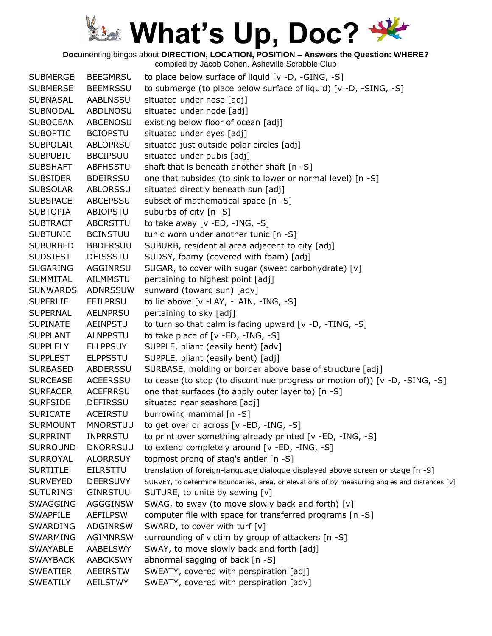**Doc**umenting bingos about **DIRECTION, LOCATION, POSITION – Answers the Question: WHERE?**

| <b>SUBMERGE</b> | <b>BEEGMRSU</b> | to place below surface of liquid [v -D, -GING, -S]                                            |
|-----------------|-----------------|-----------------------------------------------------------------------------------------------|
| <b>SUBMERSE</b> | <b>BEEMRSSU</b> | to submerge (to place below surface of liquid) [v -D, -SING, -S]                              |
| <b>SUBNASAL</b> | AABLNSSU        | situated under nose [adj]                                                                     |
| <b>SUBNODAL</b> | <b>ABDLNOSU</b> | situated under node [adj]                                                                     |
| <b>SUBOCEAN</b> | <b>ABCENOSU</b> | existing below floor of ocean [adj]                                                           |
| <b>SUBOPTIC</b> | <b>BCIOPSTU</b> | situated under eyes [adj]                                                                     |
| <b>SUBPOLAR</b> | <b>ABLOPRSU</b> | situated just outside polar circles [adj]                                                     |
| <b>SUBPUBIC</b> | <b>BBCIPSUU</b> | situated under pubis [adj]                                                                    |
| <b>SUBSHAFT</b> | ABFHSSTU        | shaft that is beneath another shaft [n -S]                                                    |
| <b>SUBSIDER</b> | <b>BDEIRSSU</b> | one that subsides (to sink to lower or normal level) [n -S]                                   |
| <b>SUBSOLAR</b> | ABLORSSU        | situated directly beneath sun [adj]                                                           |
| <b>SUBSPACE</b> | <b>ABCEPSSU</b> | subset of mathematical space [n -S]                                                           |
| <b>SUBTOPIA</b> | ABIOPSTU        | suburbs of city [n -S]                                                                        |
| <b>SUBTRACT</b> | ABCRSTTU        | to take away $[v - ED, -ING, -S]$                                                             |
| <b>SUBTUNIC</b> | <b>BCINSTUU</b> | tunic worn under another tunic [n -S]                                                         |
| <b>SUBURBED</b> | <b>BBDERSUU</b> | SUBURB, residential area adjacent to city [adj]                                               |
| <b>SUDSIEST</b> | <b>DEISSSTU</b> | SUDSY, foamy (covered with foam) [adj]                                                        |
| <b>SUGARING</b> | AGGINRSU        | SUGAR, to cover with sugar (sweet carbohydrate) [v]                                           |
| <b>SUMMITAL</b> | <b>AILMMSTU</b> | pertaining to highest point [adj]                                                             |
| <b>SUNWARDS</b> | <b>ADNRSSUW</b> | sunward (toward sun) [adv]                                                                    |
| <b>SUPERLIE</b> | <b>EEILPRSU</b> | to lie above [v -LAY, -LAIN, -ING, -S]                                                        |
| <b>SUPERNAL</b> | <b>AELNPRSU</b> | pertaining to sky [adj]                                                                       |
| <b>SUPINATE</b> | AEINPSTU        | to turn so that palm is facing upward $[v -D, -TING, -S]$                                     |
| <b>SUPPLANT</b> | <b>ALNPPSTU</b> | to take place of $[v - ED, -ING, -S]$                                                         |
| <b>SUPPLELY</b> | <b>ELLPPSUY</b> | SUPPLE, pliant (easily bent) [adv]                                                            |
| <b>SUPPLEST</b> | <b>ELPPSSTU</b> | SUPPLE, pliant (easily bent) [adj]                                                            |
| <b>SURBASED</b> | <b>ABDERSSU</b> | SURBASE, molding or border above base of structure [adj]                                      |
| <b>SURCEASE</b> | <b>ACEERSSU</b> | to cease (to stop (to discontinue progress or motion of)) [ $v$ -D, -SING, -S]                |
| <b>SURFACER</b> | <b>ACEFRRSU</b> | one that surfaces (to apply outer layer to) [n -S]                                            |
| <b>SURFSIDE</b> | <b>DEFIRSSU</b> | situated near seashore [adj]                                                                  |
| <b>SURICATE</b> | ACEIRSTU        | burrowing mammal [n -S]                                                                       |
| <b>SURMOUNT</b> | <b>MNORSTUU</b> | to get over or across [v -ED, -ING, -S]                                                       |
| <b>SURPRINT</b> | <b>INPRRSTU</b> | to print over something already printed [v -ED, -ING, -S]                                     |
| <b>SURROUND</b> | <b>DNORRSUU</b> | to extend completely around [v -ED, -ING, -S]                                                 |
| <b>SURROYAL</b> | <b>ALORRSUY</b> | topmost prong of stag's antler [n -S]                                                         |
| <b>SURTITLE</b> | <b>EILRSTTU</b> | translation of foreign-language dialogue displayed above screen or stage [n -S]               |
| <b>SURVEYED</b> | <b>DEERSUVY</b> | SURVEY, to determine boundaries, area, or elevations of by measuring angles and distances [v] |
| <b>SUTURING</b> | <b>GINRSTUU</b> | SUTURE, to unite by sewing [v]                                                                |
| <b>SWAGGING</b> | AGGGINSW        | SWAG, to sway (to move slowly back and forth) [v]                                             |
| <b>SWAPFILE</b> | <b>AEFILPSW</b> | computer file with space for transferred programs [n -S]                                      |
| <b>SWARDING</b> | ADGINRSW        | SWARD, to cover with turf [v]                                                                 |
| SWARMING        | <b>AGIMNRSW</b> | surrounding of victim by group of attackers [n -S]                                            |
| <b>SWAYABLE</b> | AABELSWY        | SWAY, to move slowly back and forth [adj]                                                     |
| <b>SWAYBACK</b> | <b>AABCKSWY</b> | abnormal sagging of back [n -S]                                                               |
| <b>SWEATIER</b> | <b>AEEIRSTW</b> | SWEATY, covered with perspiration [adj]                                                       |
| <b>SWEATILY</b> | AEILSTWY        | SWEATY, covered with perspiration [adv]                                                       |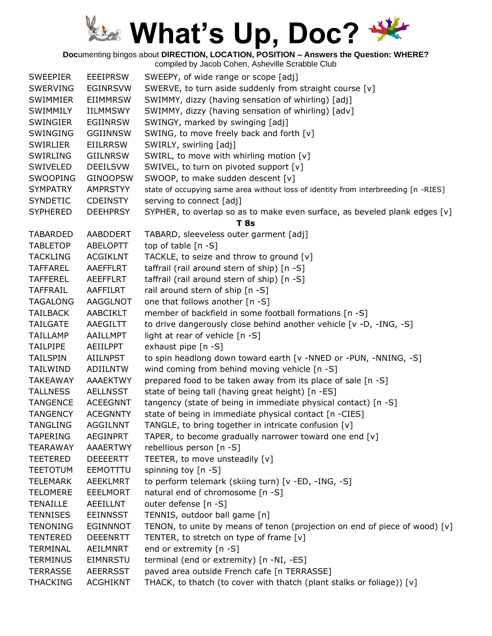**Doc**umenting bingos about **DIRECTION, LOCATION, POSITION – Answers the Question: WHERE?**

| <b>SWEEPIER</b> | <b>EEEIPRSW</b> | SWEEPY, of wide range or scope [adj]                                               |
|-----------------|-----------------|------------------------------------------------------------------------------------|
| <b>SWERVING</b> | <b>EGINRSVW</b> | SWERVE, to turn aside suddenly from straight course [v]                            |
| <b>SWIMMIER</b> | <b>EIIMMRSW</b> | SWIMMY, dizzy (having sensation of whirling) [adj]                                 |
| SWIMMILY        | <b>IILMMSWY</b> | SWIMMY, dizzy (having sensation of whirling) [adv]                                 |
| <b>SWINGIER</b> | EGIINRSW        | SWINGY, marked by swinging [adj]                                                   |
| SWINGING        | <b>GGIINNSW</b> | SWING, to move freely back and forth [v]                                           |
| <b>SWIRLIER</b> | <b>EIILRRSW</b> | SWIRLY, swirling [adj]                                                             |
| <b>SWIRLING</b> | <b>GIILNRSW</b> | SWIRL, to move with whirling motion [v]                                            |
| SWIVELED        | <b>DEEILSVW</b> | SWIVEL, to turn on pivoted support [v]                                             |
| <b>SWOOPING</b> | <b>GINOOPSW</b> | SWOOP, to make sudden descent [v]                                                  |
| <b>SYMPATRY</b> | <b>AMPRSTYY</b> | state of occupying same area without loss of identity from interbreeding [n -RIES] |
| <b>SYNDETIC</b> | <b>CDEINSTY</b> | serving to connect [adj]                                                           |
| <b>SYPHERED</b> | <b>DEEHPRSY</b> | SYPHER, to overlap so as to make even surface, as beveled plank edges $[v]$        |
|                 |                 | <b>T</b> 8s                                                                        |
| <b>TABARDED</b> | AABDDERT        | TABARD, sleeveless outer garment [adj]                                             |
| <b>TABLETOP</b> | <b>ABELOPTT</b> | top of table $[n - S]$                                                             |
| <b>TACKLING</b> | <b>ACGIKLNT</b> | TACKLE, to seize and throw to ground [v]                                           |
| <b>TAFFAREL</b> | AAEFFLRT        | taffrail (rail around stern of ship) [n -S]                                        |
| <b>TAFFEREL</b> | <b>AEEFFLRT</b> | taffrail (rail around stern of ship) [n -S]                                        |
| <b>TAFFRAIL</b> | AAFFILRT        | rail around stern of ship [n -S]                                                   |
| <b>TAGALONG</b> | AAGGLNOT        | one that follows another [n -S]                                                    |
| <b>TAILBACK</b> | <b>AABCIKLT</b> | member of backfield in some football formations [n -S]                             |
| <b>TAILGATE</b> | AAEGILTT        | to drive dangerously close behind another vehicle [v -D, -ING, -S]                 |
| <b>TAILLAMP</b> | AAILLMPT        | light at rear of vehicle [n -S]                                                    |
| <b>TAILPIPE</b> | AEIILPPT        | exhaust pipe [n -S]                                                                |
| <b>TAILSPIN</b> | <b>AIILNPST</b> | to spin headlong down toward earth [v -NNED or -PUN, -NNING, -S]                   |
| <b>TAILWIND</b> | <b>ADIILNTW</b> | wind coming from behind moving vehicle [n -S]                                      |
| <b>TAKEAWAY</b> | <b>AAAEKTWY</b> | prepared food to be taken away from its place of sale [n -S]                       |
| <b>TALLNESS</b> | <b>AELLNSST</b> | state of being tall (having great height) [n -ES]                                  |
| <b>TANGENCE</b> | <b>ACEEGNNT</b> | tangency (state of being in immediate physical contact) [n -S]                     |
| <b>TANGENCY</b> | <b>ACEGNNTY</b> | state of being in immediate physical contact [n -CIES]                             |
| <b>TANGLING</b> | <b>AGGILNNT</b> | TANGLE, to bring together in intricate confusion [v]                               |
| <b>TAPERING</b> | <b>AEGINPRT</b> | TAPER, to become gradually narrower toward one end [v]                             |
| <b>TEARAWAY</b> | AAAERTWY        | rebellious person [n -S]                                                           |
| <b>TEETERED</b> | <b>DEEEERTT</b> | TEETER, to move unsteadily [v]                                                     |
| <b>TEETOTUM</b> | EEMOTTTU        | spinning toy $[n - S]$                                                             |
| <b>TELEMARK</b> | <b>AEEKLMRT</b> | to perform telemark (skiing turn) [v -ED, -ING, -S]                                |
| <b>TELOMERE</b> | <b>EEELMORT</b> | natural end of chromosome [n -S]                                                   |
| <b>TENAILLE</b> | AEEILLNT        | outer defense [n -S]                                                               |
| <b>TENNISES</b> | <b>EEINNSST</b> | TENNIS, outdoor ball game [n]                                                      |
| <b>TENONING</b> | <b>EGINNNOT</b> | TENON, to unite by means of tenon (projection on end of piece of wood) [v]         |
| <b>TENTERED</b> | <b>DEEENRTT</b> | TENTER, to stretch on type of frame [v]                                            |
| <b>TERMINAL</b> | AEILMNRT        | end or extremity [n -S]                                                            |
| <b>TERMINUS</b> | EIMNRSTU        | terminal (end or extremity) [n -NI, -ES]                                           |
| <b>TERRASSE</b> | <b>AEERRSST</b> | paved area outside French cafe [n TERRASSE]                                        |
| <b>THACKING</b> | <b>ACGHIKNT</b> | THACK, to thatch (to cover with thatch (plant stalks or foliage)) [v]              |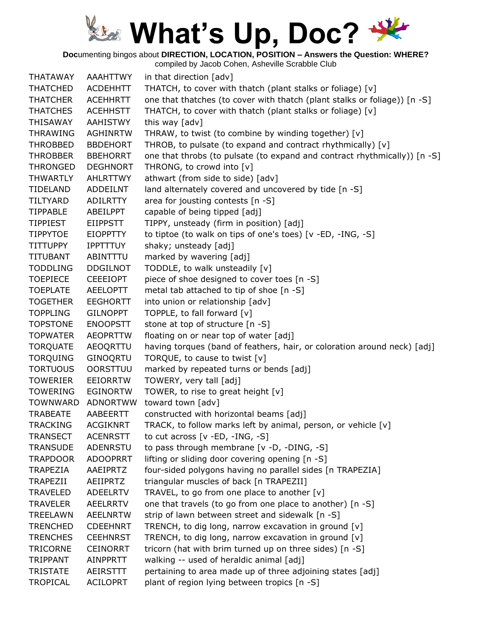**Doc**umenting bingos about **DIRECTION, LOCATION, POSITION – Answers the Question: WHERE?**

compiled by Jacob Cohen, Asheville Scrabble Club THATAWAY AAAHTTWY in that direction [adv] THATCHED ACDEHHTT THATCH, to cover with thatch (plant stalks or foliage) [v] THATCHER ACEHHRTT one that thatches (to cover with thatch (plant stalks or foliage)) [n -S] THATCHES ACEHHSTT THATCH, to cover with thatch (plant stalks or foliage) [v] THISAWAY AAHISTWY this way [adv] THRAWING AGHINRTW THRAW, to twist (to combine by winding together) [v] THROBBED BBDEHORT THROB, to pulsate (to expand and contract rhythmically) [v] THROBBER BBEHORRT one that throbs (to pulsate (to expand and contract rhythmically)) [n -S] THRONGED DEGHNORT THRONG, to crowd into [v] THWARTLY AHLRTTWY athwart (from side to side) [adv] TIDELAND ADDEILNT land alternately covered and uncovered by tide [n -S] TILTYARD ADILRTTY area for jousting contests [n -S] TIPPABLE ABEILPPT capable of being tipped [adj] TIPPIEST EIIPPSTT TIPPY, unsteady (firm in position) [adj] TIPPYTOE EIOPPTTY to tiptoe (to walk on tips of one's toes) [v -ED, -ING, -S] TITTUPPY IPPTTTUY shaky; unsteady [adj] TITUBANT ABINTTTU marked by wavering [adj] TODDLING DDGILNOT TODDLE, to walk unsteadily [v] TOEPIECE CEEEIOPT piece of shoe designed to cover toes [n -S] TOEPLATE AEELOPTT metal tab attached to tip of shoe [n -S] TOGETHER EEGHORTT into union or relationship [adv] TOPPLING GILNOPPT TOPPLE, to fall forward [v] TOPSTONE ENOOPSTT stone at top of structure [n -S] TOPWATER AEOPRTTW floating on or near top of water [adj] TORQUATE AEOQRTTU having torques (band of feathers, hair, or coloration around neck) [adj] TORQUING GINOQRTU TORQUE, to cause to twist [v] TORTUOUS OORSTTUU marked by repeated turns or bends [adj] TOWERIER EEIORRTW TOWERY, very tall [adj] TOWERING EGINORTW TOWER, to rise to great height [v] TOWNWARD ADNORTWW toward town [adv] TRABEATE AABEERTT constructed with horizontal beams [adj] TRACKING ACGIKNRT TRACK, to follow marks left by animal, person, or vehicle [v] TRANSECT ACENRSTT to cut across [v -ED, -ING, -S] TRANSUDE ADENRSTU to pass through membrane [v -D, -DING, -S] TRAPDOOR ADOOPRRT lifting or sliding door covering opening [n -S] TRAPEZIA AAEIPRTZ four-sided polygons having no parallel sides [n TRAPEZIA] TRAPEZII AEIIPRTZ triangular muscles of back [n TRAPEZII] TRAVELED ADEELRTV TRAVEL, to go from one place to another [v] TRAVELER AEELRRTV one that travels (to go from one place to another) [n -S] TREELAWN AEELNRTW strip of lawn between street and sidewalk [n -S] TRENCHED CDEEHNRT TRENCH, to dig long, narrow excavation in ground  $[v]$ TRENCHES CEEHNRST TRENCH, to dig long, narrow excavation in ground  $[v]$ TRICORNE CEINORRT tricorn (hat with brim turned up on three sides) [n -S] TRIPPANT AINPPRTT walking -- used of heraldic animal [adj] TRISTATE AEIRSTTT pertaining to area made up of three adjoining states [adj] TROPICAL ACILOPRT plant of region lying between tropics [n -S]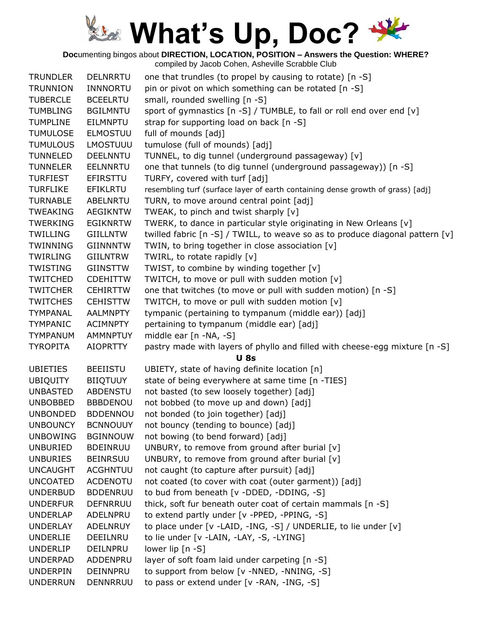**Doc**umenting bingos about **DIRECTION, LOCATION, POSITION – Answers the Question: WHERE?**

| <b>TRUNDLER</b> | <b>DELNRRTU</b> | one that trundles (to propel by causing to rotate) [n -S]                       |
|-----------------|-----------------|---------------------------------------------------------------------------------|
| <b>TRUNNION</b> | <b>INNNORTU</b> | pin or pivot on which something can be rotated [n -S]                           |
| <b>TUBERCLE</b> | <b>BCEELRTU</b> | small, rounded swelling [n -S]                                                  |
| <b>TUMBLING</b> | <b>BGILMNTU</b> | sport of gymnastics [n -S] / TUMBLE, to fall or roll end over end [v]           |
| <b>TUMPLINE</b> | EILMNPTU        | strap for supporting load on back [n -S]                                        |
| <b>TUMULOSE</b> | <b>ELMOSTUU</b> | full of mounds [adj]                                                            |
| <b>TUMULOUS</b> | <b>LMOSTUUU</b> | tumulose (full of mounds) [adj]                                                 |
| <b>TUNNELED</b> | <b>DEELNNTU</b> | TUNNEL, to dig tunnel (underground passageway) [v]                              |
| TUNNELER        | EELNNRTU        | one that tunnels (to dig tunnel (underground passageway)) [n -S]                |
| <b>TURFIEST</b> | EFIRSTTU        | TURFY, covered with turf [adj]                                                  |
| <b>TURFLIKE</b> | <b>EFIKLRTU</b> | resembling turf (surface layer of earth containing dense growth of grass) [adj] |
| <b>TURNABLE</b> | ABELNRTU        | TURN, to move around central point [adj]                                        |
| <b>TWEAKING</b> | <b>AEGIKNTW</b> | TWEAK, to pinch and twist sharply [v]                                           |
| <b>TWERKING</b> | <b>EGIKNRTW</b> | TWERK, to dance in particular style originating in New Orleans [v]              |
| TWILLING        | GIILLNTW        | twilled fabric [n -S] / TWILL, to weave so as to produce diagonal pattern [v]   |
| <b>TWINNING</b> | <b>GIINNNTW</b> | TWIN, to bring together in close association [v]                                |
| <b>TWIRLING</b> | GIILNTRW        | TWIRL, to rotate rapidly [v]                                                    |
| TWISTING        | GIINSTTW        | TWIST, to combine by winding together [v]                                       |
| <b>TWITCHED</b> | <b>CDEHITTW</b> | TWITCH, to move or pull with sudden motion [v]                                  |
| <b>TWITCHER</b> | <b>CEHIRTTW</b> | one that twitches (to move or pull with sudden motion) [n -S]                   |
| <b>TWITCHES</b> | <b>CEHISTTW</b> | TWITCH, to move or pull with sudden motion [v]                                  |
| <b>TYMPANAL</b> | <b>AALMNPTY</b> | tympanic (pertaining to tympanum (middle ear)) [adj]                            |
| <b>TYMPANIC</b> | <b>ACIMNPTY</b> | pertaining to tympanum (middle ear) [adj]                                       |
| <b>TYMPANUM</b> | <b>AMMNPTUY</b> | middle ear [n -NA, -S]                                                          |
| <b>TYROPITA</b> | <b>AIOPRTTY</b> | pastry made with layers of phyllo and filled with cheese-egg mixture [n -S]     |
|                 |                 | <b>U</b> 8s                                                                     |
| <b>UBIETIES</b> | <b>BEEIISTU</b> | UBIETY, state of having definite location [n]                                   |
| <b>UBIQUITY</b> | <b>BIIQTUUY</b> | state of being everywhere at same time [n -TIES]                                |
| <b>UNBASTED</b> | <b>ABDENSTU</b> | not basted (to sew loosely together) [adj]                                      |
| <b>UNBOBBED</b> | <b>BBBDENOU</b> | not bobbed (to move up and down) [adj]                                          |
| <b>UNBONDED</b> | <b>BDDENNOU</b> | not bonded (to join together) [adj]                                             |
| <b>UNBOUNCY</b> | <b>BCNNOUUY</b> | not bouncy (tending to bounce) [adj]                                            |
| <b>UNBOWING</b> | <b>BGINNOUW</b> | not bowing (to bend forward) [adj]                                              |
| <b>UNBURIED</b> | <b>BDEINRUU</b> | UNBURY, to remove from ground after burial [v]                                  |
| <b>UNBURIES</b> | <b>BEINRSUU</b> | UNBURY, to remove from ground after burial [v]                                  |
| <b>UNCAUGHT</b> | <b>ACGHNTUU</b> | not caught (to capture after pursuit) [adj]                                     |
| <b>UNCOATED</b> | <b>ACDENOTU</b> | not coated (to cover with coat (outer garment)) [adj]                           |
| <b>UNDERBUD</b> | <b>BDDENRUU</b> | to bud from beneath [v -DDED, -DDING, -S]                                       |
| <b>UNDERFUR</b> | <b>DEFNRRUU</b> | thick, soft fur beneath outer coat of certain mammals [n -S]                    |
| <b>UNDERLAP</b> | ADELNPRU        | to extend partly under [v -PPED, -PPING, -S]                                    |
| <b>UNDERLAY</b> | ADELNRUY        | to place under [v -LAID, -ING, -S] / UNDERLIE, to lie under [v]                 |
| <b>UNDERLIE</b> | DEEILNRU        | to lie under [v -LAIN, -LAY, -S, -LYING]                                        |
| <b>UNDERLIP</b> | DEILNPRU        | lower lip [n -S]                                                                |
| <b>UNDERPAD</b> | ADDENPRU        | layer of soft foam laid under carpeting [n -S]                                  |
| <b>UNDERPIN</b> | DEINNPRU        | to support from below [v -NNED, -NNING, -S]                                     |
| <b>UNDERRUN</b> | DENNRRUU        | to pass or extend under [v -RAN, -ING, -S]                                      |
|                 |                 |                                                                                 |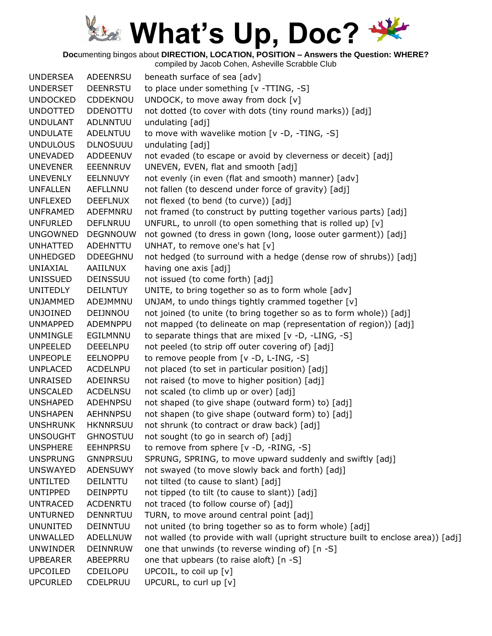**Doc**umenting bingos about **DIRECTION, LOCATION, POSITION – Answers the Question: WHERE?**

| <b>UNDERSEA</b> | <b>ADEENRSU</b> | beneath surface of sea [adv]                                                      |
|-----------------|-----------------|-----------------------------------------------------------------------------------|
| <b>UNDERSET</b> | DEENRSTU        | to place under something [v -TTING, -S]                                           |
| <b>UNDOCKED</b> | CDDEKNOU        | UNDOCK, to move away from dock [v]                                                |
| <b>UNDOTTED</b> | <b>DDENOTTU</b> | not dotted (to cover with dots (tiny round marks)) [adj]                          |
| <b>UNDULANT</b> | <b>ADLNNTUU</b> | undulating [adj]                                                                  |
| <b>UNDULATE</b> | ADELNTUU        | to move with wavelike motion [v -D, -TING, -S]                                    |
| <b>UNDULOUS</b> | <b>DLNOSUUU</b> | undulating [adj]                                                                  |
| <b>UNEVADED</b> | ADDEENUV        | not evaded (to escape or avoid by cleverness or deceit) [adj]                     |
| <b>UNEVENER</b> | EEENNRUV        | UNEVEN, EVEN, flat and smooth [adj]                                               |
| <b>UNEVENLY</b> | <b>EELNNUVY</b> | not evenly (in even (flat and smooth) manner) [adv]                               |
| <b>UNFALLEN</b> | <b>AEFLLNNU</b> | not fallen (to descend under force of gravity) [adj]                              |
| <b>UNFLEXED</b> | <b>DEEFLNUX</b> | not flexed (to bend (to curve)) [adj]                                             |
| <b>UNFRAMED</b> | ADEFMNRU        | not framed (to construct by putting together various parts) [adj]                 |
| <b>UNFURLED</b> | <b>DEFLNRUU</b> | UNFURL, to unroll (to open something that is rolled up) [v]                       |
| <b>UNGOWNED</b> | DEGNNOUW        | not gowned (to dress in gown (long, loose outer garment)) [adj]                   |
| <b>UNHATTED</b> | ADEHNTTU        | UNHAT, to remove one's hat [v]                                                    |
| <b>UNHEDGED</b> | <b>DDEEGHNU</b> | not hedged (to surround with a hedge (dense row of shrubs)) [adj]                 |
| UNIAXIAL        | <b>AAIILNUX</b> | having one axis [adj]                                                             |
| <b>UNISSUED</b> | <b>DEINSSUU</b> | not issued (to come forth) [adj]                                                  |
| <b>UNITEDLY</b> | <b>DEILNTUY</b> | UNITE, to bring together so as to form whole [adv]                                |
| <b>UNJAMMED</b> | ADEJMMNU        | UNJAM, to undo things tightly crammed together [v]                                |
| <b>UNJOINED</b> | DEIJNNOU        | not joined (to unite (to bring together so as to form whole)) [adj]               |
| <b>UNMAPPED</b> | ADEMNPPU        | not mapped (to delineate on map (representation of region)) [adj]                 |
| <b>UNMINGLE</b> | EGILMNNU        | to separate things that are mixed [v -D, -LING, -S]                               |
| <b>UNPEELED</b> | <b>DEEELNPU</b> | not peeled (to strip off outer covering of) [adj]                                 |
| <b>UNPEOPLE</b> | <b>EELNOPPU</b> | to remove people from [v -D, L-ING, -S]                                           |
| <b>UNPLACED</b> | <b>ACDELNPU</b> | not placed (to set in particular position) [adj]                                  |
| <b>UNRAISED</b> | ADEINRSU        | not raised (to move to higher position) [adj]                                     |
| <b>UNSCALED</b> | <b>ACDELNSU</b> | not scaled (to climb up or over) [adj]                                            |
| <b>UNSHAPED</b> | ADEHNPSU        | not shaped (to give shape (outward form) to) [adj]                                |
| <b>UNSHAPEN</b> | <b>AEHNNPSU</b> | not shapen (to give shape (outward form) to) [adj]                                |
| <b>UNSHRUNK</b> | <b>HKNNRSUU</b> | not shrunk (to contract or draw back) [adj]                                       |
| <b>UNSOUGHT</b> | <b>GHNOSTUU</b> | not sought (to go in search of) [adj]                                             |
| <b>UNSPHERE</b> | <b>EEHNPRSU</b> | to remove from sphere [v -D, -RING, -S]                                           |
| <b>UNSPRUNG</b> | <b>GNNPRSUU</b> | SPRUNG, SPRING, to move upward suddenly and swiftly [adj]                         |
| <b>UNSWAYED</b> | <b>ADENSUWY</b> | not swayed (to move slowly back and forth) [adj]                                  |
| <b>UNTILTED</b> | <b>DEILNTTU</b> | not tilted (to cause to slant) [adj]                                              |
| <b>UNTIPPED</b> | <b>DEINPPTU</b> | not tipped (to tilt (to cause to slant)) [adj]                                    |
| <b>UNTRACED</b> | <b>ACDENRTU</b> | not traced (to follow course of) [adj]                                            |
| <b>UNTURNED</b> | <b>DENNRTUU</b> | TURN, to move around central point [adj]                                          |
| <b>UNUNITED</b> | DEINNTUU        | not united (to bring together so as to form whole) [adj]                          |
| <b>UNWALLED</b> | ADELLNUW        | not walled (to provide with wall (upright structure built to enclose area)) [adj] |
| <b>UNWINDER</b> | <b>DEINNRUW</b> | one that unwinds (to reverse winding of) [n -S]                                   |
| <b>UPBEARER</b> | ABEEPRRU        | one that upbears (to raise aloft) [n -S]                                          |
| <b>UPCOILED</b> | <b>CDEILOPU</b> | UPCOIL, to coil up [v]                                                            |
| <b>UPCURLED</b> | CDELPRUU        | UPCURL, to curl up [v]                                                            |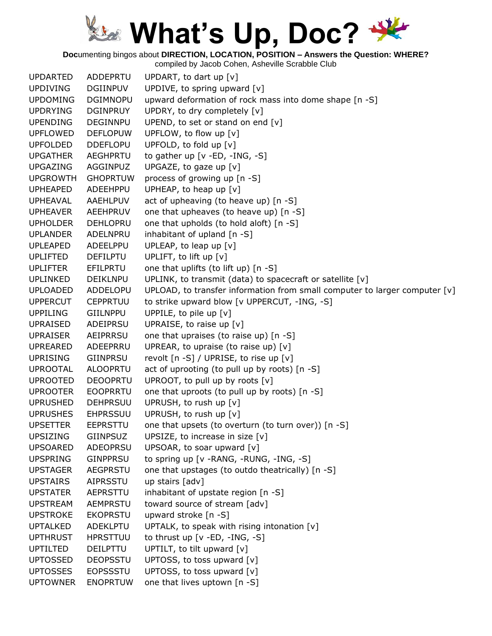**Doc**umenting bingos about **DIRECTION, LOCATION, POSITION – Answers the Question: WHERE?**

| <b>UPDARTED</b> | ADDEPRTU        | UPDART, to dart up [v]                                                     |
|-----------------|-----------------|----------------------------------------------------------------------------|
| <b>UPDIVING</b> | <b>DGIINPUV</b> | UPDIVE, to spring upward [v]                                               |
| <b>UPDOMING</b> | <b>DGIMNOPU</b> | upward deformation of rock mass into dome shape [n -S]                     |
| <b>UPDRYING</b> | <b>DGINPRUY</b> | UPDRY, to dry completely [v]                                               |
| <b>UPENDING</b> | <b>DEGINNPU</b> | UPEND, to set or stand on end [v]                                          |
| <b>UPFLOWED</b> | <b>DEFLOPUW</b> | UPFLOW, to flow up [v]                                                     |
| <b>UPFOLDED</b> | <b>DDEFLOPU</b> | UPFOLD, to fold up [v]                                                     |
| <b>UPGATHER</b> | <b>AEGHPRTU</b> | to gather up [v -ED, -ING, -S]                                             |
| <b>UPGAZING</b> | AGGINPUZ        | UPGAZE, to gaze up $[v]$                                                   |
| <b>UPGROWTH</b> | <b>GHOPRTUW</b> | process of growing up [n -S]                                               |
| <b>UPHEAPED</b> | ADEEHPPU        | UPHEAP, to heap up [v]                                                     |
| <b>UPHEAVAL</b> | AAEHLPUV        | act of upheaving (to heave up) [n -S]                                      |
| <b>UPHEAVER</b> | <b>AEEHPRUV</b> | one that upheaves (to heave up) [n -S]                                     |
| <b>UPHOLDER</b> | <b>DEHLOPRU</b> | one that upholds (to hold aloft) [n -S]                                    |
| <b>UPLANDER</b> | ADELNPRU        | inhabitant of upland [n -S]                                                |
| <b>UPLEAPED</b> | ADEELPPU        | UPLEAP, to leap up [v]                                                     |
| <b>UPLIFTED</b> | <b>DEFILPTU</b> | UPLIFT, to lift up [v]                                                     |
| <b>UPLIFTER</b> | EFILPRTU        | one that uplifts (to lift up) [n -S]                                       |
| <b>UPLINKED</b> | <b>DEIKLNPU</b> | UPLINK, to transmit (data) to spacecraft or satellite [v]                  |
| <b>UPLOADED</b> | ADDELOPU        | UPLOAD, to transfer information from small computer to larger computer [v] |
| <b>UPPERCUT</b> | <b>CEPPRTUU</b> | to strike upward blow [v UPPERCUT, -ING, -S]                               |
| <b>UPPILING</b> | <b>GIILNPPU</b> | UPPILE, to pile up [v]                                                     |
| <b>UPRAISED</b> | ADEIPRSU        | UPRAISE, to raise up [v]                                                   |
| <b>UPRAISER</b> | AEIPRRSU        | one that upraises (to raise up) [n -S]                                     |
| <b>UPREARED</b> | ADEEPRRU        | UPREAR, to upraise (to raise up) $[v]$                                     |
| <b>UPRISING</b> | <b>GIINPRSU</b> | revolt [n -S] / UPRISE, to rise up [v]                                     |
| <b>UPROOTAL</b> | <b>ALOOPRTU</b> | act of uprooting (to pull up by roots) [n -S]                              |
| <b>UPROOTED</b> | <b>DEOOPRTU</b> | UPROOT, to pull up by roots [v]                                            |
| <b>UPROOTER</b> | <b>EOOPRRTU</b> | one that uproots (to pull up by roots) [n -S]                              |
| <b>UPRUSHED</b> | <b>DEHPRSUU</b> | UPRUSH, to rush up [v]                                                     |
| <b>UPRUSHES</b> | <b>EHPRSSUU</b> | UPRUSH, to rush up [v]                                                     |
| <b>UPSETTER</b> | <b>EEPRSTTU</b> | one that upsets (to overturn (to turn over)) [n -S]                        |
| UPSIZING        | GIINPSUZ        | UPSIZE, to increase in size [v]                                            |
| <b>UPSOARED</b> | ADEOPRSU        | UPSOAR, to soar upward [v]                                                 |
| <b>UPSPRING</b> | <b>GINPPRSU</b> | to spring up [v -RANG, -RUNG, -ING, -S]                                    |
| <b>UPSTAGER</b> | AEGPRSTU        | one that upstages (to outdo theatrically) [n -S]                           |
| <b>UPSTAIRS</b> | <b>AIPRSSTU</b> | up stairs [adv]                                                            |
| <b>UPSTATER</b> | <b>AEPRSTTU</b> | inhabitant of upstate region [n -S]                                        |
| <b>UPSTREAM</b> | <b>AEMPRSTU</b> | toward source of stream [adv]                                              |
| <b>UPSTROKE</b> | <b>EKOPRSTU</b> | upward stroke [n -S]                                                       |
| <b>UPTALKED</b> | ADEKLPTU        | UPTALK, to speak with rising intonation [v]                                |
| <b>UPTHRUST</b> | <b>HPRSTTUU</b> | to thrust up $[v - ED, -ING, -S]$                                          |
| <b>UPTILTED</b> | DEILPTTU        | UPTILT, to tilt upward [v]                                                 |
| <b>UPTOSSED</b> | <b>DEOPSSTU</b> | UPTOSS, to toss upward [v]                                                 |
| <b>UPTOSSES</b> | <b>EOPSSSTU</b> | UPTOSS, to toss upward [v]                                                 |
| <b>UPTOWNER</b> | <b>ENOPRTUW</b> | one that lives uptown [n -S]                                               |
|                 |                 |                                                                            |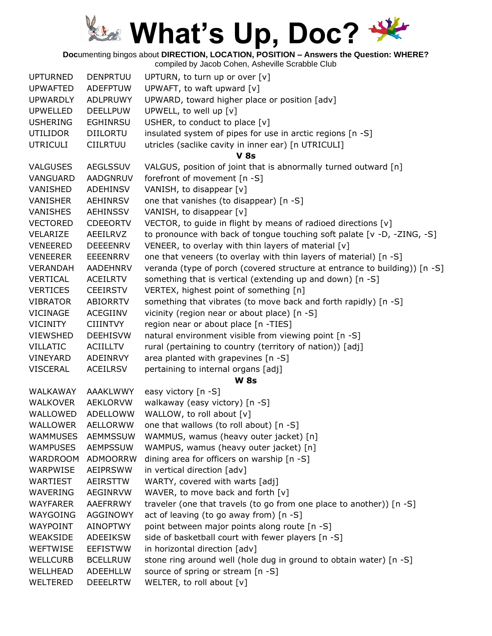**Doc**umenting bingos about **DIRECTION, LOCATION, POSITION – Answers the Question: WHERE?**

| <b>UPTURNED</b> | <b>DENPRTUU</b> | UPTURN, to turn up or over [v]                                             |
|-----------------|-----------------|----------------------------------------------------------------------------|
| <b>UPWAFTED</b> | <b>ADEFPTUW</b> | UPWAFT, to waft upward [v]                                                 |
| <b>UPWARDLY</b> | <b>ADLPRUWY</b> | UPWARD, toward higher place or position [adv]                              |
| <b>UPWELLED</b> | <b>DEELLPUW</b> | UPWELL, to well up [v]                                                     |
| <b>USHERING</b> | <b>EGHINRSU</b> | USHER, to conduct to place $[v]$                                           |
| <b>UTILIDOR</b> | <b>DIILORTU</b> | insulated system of pipes for use in arctic regions [n -S]                 |
| <b>UTRICULI</b> | <b>CIILRTUU</b> | utricles (saclike cavity in inner ear) [n UTRICULI]                        |
|                 |                 | <b>V</b> 8s                                                                |
| <b>VALGUSES</b> | <b>AEGLSSUV</b> | VALGUS, position of joint that is abnormally turned outward [n]            |
| VANGUARD        | <b>AADGNRUV</b> | forefront of movement [n -S]                                               |
| VANISHED        | ADEHINSV        | VANISH, to disappear [v]                                                   |
| <b>VANISHER</b> | AEHINRSV        | one that vanishes (to disappear) [n -S]                                    |
| <b>VANISHES</b> | <b>AEHINSSV</b> | VANISH, to disappear [v]                                                   |
| <b>VECTORED</b> | <b>CDEEORTV</b> | VECTOR, to guide in flight by means of radioed directions [v]              |
| VELARIZE        | AEEILRVZ        | to pronounce with back of tongue touching soft palate $[v -D, -ZING, -S]$  |
| <b>VENEERED</b> | <b>DEEEENRV</b> | VENEER, to overlay with thin layers of material [v]                        |
| <b>VENEERER</b> | <b>EEEENRRV</b> | one that veneers (to overlay with thin layers of material) [n -S]          |
| <b>VERANDAH</b> | <b>AADEHNRV</b> | veranda (type of porch (covered structure at entrance to building)) [n -S] |
| <b>VERTICAL</b> | ACEILRTV        | something that is vertical (extending up and down) [n -S]                  |
| <b>VERTICES</b> | <b>CEEIRSTV</b> | VERTEX, highest point of something [n]                                     |
| <b>VIBRATOR</b> | ABIORRTV        | something that vibrates (to move back and forth rapidly) [n -S]            |
| <b>VICINAGE</b> | ACEGIINV        | vicinity (region near or about place) [n -S]                               |
| <b>VICINITY</b> | <b>CIIINTVY</b> | region near or about place [n -TIES]                                       |
| <b>VIEWSHED</b> | <b>DEEHISVW</b> | natural environment visible from viewing point [n -S]                      |
| <b>VILLATIC</b> | <b>ACIILLTV</b> | rural (pertaining to country (territory of nation)) [adj]                  |
| VINEYARD        | ADEINRVY        | area planted with grapevines [n -S]                                        |
| <b>VISCERAL</b> | <b>ACEILRSV</b> | pertaining to internal organs [adj]                                        |
|                 |                 | <b>W 8s</b>                                                                |
| WALKAWAY        | <b>AAAKLWWY</b> | easy victory [n -S]                                                        |
| <b>WALKOVER</b> | <b>AEKLORVW</b> | walkaway (easy victory) [n -S]                                             |
| WALLOWED        | ADELLOWW        | WALLOW, to roll about [v]                                                  |
| <b>WALLOWER</b> | <b>AELLORWW</b> | one that wallows (to roll about) [n -S]                                    |
| WAMMUSES        | <b>AEMMSSUW</b> | WAMMUS, wamus (heavy outer jacket) [n]                                     |
| <b>WAMPUSES</b> | <b>AEMPSSUW</b> | WAMPUS, wamus (heavy outer jacket) [n]                                     |
| <b>WARDROOM</b> | <b>ADMOORRW</b> | dining area for officers on warship [n -S]                                 |
| WARPWISE        | <b>AEIPRSWW</b> | in vertical direction [adv]                                                |
| WARTIEST        | <b>AEIRSTTW</b> | WARTY, covered with warts [adj]                                            |
| WAVERING        | <b>AEGINRVW</b> | WAVER, to move back and forth [v]                                          |
| <b>WAYFARER</b> | <b>AAEFRRWY</b> | traveler (one that travels (to go from one place to another)) [n -S]       |
| WAYGOING        | <b>AGGINOWY</b> | act of leaving (to go away from) [n -S]                                    |
| <b>WAYPOINT</b> | <b>AINOPTWY</b> | point between major points along route [n -S]                              |
| WEAKSIDE        | ADEEIKSW        | side of basketball court with fewer players [n -S]                         |
| WEFTWISE        | <b>EEFISTWW</b> | in horizontal direction [adv]                                              |
| <b>WELLCURB</b> | <b>BCELLRUW</b> | stone ring around well (hole dug in ground to obtain water) [n -S]         |
| WELLHEAD        | <b>ADEEHLLW</b> | source of spring or stream [n -S]                                          |
| WELTERED        |                 | WELTER, to roll about [v]                                                  |
|                 | <b>DEEELRTW</b> |                                                                            |